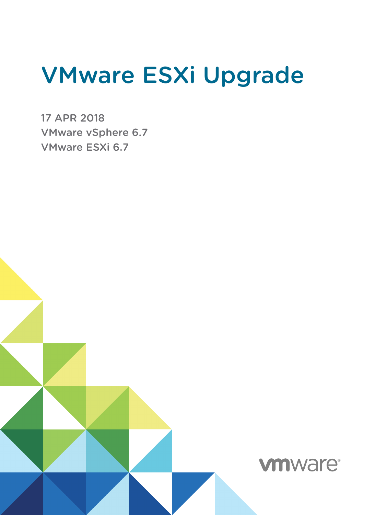# VMware ESXi Upgrade

17 APR 2018 VMware vSphere 6.7 VMware ESXi 6.7

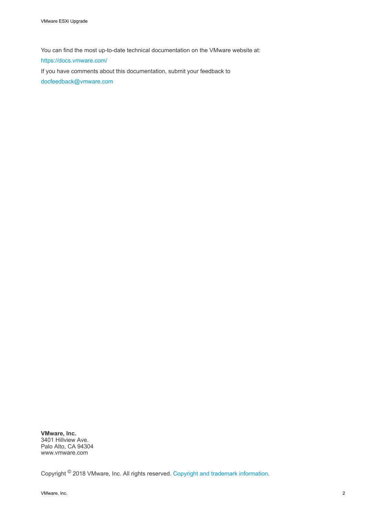You can find the most up-to-date technical documentation on the VMware website at:

<https://docs.vmware.com/>

If you have comments about this documentation, submit your feedback to

[docfeedback@vmware.com](mailto:docfeedback@vmware.com)

**VMware, Inc.** 3401 Hillview Ave. Palo Alto, CA 94304 www.vmware.com

Copyright <sup>©</sup> 2018 VMware, Inc. All rights reserved. [Copyright and trademark information](http://pubs.vmware.com/copyright-trademark.html).

VMware, Inc. 2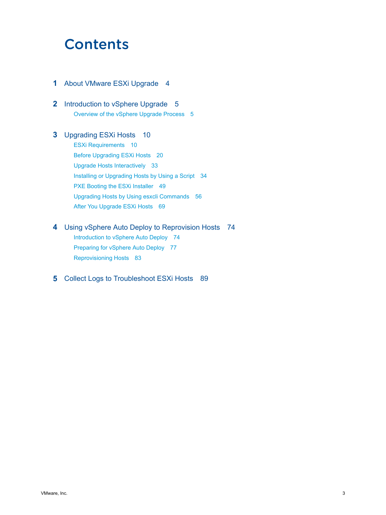## **Contents**

- **1** [About VMware ESXi Upgrade 4](#page-3-0)
- **2** [Introduction to vSphere Upgrade 5](#page-4-0) Ov[erview of the vSphere Upgrade Process 5](#page-4-0)

#### **3** [Upgrading ESXi Hosts 10](#page-9-0)

ES[Xi Requirements 10](#page-9-0) Bef[ore Upgrading ESXi Hosts 20](#page-19-0) Up[grade Hosts Interactively 33](#page-32-0) Inst[alling or Upgrading Hosts by Using a Script 34](#page-33-0) PX[E Booting the ESXi Installer 49](#page-48-0) Up[grading Hosts by Using esxcli Commands 56](#page-55-0) Aft[er You Upgrade ESXi Hosts 69](#page-68-0)

#### **4** [Using vSphere Auto Deploy to Reprovision Hosts 74](#page-73-0)

Intr[oduction to vSphere Auto Deploy 74](#page-73-0) Pre[paring for vSphere Auto Deploy 77](#page-76-0) Re[provisioning Hosts 83](#page-82-0)

#### **5** [Collect Logs to Troubleshoot ESXi Hosts 89](#page-88-0)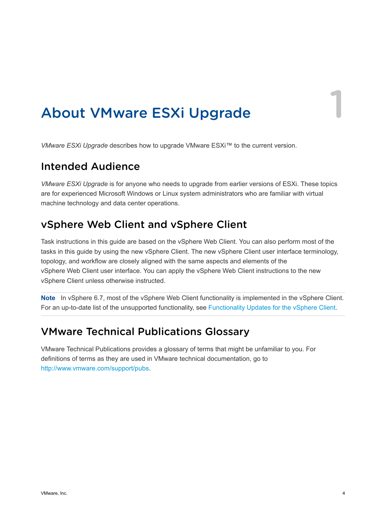# <span id="page-3-0"></span>About VMware ESXi Upgrade 1

*VMware ESXi Upgrade* describes how to upgrade VMware ESXi™ to the current version.

## Intended Audience

*VMware ESXi Upgrade* is for anyone who needs to upgrade from earlier versions of ESXi. These topics are for experienced Microsoft Windows or Linux system administrators who are familiar with virtual machine technology and data center operations.

## vSphere Web Client and vSphere Client

Task instructions in this guide are based on the vSphere Web Client. You can also perform most of the tasks in this guide by using the new vSphere Client. The new vSphere Client user interface terminology, topology, and workflow are closely aligned with the same aspects and elements of the vSphere Web Client user interface. You can apply the vSphere Web Client instructions to the new vSphere Client unless otherwise instructed.

**Note** In vSphere 6.7, most of the vSphere Web Client functionality is implemented in the vSphere Client. For an up-to-date list of the unsupported functionality, see [Functionality Updates for the vSphere Client](http://www.vmware.com/info?id=1413).

## VMware Technical Publications Glossary

VMware Technical Publications provides a glossary of terms that might be unfamiliar to you. For definitions of terms as they are used in VMware technical documentation, go to <http://www.vmware.com/support/pubs>.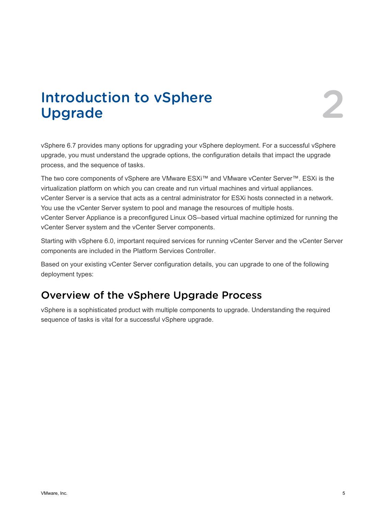# <span id="page-4-0"></span>Introduction to vSphere<br>Upgrade 2

vSphere 6.7 provides many options for upgrading your vSphere deployment. For a successful vSphere upgrade, you must understand the upgrade options, the configuration details that impact the upgrade process, and the sequence of tasks.

The two core components of vSphere are VMware ESXi™ and VMware vCenter Server™. ESXi is the virtualization platform on which you can create and run virtual machines and virtual appliances. vCenter Server is a service that acts as a central administrator for ESXi hosts connected in a network. You use the vCenter Server system to pool and manage the resources of multiple hosts. vCenter Server Appliance is a preconfigured Linux OS--based virtual machine optimized for running the vCenter Server system and the vCenter Server components.

Starting with vSphere 6.0, important required services for running vCenter Server and the vCenter Server components are included in the Platform Services Controller.

Based on your existing vCenter Server configuration details, you can upgrade to one of the following deployment types:

## Overview of the vSphere Upgrade Process

vSphere is a sophisticated product with multiple components to upgrade. Understanding the required sequence of tasks is vital for a successful vSphere upgrade.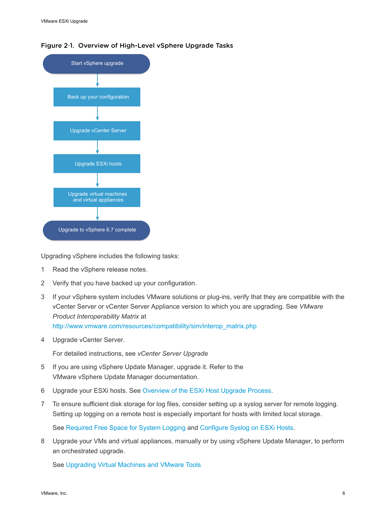



Upgrading vSphere includes the following tasks:

- 1 Read the vSphere release notes.
- 2 Verify that you have backed up your configuration.
- 3 If your vSphere system includes VMware solutions or plug-ins, verify that they are compatible with the vCenter Server or vCenter Server Appliance version to which you are upgrading. See *VMware Product Interoperability Matrix* at [http://www.vmware.com/resources/compatibility/sim/interop\\_matrix.php](http://www.vmware.com/resources/compatibility/sim/interop_matrix.php)
- 4 Upgrade vCenter Server.

For detailed instructions, see *vCenter Server Upgrade*

- 5 If you are using vSphere Update Manager, upgrade it. Refer to the VMware vSphere Update Manager documentation.
- 6 Upgrade your ESXi hosts. See [Overview of the ESXi Host Upgrade Process](#page-6-0).
- 7 To ensure sufficient disk storage for log files, consider setting up a syslog server for remote logging. Setting up logging on a remote host is especially important for hosts with limited local storage.

See [Required Free Space for System Logging](#page-16-0) and [Configure Syslog on ESXi Hosts](#page-71-0).

8 Upgrade your VMs and virtual appliances, manually or by using vSphere Update Manager, to perform an orchestrated upgrade.

See [Upgrading Virtual Machines and VMware Tools](#page-8-0)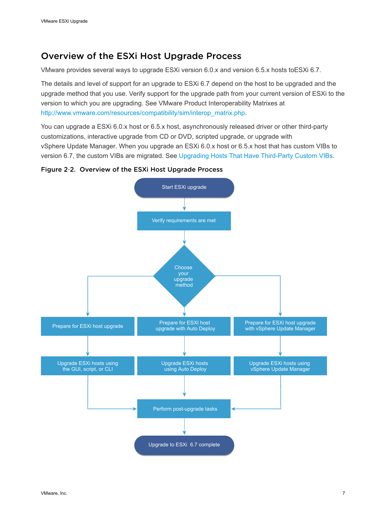## <span id="page-6-0"></span>Overview of the ESXi Host Upgrade Process

VMware provides several ways to upgrade ESXi version 6.0.x and version 6.5.x hosts toESXi 6.7.

The details and level of support for an upgrade to ESXi 6.7 depend on the host to be upgraded and the upgrade method that you use. Verify support for the upgrade path from your current version of ESXi to the version to which you are upgrading. See VMware Product Interoperability Matrixes at [http://www.vmware.com/resources/compatibility/sim/interop\\_matrix.php.](http://www.vmware.com/resources/compatibility/sim/interop_matrix.php)

You can upgrade a ESXi 6.0.x host or 6.5.x host, asynchronously released driver or other third-party customizations, interactive upgrade from CD or DVD, scripted upgrade, or upgrade with vSphere Update Manager. When you upgrade an ESXi 6.0.x host or 6.5.x host that has custom VIBs to version 6.7, the custom VIBs are migrated. See [Upgrading Hosts That Have Third-Party Custom VIBs](#page-21-0).

#### Figure 2‑2. Overview of the ESXi Host Upgrade Process

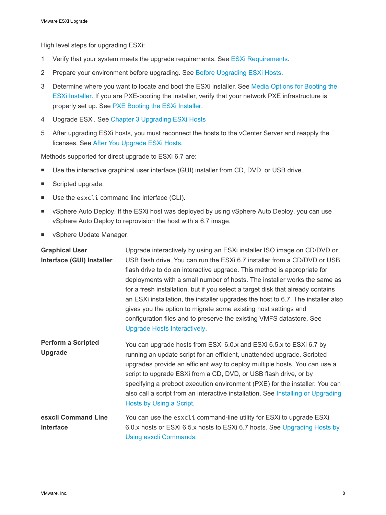High level steps for upgrading ESXi:

- 1 Verify that your system meets the upgrade requirements. See [ESXi Requirements.](#page-9-0)
- 2 Prepare your environment before upgrading. See [Before Upgrading ESXi Hosts.](#page-19-0)
- 3 Determine where you want to locate and boot the ESXi installer. See [Media Options for Booting the](#page-21-0) [ESXi Installer](#page-21-0). If you are PXE-booting the installer, verify that your network PXE infrastructure is properly set up. See [PXE Booting the ESXi Installer](#page-26-0).
- 4 Upgrade ESXi. See [Chapter 3 Upgrading ESXi Hosts](#page-9-0)
- 5 After upgrading ESXi hosts, you must reconnect the hosts to the vCenter Server and reapply the licenses. See [After You Upgrade ESXi Hosts.](#page-68-0)

Methods supported for direct upgrade to ESXi 6.7 are:

- Use the interactive graphical user interface (GUI) installer from CD, DVD, or USB drive.
- Scripted upgrade.
- Use the esxcli command line interface (CLI).
- **Now 1** vSphere Auto Deploy. If the ESXi host was deployed by using vSphere Auto Deploy, you can use vSphere Auto Deploy to reprovision the host with a 6.7 image.
- **No vSphere Update Manager.**

| <b>Graphical User</b><br>Interface (GUI) Installer | Upgrade interactively by using an ESXi installer ISO image on CD/DVD or<br>USB flash drive. You can run the ESXi 6.7 installer from a CD/DVD or USB<br>flash drive to do an interactive upgrade. This method is appropriate for<br>deployments with a small number of hosts. The installer works the same as<br>for a fresh installation, but if you select a target disk that already contains<br>an ESXi installation, the installer upgrades the host to 6.7. The installer also<br>gives you the option to migrate some existing host settings and<br>configuration files and to preserve the existing VMFS datastore. See<br>Upgrade Hosts Interactively. |
|----------------------------------------------------|----------------------------------------------------------------------------------------------------------------------------------------------------------------------------------------------------------------------------------------------------------------------------------------------------------------------------------------------------------------------------------------------------------------------------------------------------------------------------------------------------------------------------------------------------------------------------------------------------------------------------------------------------------------|
| <b>Perform a Scripted</b><br><b>Upgrade</b>        | You can upgrade hosts from ESXi 6.0.x and ESXi 6.5.x to ESXi 6.7 by<br>running an update script for an efficient, unattended upgrade. Scripted<br>upgrades provide an efficient way to deploy multiple hosts. You can use a<br>script to upgrade ESXi from a CD, DVD, or USB flash drive, or by<br>specifying a preboot execution environment (PXE) for the installer. You can<br>also call a script from an interactive installation. See Installing or Upgrading<br>Hosts by Using a Script.                                                                                                                                                                 |
| esxcli Command Line<br>Interface                   | You can use the esxcli command-line utility for ESXi to upgrade ESXi<br>6.0.x hosts or ESXi 6.5.x hosts to ESXi 6.7 hosts. See Upgrading Hosts by<br>Using esxcli Commands.                                                                                                                                                                                                                                                                                                                                                                                                                                                                                    |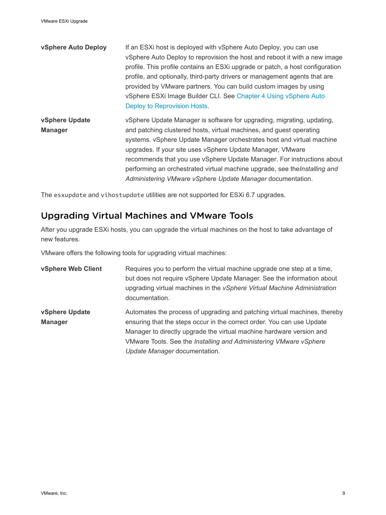<span id="page-8-0"></span>

| vSphere Auto Deploy              | If an ESXI host is deployed with vSphere Auto Deploy, you can use<br>vSphere Auto Deploy to reprovision the host and reboot it with a new image<br>profile. This profile contains an ESXi upgrade or patch, a host configuration<br>profile, and optionally, third-party drivers or management agents that are<br>provided by VMware partners. You can build custom images by using<br>vSphere ESXi Image Builder CLI. See Chapter 4 Using vSphere Auto<br>Deploy to Reprovision Hosts.                    |
|----------------------------------|------------------------------------------------------------------------------------------------------------------------------------------------------------------------------------------------------------------------------------------------------------------------------------------------------------------------------------------------------------------------------------------------------------------------------------------------------------------------------------------------------------|
| vSphere Update<br><b>Manager</b> | vSphere Update Manager is software for upgrading, migrating, updating,<br>and patching clustered hosts, virtual machines, and guest operating<br>systems. vSphere Update Manager orchestrates host and virtual machine<br>upgrades. If your site uses vSphere Update Manager, VMware<br>recommends that you use vSphere Update Manager. For instructions about<br>performing an orchestrated virtual machine upgrade, see the Installing and<br>Administering VMware vSphere Update Manager documentation. |

The esxupdate and vihostupdate utilities are not supported for ESXi 6.7 upgrades.

## Upgrading Virtual Machines and VMware Tools

After you upgrade ESXi hosts, you can upgrade the virtual machines on the host to take advantage of new features.

VMware offers the following tools for upgrading virtual machines:

| vSphere Web Client               | Requires you to perform the virtual machine upgrade one step at a time,<br>but does not require vSphere Update Manager. See the information about<br>upgrading virtual machines in the vSphere Virtual Machine Administration<br>documentation.                                                                                   |
|----------------------------------|-----------------------------------------------------------------------------------------------------------------------------------------------------------------------------------------------------------------------------------------------------------------------------------------------------------------------------------|
| vSphere Update<br><b>Manager</b> | Automates the process of upgrading and patching virtual machines, thereby<br>ensuring that the steps occur in the correct order. You can use Update<br>Manager to directly upgrade the virtual machine hardware version and<br>VMware Tools. See the Installing and Administering VMware vSphere<br>Update Manager documentation. |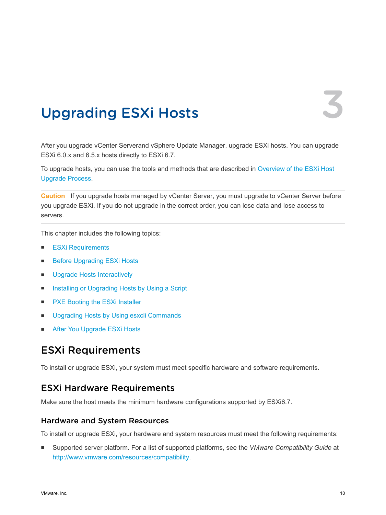# <span id="page-9-0"></span>Upgrading ESXi Hosts 3

After you upgrade vCenter Serverand vSphere Update Manager, upgrade ESXi hosts. You can upgrade ESXi 6.0.x and 6.5.x hosts directly to ESXi 6.7.

To upgrade hosts, you can use the tools and methods that are described in [Overview of the ESXi Host](#page-6-0) [Upgrade Process](#page-6-0).

**Caution** If you upgrade hosts managed by vCenter Server, you must upgrade to vCenter Server before you upgrade ESXi. If you do not upgrade in the correct order, you can lose data and lose access to servers.

This chapter includes the following topics:

- **ESXi Requirements**
- [Before Upgrading ESXi Hosts](#page-19-0)
- **n** [Upgrade Hosts Interactively](#page-32-0)
- [Installing or Upgrading Hosts by Using a Script](#page-33-0)
- [PXE Booting the ESXi Installer](#page-48-0)
- **n** [Upgrading Hosts by Using esxcli Commands](#page-55-0)
- [After You Upgrade ESXi Hosts](#page-68-0)

## ESXi Requirements

To install or upgrade ESXi, your system must meet specific hardware and software requirements.

## ESXi Hardware Requirements

Make sure the host meets the minimum hardware configurations supported by ESXi6.7.

#### Hardware and System Resources

To install or upgrade ESXi, your hardware and system resources must meet the following requirements:

■ Supported server platform. For a list of supported platforms, see the *VMware Compatibility Guide* at <http://www.vmware.com/resources/compatibility>.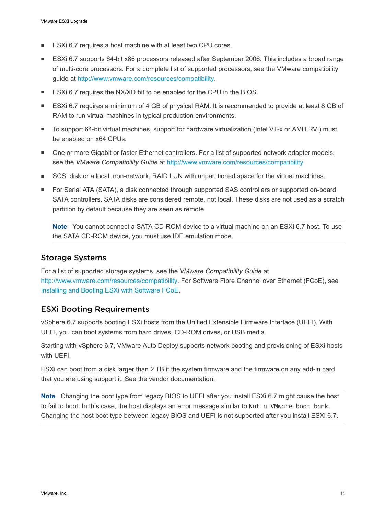- ESXi 6.7 requires a host machine with at least two CPU cores.
- ESXi 6.7 supports 64-bit x86 processors released after September 2006. This includes a broad range of multi-core processors. For a complete list of supported processors, see the VMware compatibility guide at<http://www.vmware.com/resources/compatibility>.
- ESXi 6.7 requires the NX/XD bit to be enabled for the CPU in the BIOS.
- ESXi 6.7 requires a minimum of 4 GB of physical RAM. It is recommended to provide at least 8 GB of RAM to run virtual machines in typical production environments.
- To support 64-bit virtual machines, support for hardware virtualization (Intel VT-x or AMD RVI) must be enabled on x64 CPUs.
- One or more Gigabit or faster Ethernet controllers. For a list of supported network adapter models, see the *VMware Compatibility Guide* at [http://www.vmware.com/resources/compatibility.](http://www.vmware.com/resources/compatibility)
- **EXECSI disk or a local, non-network, RAID LUN with unpartitioned space for the virtual machines.**
- For Serial ATA (SATA), a disk connected through supported SAS controllers or supported on-board SATA controllers. SATA disks are considered remote, not local. These disks are not used as a scratch partition by default because they are seen as remote.

**Note** You cannot connect a SATA CD-ROM device to a virtual machine on an ESXi 6.7 host. To use the SATA CD-ROM device, you must use IDE emulation mode.

#### Storage Systems

For a list of supported storage systems, see the *VMware Compatibility Guide* at <http://www.vmware.com/resources/compatibility>. For Software Fibre Channel over Ethernet (FCoE), see [Installing and Booting ESXi with Software FCoE.](#page-31-0)

#### ESXi Booting Requirements

vSphere 6.7 supports booting ESXi hosts from the Unified Extensible Firmware Interface (UEFI). With UEFI, you can boot systems from hard drives, CD-ROM drives, or USB media.

Starting with vSphere 6.7, VMware Auto Deploy supports network booting and provisioning of ESXi hosts with UEFI.

ESXi can boot from a disk larger than 2 TB if the system firmware and the firmware on any add-in card that you are using support it. See the vendor documentation.

**Note** Changing the boot type from legacy BIOS to UEFI after you install ESXi 6.7 might cause the host to fail to boot. In this case, the host displays an error message similar to Not a VMware boot bank. Changing the host boot type between legacy BIOS and UEFI is not supported after you install ESXi 6.7.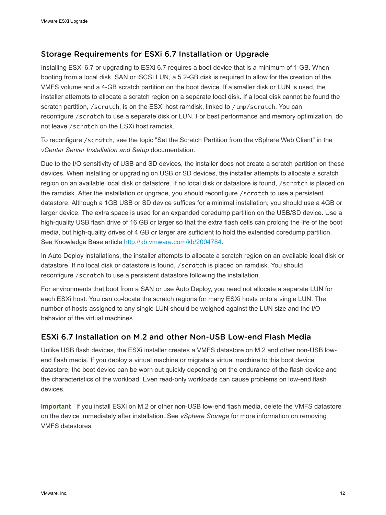#### Storage Requirements for ESXi 6.7 Installation or Upgrade

Installing ESXi 6.7 or upgrading to ESXi 6.7 requires a boot device that is a minimum of 1 GB. When booting from a local disk, SAN or iSCSI LUN, a 5.2-GB disk is required to allow for the creation of the VMFS volume and a 4-GB scratch partition on the boot device. If a smaller disk or LUN is used, the installer attempts to allocate a scratch region on a separate local disk. If a local disk cannot be found the scratch partition, /scratch, is on the ESXi host ramdisk, linked to /tmp/scratch. You can reconfigure /scratch to use a separate disk or LUN. For best performance and memory optimization, do not leave /scratch on the ESXi host ramdisk.

To reconfigure /scratch, see the topic "Set the Scratch Partition from the vSphere Web Client" in the *vCenter Server Installation and Setup* documentation.

Due to the I/O sensitivity of USB and SD devices, the installer does not create a scratch partition on these devices. When installing or upgrading on USB or SD devices, the installer attempts to allocate a scratch region on an available local disk or datastore. If no local disk or datastore is found, /scratch is placed on the ramdisk. After the installation or upgrade, you should reconfigure /scratch to use a persistent datastore. Although a 1GB USB or SD device suffices for a minimal installation, you should use a 4GB or larger device. The extra space is used for an expanded coredump partition on the USB/SD device. Use a high-quality USB flash drive of 16 GB or larger so that the extra flash cells can prolong the life of the boot media, but high-quality drives of 4 GB or larger are sufficient to hold the extended coredump partition. See Knowledge Base article [http://kb.vmware.com/kb/2004784.](http://kb.vmware.com/kb/2004784)

In Auto Deploy installations, the installer attempts to allocate a scratch region on an available local disk or datastore. If no local disk or datastore is found, /scratch is placed on ramdisk. You should reconfigure /scratch to use a persistent datastore following the installation.

For environments that boot from a SAN or use Auto Deploy, you need not allocate a separate LUN for each ESXi host. You can co-locate the scratch regions for many ESXi hosts onto a single LUN. The number of hosts assigned to any single LUN should be weighed against the LUN size and the I/O behavior of the virtual machines.

## ESXi 6.7 Installation on M.2 and other Non-USB Low-end Flash Media

Unlike USB flash devices, the ESXi installer creates a VMFS datastore on M.2 and other non-USB lowend flash media. If you deploy a virtual machine or migrate a virtual machine to this boot device datastore, the boot device can be worn out quickly depending on the endurance of the flash device and the characteristics of the workload. Even read-only workloads can cause problems on low-end flash devices.

**Important** If you install ESXi on M.2 or other non-USB low-end flash media, delete the VMFS datastore on the device immediately after installation. See *vSphere Storage* for more information on removing VMFS datastores.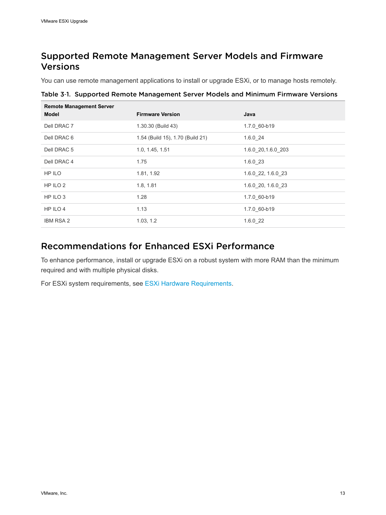## <span id="page-12-0"></span>Supported Remote Management Server Models and Firmware Versions

You can use remote management applications to install or upgrade ESXi, or to manage hosts remotely.

Table 3‑1. Supported Remote Management Server Models and Minimum Firmware Versions

| <b>Remote Management Server</b><br><b>Model</b> | <b>Firmware Version</b>          | Java               |
|-------------------------------------------------|----------------------------------|--------------------|
| Dell DRAC 7                                     | 1.30.30 (Build 43)               | 1.7.0 60-b19       |
| Dell DRAC 6                                     | 1.54 (Build 15), 1.70 (Build 21) | 1.6.024            |
| Dell DRAC 5                                     | 1.0, 1.45, 1.51                  | 1.6.0 20,1.6.0 203 |
| Dell DRAC 4                                     | 1.75                             | $1.6.0$ 23         |
| HP ILO                                          | 1.81, 1.92                       | 1.6.0 22, 1.6.0 23 |
| HP ILO 2                                        | 1.8, 1.81                        | 1.6.0 20, 1.6.0 23 |
| HP ILO 3                                        | 1.28                             | 1.7.0 60-b19       |
| HP ILO 4                                        | 1.13                             | 1.7.0 60-b19       |
| <b>IBM RSA 2</b>                                | 1.03, 1.2                        | 1.6.022            |

## Recommendations for Enhanced ESXi Performance

To enhance performance, install or upgrade ESXi on a robust system with more RAM than the minimum required and with multiple physical disks.

For ESXi system requirements, see [ESXi Hardware Requirements](#page-9-0).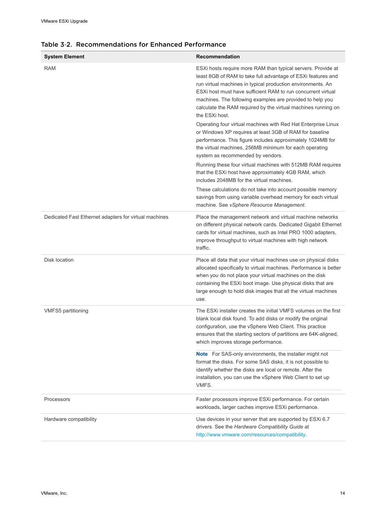| <b>System Element</b>                                 | Recommendation                                                                                                                                                                                                                                                                                                                                                                                              |
|-------------------------------------------------------|-------------------------------------------------------------------------------------------------------------------------------------------------------------------------------------------------------------------------------------------------------------------------------------------------------------------------------------------------------------------------------------------------------------|
| <b>RAM</b>                                            | ESXi hosts require more RAM than typical servers. Provide at<br>least 8GB of RAM to take full advantage of ESXi features and<br>run virtual machines in typical production environments. An<br>ESXI host must have sufficient RAM to run concurrent virtual<br>machines. The following examples are provided to help you<br>calculate the RAM required by the virtual machines running on<br>the ESXi host. |
|                                                       | Operating four virtual machines with Red Hat Enterprise Linux<br>or Windows XP requires at least 3GB of RAM for baseline<br>performance. This figure includes approximately 1024MB for<br>the virtual machines, 256MB minimum for each operating<br>system as recommended by vendors.                                                                                                                       |
|                                                       | Running these four virtual machines with 512MB RAM requires<br>that the ESXi host have approximately 4GB RAM, which<br>includes 2048MB for the virtual machines.                                                                                                                                                                                                                                            |
|                                                       | These calculations do not take into account possible memory<br>savings from using variable overhead memory for each virtual<br>machine. See vSphere Resource Management.                                                                                                                                                                                                                                    |
| Dedicated Fast Ethernet adapters for virtual machines | Place the management network and virtual machine networks<br>on different physical network cards. Dedicated Gigabit Ethernet<br>cards for virtual machines, such as Intel PRO 1000 adapters,<br>improve throughput to virtual machines with high network<br>traffic.                                                                                                                                        |
| Disk location                                         | Place all data that your virtual machines use on physical disks<br>allocated specifically to virtual machines. Performance is better<br>when you do not place your virtual machines on the disk<br>containing the ESXi boot image. Use physical disks that are<br>large enough to hold disk images that all the virtual machines<br>use.                                                                    |
| <b>VMFS5 partitioning</b>                             | The ESXI installer creates the initial VMFS volumes on the first<br>blank local disk found. To add disks or modify the original<br>configuration, use the vSphere Web Client. This practice<br>ensures that the starting sectors of partitions are 64K-aligned,<br>which improves storage performance.                                                                                                      |
|                                                       | <b>Note</b> For SAS-only environments, the installer might not<br>format the disks. For some SAS disks, it is not possible to<br>identify whether the disks are local or remote. After the<br>installation, you can use the vSphere Web Client to set up<br>VMFS.                                                                                                                                           |
| Processors                                            | Faster processors improve ESXi performance. For certain<br>workloads, larger caches improve ESXi performance.                                                                                                                                                                                                                                                                                               |
| Hardware compatibility                                | Use devices in your server that are supported by ESXi 6.7<br>drivers. See the Hardware Compatibility Guide at<br>http://www.vmware.com/resources/compatibility.                                                                                                                                                                                                                                             |

#### Table 3‑2. Recommendations for Enhanced Performance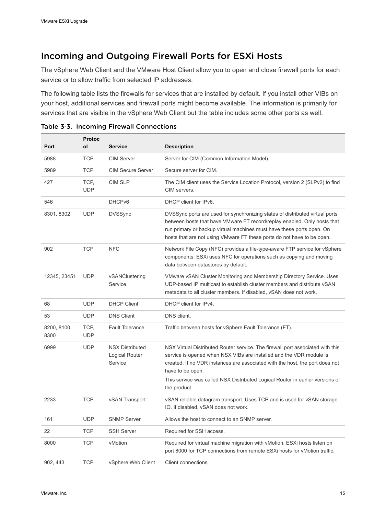## Incoming and Outgoing Firewall Ports for ESXi Hosts

The vSphere Web Client and the VMware Host Client allow you to open and close firewall ports for each service or to allow traffic from selected IP addresses.

The following table lists the firewalls for services that are installed by default. If you install other VIBs on your host, additional services and firewall ports might become available. The information is primarily for services that are visible in the vSphere Web Client but the table includes some other ports as well.

|                     | <b>Protoc</b>      |                                                     |                                                                                                                                                                                                                                                                                                                                            |
|---------------------|--------------------|-----------------------------------------------------|--------------------------------------------------------------------------------------------------------------------------------------------------------------------------------------------------------------------------------------------------------------------------------------------------------------------------------------------|
| Port                | οl                 | <b>Service</b>                                      | <b>Description</b>                                                                                                                                                                                                                                                                                                                         |
| 5988                | <b>TCP</b>         | <b>CIM Server</b>                                   | Server for CIM (Common Information Model).                                                                                                                                                                                                                                                                                                 |
| 5989                | <b>TCP</b>         | <b>CIM Secure Server</b>                            | Secure server for CIM.                                                                                                                                                                                                                                                                                                                     |
| 427                 | TCP,<br><b>UDP</b> | <b>CIM SLP</b>                                      | The CIM client uses the Service Location Protocol, version 2 (SLPv2) to find<br>CIM servers.                                                                                                                                                                                                                                               |
| 546                 |                    | DHCP <sub>v6</sub>                                  | DHCP client for IPv6.                                                                                                                                                                                                                                                                                                                      |
| 8301, 8302          | <b>UDP</b>         | <b>DVSSync</b>                                      | DVSSync ports are used for synchronizing states of distributed virtual ports<br>between hosts that have VMware FT record/replay enabled. Only hosts that<br>run primary or backup virtual machines must have these ports open. On<br>hosts that are not using VMware FT these ports do not have to be open.                                |
| 902                 | <b>TCP</b>         | <b>NFC</b>                                          | Network File Copy (NFC) provides a file-type-aware FTP service for vSphere<br>components. ESXI uses NFC for operations such as copying and moving<br>data between datastores by default.                                                                                                                                                   |
| 12345, 23451        | <b>UDP</b>         | vSANClustering<br>Service                           | VMware vSAN Cluster Monitoring and Membership Directory Service. Uses<br>UDP-based IP multicast to establish cluster members and distribute vSAN<br>metadata to all cluster members. If disabled, vSAN does not work.                                                                                                                      |
| 68                  | <b>UDP</b>         | <b>DHCP Client</b>                                  | DHCP client for IPv4.                                                                                                                                                                                                                                                                                                                      |
| 53                  | <b>UDP</b>         | <b>DNS Client</b>                                   | DNS client.                                                                                                                                                                                                                                                                                                                                |
| 8200, 8100,<br>8300 | TCP.<br><b>UDP</b> | <b>Fault Tolerance</b>                              | Traffic between hosts for vSphere Fault Tolerance (FT).                                                                                                                                                                                                                                                                                    |
| 6999                | <b>UDP</b>         | <b>NSX Distributed</b><br>Logical Router<br>Service | NSX Virtual Distributed Router service. The firewall port associated with this<br>service is opened when NSX VIBs are installed and the VDR module is<br>created. If no VDR instances are associated with the host, the port does not<br>have to be open.<br>This service was called NSX Distributed Logical Router in earlier versions of |
|                     |                    |                                                     | the product.                                                                                                                                                                                                                                                                                                                               |
| 2233                | <b>TCP</b>         | vSAN Transport                                      | vSAN reliable datagram transport. Uses TCP and is used for vSAN storage<br>IO. If disabled, vSAN does not work.                                                                                                                                                                                                                            |
| 161                 | <b>UDP</b>         | <b>SNMP Server</b>                                  | Allows the host to connect to an SNMP server.                                                                                                                                                                                                                                                                                              |
| 22                  | <b>TCP</b>         | <b>SSH Server</b>                                   | Required for SSH access.                                                                                                                                                                                                                                                                                                                   |
| 8000                | <b>TCP</b>         | vMotion                                             | Required for virtual machine migration with vMotion. ESXi hosts listen on<br>port 8000 for TCP connections from remote ESXi hosts for vMotion traffic.                                                                                                                                                                                     |
| 902, 443            | <b>TCP</b>         | vSphere Web Client                                  | Client connections                                                                                                                                                                                                                                                                                                                         |

Table 3‑3. Incoming Firewall Connections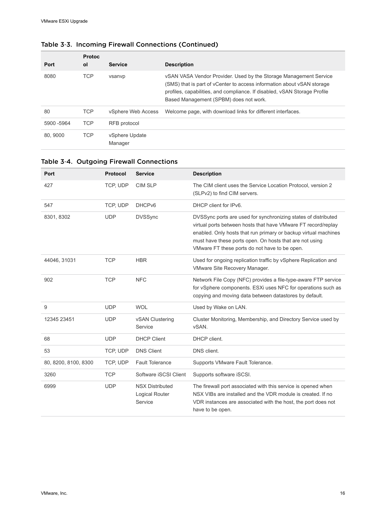| Port        | <b>Protoc</b><br>οl | <b>Service</b>            | <b>Description</b>                                                                                                                                                                                                                                                 |
|-------------|---------------------|---------------------------|--------------------------------------------------------------------------------------------------------------------------------------------------------------------------------------------------------------------------------------------------------------------|
| 8080        | <b>TCP</b>          | vsanvp                    | vSAN VASA Vendor Provider. Used by the Storage Management Service<br>(SMS) that is part of vCenter to access information about vSAN storage<br>profiles, capabilities, and compliance. If disabled, vSAN Storage Profile<br>Based Management (SPBM) does not work. |
| 80          | <b>TCP</b>          | vSphere Web Access        | Welcome page, with download links for different interfaces.                                                                                                                                                                                                        |
| 5900 - 5964 | <b>TCP</b>          | RFB protocol              |                                                                                                                                                                                                                                                                    |
| 80.9000     | <b>TCP</b>          | vSphere Update<br>Manager |                                                                                                                                                                                                                                                                    |

## Table 3‑3. Incoming Firewall Connections (Continued)

#### Table 3‑4. Outgoing Firewall Connections

| Port                 | Protocol   | <b>Service</b>                                      | <b>Description</b>                                                                                                                                                                                                                                                                                             |
|----------------------|------------|-----------------------------------------------------|----------------------------------------------------------------------------------------------------------------------------------------------------------------------------------------------------------------------------------------------------------------------------------------------------------------|
| 427                  | TCP, UDP   | <b>CIM SLP</b>                                      | The CIM client uses the Service Location Protocol, version 2<br>(SLPv2) to find CIM servers.                                                                                                                                                                                                                   |
| 547                  | TCP, UDP   | DHCP <sub>v6</sub>                                  | DHCP client for IPv6.                                                                                                                                                                                                                                                                                          |
| 8301, 8302           | <b>UDP</b> | <b>DVSSync</b>                                      | DVSSync ports are used for synchronizing states of distributed<br>virtual ports between hosts that have VMware FT record/replay<br>enabled. Only hosts that run primary or backup virtual machines<br>must have these ports open. On hosts that are not using<br>VMware FT these ports do not have to be open. |
| 44046, 31031         | <b>TCP</b> | <b>HBR</b>                                          | Used for ongoing replication traffic by vSphere Replication and<br>VMware Site Recovery Manager.                                                                                                                                                                                                               |
| 902                  | <b>TCP</b> | <b>NFC</b>                                          | Network File Copy (NFC) provides a file-type-aware FTP service<br>for vSphere components. ESXi uses NFC for operations such as<br>copying and moving data between datastores by default.                                                                                                                       |
| 9                    | <b>UDP</b> | <b>WOL</b>                                          | Used by Wake on LAN.                                                                                                                                                                                                                                                                                           |
| 12345 23451          | <b>UDP</b> | vSAN Clustering<br>Service                          | Cluster Monitoring, Membership, and Directory Service used by<br>vSAN.                                                                                                                                                                                                                                         |
| 68                   | <b>UDP</b> | <b>DHCP Client</b>                                  | DHCP client.                                                                                                                                                                                                                                                                                                   |
| 53                   | TCP, UDP   | <b>DNS Client</b>                                   | DNS client.                                                                                                                                                                                                                                                                                                    |
| 80, 8200, 8100, 8300 | TCP, UDP   | <b>Fault Tolerance</b>                              | Supports VMware Fault Tolerance.                                                                                                                                                                                                                                                                               |
| 3260                 | <b>TCP</b> | Software iSCSI Client                               | Supports software iSCSI.                                                                                                                                                                                                                                                                                       |
| 6999                 | <b>UDP</b> | <b>NSX Distributed</b><br>Logical Router<br>Service | The firewall port associated with this service is opened when<br>NSX VIBs are installed and the VDR module is created. If no<br>VDR instances are associated with the host, the port does not<br>have to be open.                                                                                              |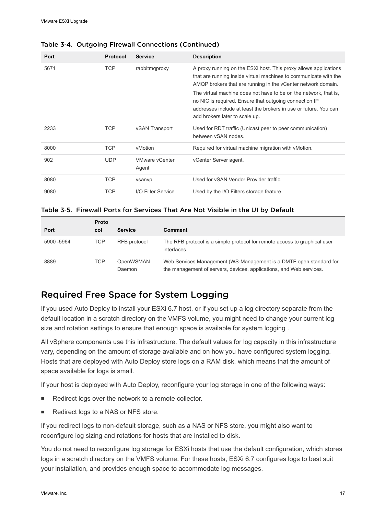| Port | <b>Protocol</b> | <b>Service</b>                 | <b>Description</b>                                                                                                                                                                                                               |
|------|-----------------|--------------------------------|----------------------------------------------------------------------------------------------------------------------------------------------------------------------------------------------------------------------------------|
| 5671 | <b>TCP</b>      | rabbitmgproxy                  | A proxy running on the ESXi host. This proxy allows applications<br>that are running inside virtual machines to communicate with the<br>AMQP brokers that are running in the vCenter network domain.                             |
|      |                 |                                | The virtual machine does not have to be on the network, that is,<br>no NIC is required. Ensure that outgoing connection IP<br>addresses include at least the brokers in use or future. You can<br>add brokers later to scale up. |
| 2233 | <b>TCP</b>      | vSAN Transport                 | Used for RDT traffic (Unicast peer to peer communication)<br>between vSAN nodes.                                                                                                                                                 |
| 8000 | <b>TCP</b>      | vMotion                        | Required for virtual machine migration with vMotion.                                                                                                                                                                             |
| 902  | <b>UDP</b>      | <b>VMware vCenter</b><br>Agent | vCenter Server agent.                                                                                                                                                                                                            |
| 8080 | <b>TCP</b>      | vsanvp                         | Used for vSAN Vendor Provider traffic.                                                                                                                                                                                           |
| 9080 | TCP             | I/O Filter Service             | Used by the I/O Filters storage feature                                                                                                                                                                                          |

#### <span id="page-16-0"></span>Table 3‑4. Outgoing Firewall Connections (Continued)

#### Table 3‑5. Firewall Ports for Services That Are Not Visible in the UI by Default

| <b>Port</b> | <b>Proto</b><br>col | <b>Service</b>      | <b>Comment</b>                                                                                                                            |
|-------------|---------------------|---------------------|-------------------------------------------------------------------------------------------------------------------------------------------|
| 5900 -5964  | TCP                 | RFB protocol        | The RFB protocol is a simple protocol for remote access to graphical user<br>interfaces.                                                  |
| 8889        | <b>TCP</b>          | OpenWSMAN<br>Daemon | Web Services Management (WS-Management is a DMTF open standard for<br>the management of servers, devices, applications, and Web services. |

## Required Free Space for System Logging

If you used Auto Deploy to install your ESXi 6.7 host, or if you set up a log directory separate from the default location in a scratch directory on the VMFS volume, you might need to change your current log size and rotation settings to ensure that enough space is available for system logging .

All vSphere components use this infrastructure. The default values for log capacity in this infrastructure vary, depending on the amount of storage available and on how you have configured system logging. Hosts that are deployed with Auto Deploy store logs on a RAM disk, which means that the amount of space available for logs is small.

If your host is deployed with Auto Deploy, reconfigure your log storage in one of the following ways:

- Redirect logs over the network to a remote collector.
- Redirect logs to a NAS or NFS store.

If you redirect logs to non-default storage, such as a NAS or NFS store, you might also want to reconfigure log sizing and rotations for hosts that are installed to disk.

You do not need to reconfigure log storage for ESXi hosts that use the default configuration, which stores logs in a scratch directory on the VMFS volume. For these hosts, ESXi 6.7 configures logs to best suit your installation, and provides enough space to accommodate log messages.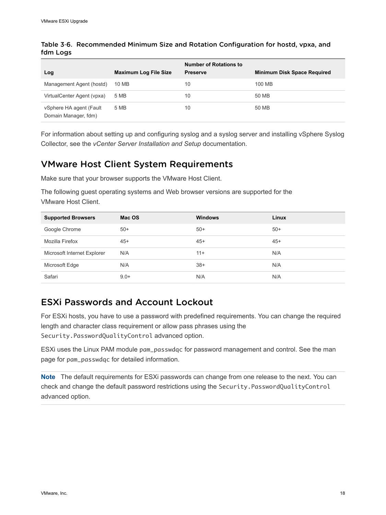| Log                                             | <b>Maximum Log File Size</b> | <b>Number of Rotations to</b><br><b>Preserve</b> | <b>Minimum Disk Space Required</b> |
|-------------------------------------------------|------------------------------|--------------------------------------------------|------------------------------------|
| Management Agent (hostd)                        | 10 MB                        | 10                                               | 100 MB                             |
| VirtualCenter Agent (vpxa)                      | 5 MB                         | 10                                               | 50 MB                              |
| vSphere HA agent (Fault<br>Domain Manager, fdm) | 5 MB                         | 10                                               | 50 MB                              |

#### Table 3‑6. Recommended Minimum Size and Rotation Configuration for hostd, vpxa, and fdm Logs

For information about setting up and configuring syslog and a syslog server and installing vSphere Syslog Collector, see the *vCenter Server Installation and Setup* documentation.

## VMware Host Client System Requirements

Make sure that your browser supports the VMware Host Client.

The following guest operating systems and Web browser versions are supported for the VMware Host Client.

| <b>Supported Browsers</b>   | Mac OS | <b>Windows</b> | Linux |
|-----------------------------|--------|----------------|-------|
| Google Chrome               | $50+$  | $50+$          | $50+$ |
| Mozilla Firefox             | $45+$  | $45+$          | $45+$ |
| Microsoft Internet Explorer | N/A    | $11 +$         | N/A   |
| Microsoft Edge              | N/A    | $38+$          | N/A   |
| Safari                      | $9.0+$ | N/A            | N/A   |

## ESXi Passwords and Account Lockout

For ESXi hosts, you have to use a password with predefined requirements. You can change the required length and character class requirement or allow pass phrases using the Security.PasswordQualityControl advanced option.

ESXi uses the Linux PAM module pam\_passwdqc for password management and control. See the man page for pam\_passwdqc for detailed information.

**Note** The default requirements for ESXi passwords can change from one release to the next. You can check and change the default password restrictions using the Security.PasswordQualityControl advanced option.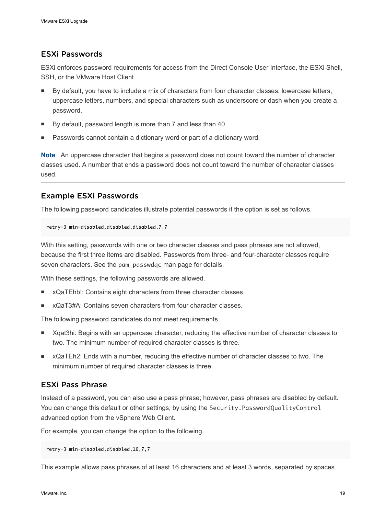#### ESXi Passwords

ESXi enforces password requirements for access from the Direct Console User Interface, the ESXi Shell, SSH, or the VMware Host Client.

- By default, you have to include a mix of characters from four character classes: lowercase letters, uppercase letters, numbers, and special characters such as underscore or dash when you create a password.
- By default, password length is more than 7 and less than 40.
- Passwords cannot contain a dictionary word or part of a dictionary word.

**Note** An uppercase character that begins a password does not count toward the number of character classes used. A number that ends a password does not count toward the number of character classes used.

#### Example ESXi Passwords

The following password candidates illustrate potential passwords if the option is set as follows.

```
retry=3 min=disabled,disabled,disabled,7,7
```
With this setting, passwords with one or two character classes and pass phrases are not allowed, because the first three items are disabled. Passwords from three- and four-character classes require seven characters. See the pam\_passwdqc man page for details.

With these settings, the following passwords are allowed.

- <sup>n</sup> xQaTEhb!: Contains eight characters from three character classes.
- <sup>n</sup> xQaT3#A: Contains seven characters from four character classes.

The following password candidates do not meet requirements.

- Xqat3hi: Begins with an uppercase character, reducing the effective number of character classes to two. The minimum number of required character classes is three.
- <sup>n</sup> xQaTEh2: Ends with a number, reducing the effective number of character classes to two. The minimum number of required character classes is three.

#### ESXi Pass Phrase

Instead of a password, you can also use a pass phrase; however, pass phrases are disabled by default. You can change this default or other settings, by using the Security. PasswordQualityControl advanced option from the vSphere Web Client.

For example, you can change the option to the following.

```
retry=3 min=disabled,disabled,16,7,7
```
This example allows pass phrases of at least 16 characters and at least 3 words, separated by spaces.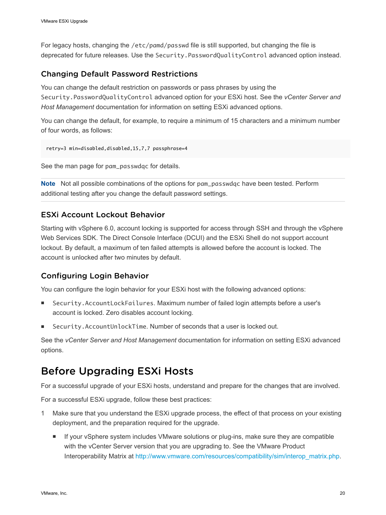<span id="page-19-0"></span>For legacy hosts, changing the /etc/pamd/passwd file is still supported, but changing the file is deprecated for future releases. Use the Security.PasswordQualityControl advanced option instead.

#### Changing Default Password Restrictions

You can change the default restriction on passwords or pass phrases by using the Security.PasswordQualityControl advanced option for your ESXi host. See the *vCenter Server and Host Management* documentation for information on setting ESXi advanced options.

You can change the default, for example, to require a minimum of 15 characters and a minimum number of four words, as follows:

```
retry=3 min=disabled,disabled,15,7,7 passphrase=4
```
See the man page for pam\_passwdqc for details.

**Note** Not all possible combinations of the options for pam\_passwdqc have been tested. Perform additional testing after you change the default password settings.

#### ESXi Account Lockout Behavior

Starting with vSphere 6.0, account locking is supported for access through SSH and through the vSphere Web Services SDK. The Direct Console Interface (DCUI) and the ESXi Shell do not support account lockout. By default, a maximum of ten failed attempts is allowed before the account is locked. The account is unlocked after two minutes by default.

## Configuring Login Behavior

You can configure the login behavior for your ESXi host with the following advanced options:

- Security.AccountLockFailures. Maximum number of failed login attempts before a user's account is locked. Zero disables account locking.
- Security.AccountUnlockTime. Number of seconds that a user is locked out.

See the *vCenter Server and Host Management* documentation for information on setting ESXi advanced options.

## Before Upgrading ESXi Hosts

For a successful upgrade of your ESXi hosts, understand and prepare for the changes that are involved.

For a successful ESXi upgrade, follow these best practices:

- 1 Make sure that you understand the ESXi upgrade process, the effect of that process on your existing deployment, and the preparation required for the upgrade.
	- **n** If your vSphere system includes VMware solutions or plug-ins, make sure they are compatible with the vCenter Server version that you are upgrading to. See the VMware Product Interoperability Matrix at [http://www.vmware.com/resources/compatibility/sim/interop\\_matrix.php](http://www.vmware.com/resources/compatibility/sim/interop_matrix.php).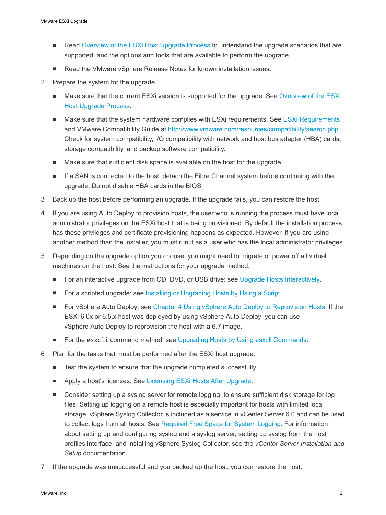- **Read [Overview of the ESXi Host Upgrade Process](#page-6-0) to understand the upgrade scenarios that are** supported, and the options and tools that are available to perform the upgrade.
- Read the VMware vSphere Release Notes for known installation issues.
- 2 Prepare the system for the upgrade.
	- <sup>n</sup> Make sure that the current ESXi version is supported for the upgrade. See [Overview of the ESXi](#page-6-0) [Host Upgrade Process.](#page-6-0)
	- Make sure that the system hardware complies with ESXi requirements. See [ESXi Requirements](#page-9-0) and VMware Compatibility Guide at [http://www.vmware.com/resources/compatibility/search.php.](http://www.vmware.com/resources/compatibility/search.php) Check for system compatibility, I/O compatibility with network and host bus adapter (HBA) cards, storage compatibility, and backup software compatibility.
	- Make sure that sufficient disk space is available on the host for the upgrade.
	- If a SAN is connected to the host, detach the Fibre Channel system before continuing with the upgrade. Do not disable HBA cards in the BIOS.
- 3 Back up the host before performing an upgrade. If the upgrade fails, you can restore the host.
- 4 If you are using Auto Deploy to provision hosts, the user who is running the process must have local administrator privileges on the ESXi host that is being provisioned. By default the installation process has these privileges and certificate provisioning happens as expected. However, if you are using another method than the installer, you must run it as a user who has the local administrator privileges.
- 5 Depending on the upgrade option you choose, you might need to migrate or power off all virtual machines on the host. See the instructions for your upgrade method.
	- For an interactive upgrade from CD, DVD, or USB drive: see [Upgrade Hosts Interactively.](#page-32-0)
	- For a scripted upgrade: see [Installing or Upgrading Hosts by Using a Script.](#page-33-0)
	- For vSphere Auto Deploy: see [Chapter 4 Using vSphere Auto Deploy to Reprovision Hosts](#page-73-0). If the ESXi 6.0x or 6.5.x host was deployed by using vSphere Auto Deploy, you can use vSphere Auto Deploy to reprovision the host with a 6.7 image.
	- For the esxcli command method: see [Upgrading Hosts by Using esxcli Commands.](#page-55-0)
- 6 Plan for the tasks that must be performed after the ESXi host upgrade:
	- Test the system to ensure that the upgrade completed successfully.
	- Apply a host's licenses. See [Licensing ESXi Hosts After Upgrade.](#page-69-0)
	- Consider setting up a syslog server for remote logging, to ensure sufficient disk storage for log files. Setting up logging on a remote host is especially important for hosts with limited local storage. vSphere Syslog Collector is included as a service in vCenter Server 6.0 and can be used to collect logs from all hosts. See [Required Free Space for System Logging.](#page-16-0) For information about setting up and configuring syslog and a syslog server, setting up syslog from the host profiles interface, and installing vSphere Syslog Collector, see the *vCenter Server Installation and Setup* documentation.
- 7 If the upgrade was unsuccessful and you backed up the host, you can restore the host.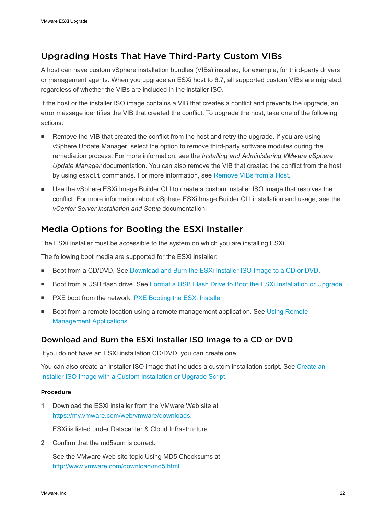## <span id="page-21-0"></span>Upgrading Hosts That Have Third-Party Custom VIBs

A host can have custom vSphere installation bundles (VIBs) installed, for example, for third-party drivers or management agents. When you upgrade an ESXi host to 6.7, all supported custom VIBs are migrated, regardless of whether the VIBs are included in the installer ISO.

If the host or the installer ISO image contains a VIB that creates a conflict and prevents the upgrade, an error message identifies the VIB that created the conflict. To upgrade the host, take one of the following actions:

- **EXECT** Remove the VIB that created the conflict from the host and retry the upgrade. If you are using vSphere Update Manager, select the option to remove third-party software modules during the remediation process. For more information, see the *Installing and Administering VMware vSphere Update Manager* documentation. You can also remove the VIB that created the conflict from the host by using esxcli commands. For more information, see [Remove VIBs from a Host](#page-65-0).
- Use the vSphere ESXi Image Builder CLI to create a custom installer ISO image that resolves the conflict. For more information about vSphere ESXi Image Builder CLI installation and usage, see the *vCenter Server Installation and Setup* documentation.

## Media Options for Booting the ESXi Installer

The ESXi installer must be accessible to the system on which you are installing ESXi.

The following boot media are supported for the ESXi installer:

- Boot from a CD/DVD. See Download and Burn the ESXi Installer ISO Image to a CD or DVD.
- Boot from a USB flash drive. See [Format a USB Flash Drive to Boot the ESXi Installation or Upgrade.](#page-22-0)
- PXE boot from the network. [PXE Booting the ESXi Installer](#page-26-0)
- <sup>n</sup> Boot from a remote location using a remote management application. See [Using Remote](#page-31-0) [Management Applications](#page-31-0)

#### Download and Burn the ESXi Installer ISO Image to a CD or DVD

If you do not have an ESXi installation CD/DVD, you can create one.

You can also create an installer ISO image that includes a custom installation script. See [Create an](#page-25-0) [Installer ISO Image with a Custom Installation or Upgrade Script](#page-25-0).

#### Procedure

**1** Download the ESXi installer from the VMware Web site at [https://my.vmware.com/web/vmware/downloads.](https://my.vmware.com/web/vmware/downloads)

ESXi is listed under Datacenter & Cloud Infrastructure.

**2** Confirm that the md5sum is correct.

See the VMware Web site topic Using MD5 Checksums at <http://www.vmware.com/download/md5.html>.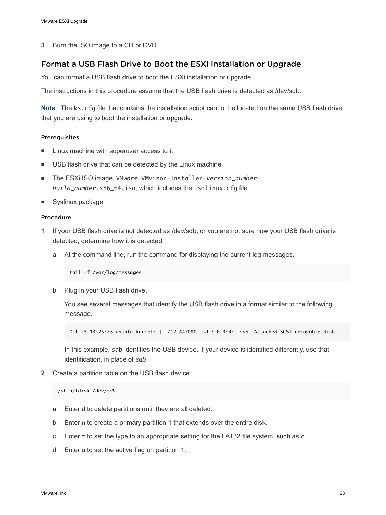<span id="page-22-0"></span>**3** Burn the ISO image to a CD or DVD.

#### Format a USB Flash Drive to Boot the ESXi Installation or Upgrade

You can format a USB flash drive to boot the ESXi installation or upgrade.

The instructions in this procedure assume that the USB flash drive is detected as /dev/sdb.

**Note** The ks.cfg file that contains the installation script cannot be located on the same USB flash drive that you are using to boot the installation or upgrade.

#### **Prerequisites**

- Linux machine with superuser access to it
- USB flash drive that can be detected by the Linux machine
- The ESXi ISO image, VMware-VMvisor-Installer-version\_number*build\_number*.x86\_64.iso, which includes the isolinux.cfg file
- **n** Syslinux package

#### Procedure

- **1** If your USB flash drive is not detected as /dev/sdb, or you are not sure how your USB flash drive is detected, determine how it is detected.
	- a At the command line, run the command for displaying the current log messages.

tail -f /var/log/messages

b Plug in your USB flash drive.

You see several messages that identify the USB flash drive in a format similar to the following message.

Oct 25 13:25:23 ubuntu kernel: [ 712.447080] sd 3:0:0:0: [sdb] Attached SCSI removable disk

In this example, sdb identifies the USB device. If your device is identified differently, use that identification, in place of *sdb*.

**2** Create a partition table on the USB flash device.

#### /sbin/fdisk /dev/*sdb*

- a Enter d to delete partitions until they are all deleted.
- b Enter n to create a primary partition 1 that extends over the entire disk.
- c Enter t to set the type to an appropriate setting for the FAT32 file system, such as **c**.
- d Enter a to set the active flag on partition 1.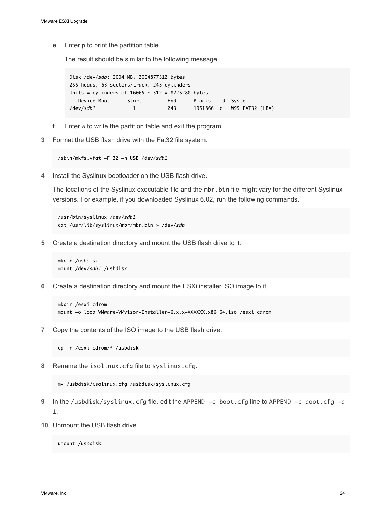e Enter p to print the partition table.

The result should be similar to the following message.

Disk /dev/*sdb*: 2004 MB, 2004877312 bytes 255 heads, 63 sectors/track, 243 cylinders Units = cylinders of  $16065 * 512 = 8225280$  bytes Device Boot Start End Blocks Id System /dev/*sdb1* 1 243 1951866 c W95 FAT32 (LBA)

- f Enter w to write the partition table and exit the program.
- **3** Format the USB flash drive with the Fat32 file system.

/sbin/mkfs.vfat -F 32 -n USB /dev/*sdb1*

**4** Install the Syslinux bootloader on the USB flash drive.

The locations of the Syslinux executable file and the mbr.bin file might vary for the different Syslinux versions. For example, if you downloaded Syslinux 6.02, run the following commands.

/usr/bin/syslinux /dev/*sdb1* cat /usr/lib/syslinux/mbr/mbr.bin > /dev/*sdb*

**5** Create a destination directory and mount the USB flash drive to it.

```
mkdir /usbdisk
mount /dev/sdb1 /usbdisk
```
**6** Create a destination directory and mount the ESXi installer ISO image to it.

```
mkdir /esxi_cdrom
mount -o loop VMware-VMvisor-Installer-6.x.x-XXXXXX.x86_64.iso /esxi_cdrom
```
**7** Copy the contents of the ISO image to the USB flash drive.

cp -r /esxi\_cdrom/\* /usbdisk

**8** Rename the isolinux.cfg file to syslinux.cfg.

mv /usbdisk/isolinux.cfg /usbdisk/syslinux.cfg

- **9** In the /usbdisk/syslinux.cfg file, edit the APPEND -c boot.cfg line to APPEND -c boot.cfg -p 1.
- **10** Unmount the USB flash drive.

umount /usbdisk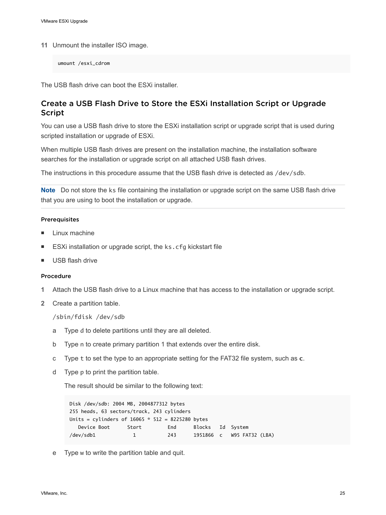**11** Unmount the installer ISO image.

umount /esxi\_cdrom

The USB flash drive can boot the ESXi installer.

#### Create a USB Flash Drive to Store the ESXi Installation Script or Upgrade Script

You can use a USB flash drive to store the ESXi installation script or upgrade script that is used during scripted installation or upgrade of ESXi.

When multiple USB flash drives are present on the installation machine, the installation software searches for the installation or upgrade script on all attached USB flash drives.

The instructions in this procedure assume that the USB flash drive is detected as /dev/sdb.

**Note** Do not store the ks file containing the installation or upgrade script on the same USB flash drive that you are using to boot the installation or upgrade.

#### Prerequisites

- $\blacksquare$  Linux machine
- ESXi installation or upgrade script, the ks.cfg kickstart file
- **No. USB flash drive**

#### Procedure

- **1** Attach the USB flash drive to a Linux machine that has access to the installation or upgrade script.
- **2** Create a partition table.

/sbin/fdisk /dev/sdb

- a Type d to delete partitions until they are all deleted.
- b Type n to create primary partition 1 that extends over the entire disk.
- c Type t to set the type to an appropriate setting for the FAT32 file system, such as **c**.
- d Type p to print the partition table.

The result should be similar to the following text:

```
Disk /dev/sdb: 2004 MB, 2004877312 bytes
255 heads, 63 sectors/track, 243 cylinders
Units = cylinders of 16065 * 512 = 8225280 bytes
   Device Boot Start End Blocks Id System
/dev/sdb1 1 243 1951866 c W95 FAT32 (LBA)
```
e Type w to write the partition table and quit.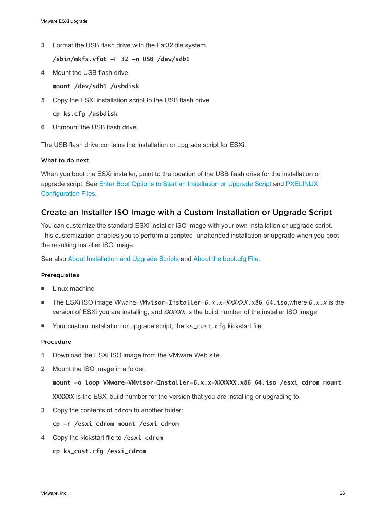<span id="page-25-0"></span>**3** Format the USB flash drive with the Fat32 file system.

**/sbin/mkfs.vfat -F 32 -n USB /dev/sdb1**

**4** Mount the USB flash drive.

**mount /dev/sdb1 /usbdisk**

**5** Copy the ESXi installation script to the USB flash drive.

**cp ks.cfg /usbdisk**

**6** Unmount the USB flash drive.

The USB flash drive contains the installation or upgrade script for ESXi.

#### What to do next

When you boot the ESXi installer, point to the location of the USB flash drive for the installation or upgrade script. See [Enter Boot Options to Start an Installation or Upgrade Script](#page-33-0) and [PXELINUX](#page-29-0) [Configuration Files](#page-29-0).

#### Create an Installer ISO Image with a Custom Installation or Upgrade Script

You can customize the standard ESXi installer ISO image with your own installation or upgrade script. This customization enables you to perform a scripted, unattended installation or upgrade when you boot the resulting installer ISO image.

See also [About Installation and Upgrade Scripts](#page-36-0) and [About the boot.cfg File.](#page-45-0)

#### Prerequisites

- Linux machine
- The ESXi ISO image VMware-VMvisor-Installer-6.x.x-XXXXXX.x86\_64.iso,where 6.x.x is the version of ESXi you are installing, and *XXXXXX* is the build number of the installer ISO image
- Your custom installation or upgrade script, the ks\_cust.cfg kickstart file

#### Procedure

- **1** Download the ESXi ISO image from the VMware Web site.
- **2** Mount the ISO image in a folder:

**mount -o loop VMware-VMvisor-Installer-6.x.x-XXXXXX.x86\_64.iso /esxi\_cdrom\_mount XXXXXX** is the ESXi build number for the version that you are installing or upgrading to.

**3** Copy the contents of cdrom to another folder:

**cp -r /esxi\_cdrom\_mount /esxi\_cdrom**

**4** Copy the kickstart file to /esxi\_cdrom.

**cp ks\_cust.cfg /esxi\_cdrom**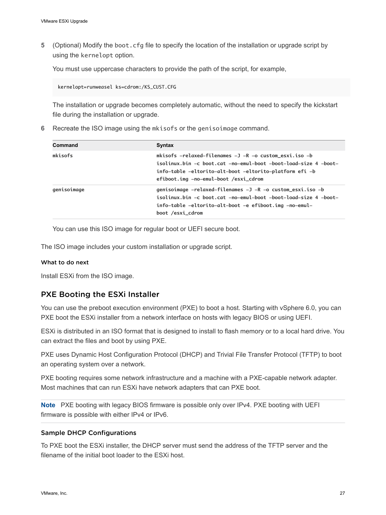<span id="page-26-0"></span>**5** (Optional) Modify the boot.cfg file to specify the location of the installation or upgrade script by using the kernelopt option.

You must use uppercase characters to provide the path of the script, for example,

kernelopt=runweasel ks=cdrom:/KS\_CUST.CFG

The installation or upgrade becomes completely automatic, without the need to specify the kickstart file during the installation or upgrade.

**6** Recreate the ISO image using the mkisofs or the genisoimage command.

| Syntax                                                                                                                                                                                                                                              |
|-----------------------------------------------------------------------------------------------------------------------------------------------------------------------------------------------------------------------------------------------------|
| mkisofs $-$ relaxed $-$ filenames $-$ J $-R$ $-$ o custom $\_$ esxi.iso $-b$<br>isolinux.bin -c boot.cat -no-emul-boot -boot-load-size 4 -boot-<br>info-table -eltorito-alt-boot -eltorito-platform efi -b<br>efiboot.img -no-emul-boot /esxi_cdrom |
| genisoimage -relaxed-filenames -J -R -o custom_esxi.iso -b<br>isolinux.bin -c boot.cat -no-emul-boot -boot-load-size 4 -boot-<br>info-table -eltorito-alt-boot -e efiboot.img -no-emul-<br>boot /esxi_cdrom                                         |
|                                                                                                                                                                                                                                                     |

You can use this ISO image for regular boot or UEFI secure boot.

The ISO image includes your custom installation or upgrade script.

#### What to do next

Install ESXi from the ISO image.

#### PXE Booting the ESXi Installer

You can use the preboot execution environment (PXE) to boot a host. Starting with vSphere 6.0, you can PXE boot the ESXi installer from a network interface on hosts with legacy BIOS or using UEFI.

ESXi is distributed in an ISO format that is designed to install to flash memory or to a local hard drive. You can extract the files and boot by using PXE.

PXE uses Dynamic Host Configuration Protocol (DHCP) and Trivial File Transfer Protocol (TFTP) to boot an operating system over a network.

PXE booting requires some network infrastructure and a machine with a PXE-capable network adapter. Most machines that can run ESXi have network adapters that can PXE boot.

**Note** PXE booting with legacy BIOS firmware is possible only over IPv4. PXE booting with UEFI firmware is possible with either IPv4 or IPv6.

#### Sample DHCP Configurations

To PXE boot the ESXi installer, the DHCP server must send the address of the TFTP server and the filename of the initial boot loader to the ESXi host.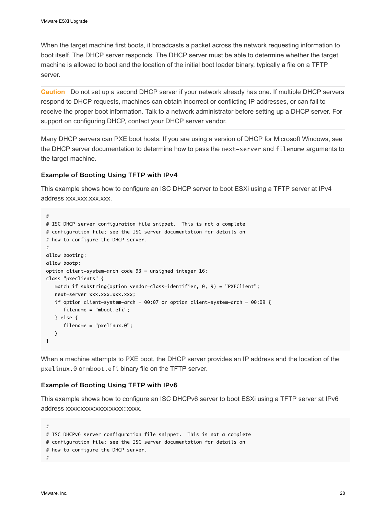When the target machine first boots, it broadcasts a packet across the network requesting information to boot itself. The DHCP server responds. The DHCP server must be able to determine whether the target machine is allowed to boot and the location of the initial boot loader binary, typically a file on a TFTP server.

**Caution** Do not set up a second DHCP server if your network already has one. If multiple DHCP servers respond to DHCP requests, machines can obtain incorrect or conflicting IP addresses, or can fail to receive the proper boot information. Talk to a network administrator before setting up a DHCP server. For support on configuring DHCP, contact your DHCP server vendor.

Many DHCP servers can PXE boot hosts. If you are using a version of DHCP for Microsoft Windows, see the DHCP server documentation to determine how to pass the next-server and filename arguments to the target machine.

#### Example of Booting Using TFTP with IPv4

This example shows how to configure an ISC DHCP server to boot ESXi using a TFTP server at IPv4 address xxx.xxx.xxx.xxx.

```
#
# ISC DHCP server configuration file snippet. This is not a complete
# configuration file; see the ISC server documentation for details on
# how to configure the DHCP server.
#
allow booting;
allow bootp;
option client-system-arch code 93 = unsigned integer 16;
class "pxeclients" {
    match if substring(option vendor-class-identifier, 0, 9) = "PXEClient";
    next-server xxx.xxx.xxx.xxx;
   if option client-system-arch = 00:07 or option client-system-arch = 00:09 {
       filename = "mboot.efi";
    } else {
       filename = "pxelinux.0";
    }
}
```
When a machine attempts to PXE boot, the DHCP server provides an IP address and the location of the pxelinux.0 or mboot.efi binary file on the TFTP server.

#### Example of Booting Using TFTP with IPv6

This example shows how to configure an ISC DHCPv6 server to boot ESXi using a TFTP server at IPv6 address xxxx:xxxx:xxxx:xxxx:xxxx.

# # ISC DHCPv6 server configuration file snippet. This is not a complete # configuration file; see the ISC server documentation for details on # how to configure the DHCP server. #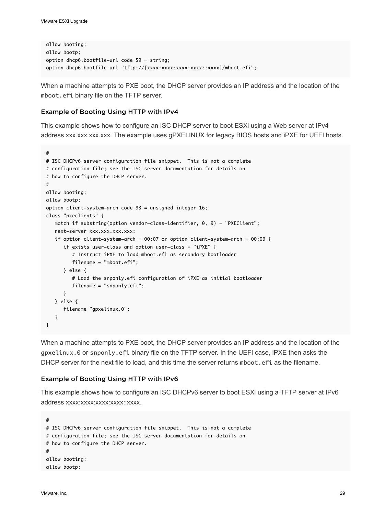```
allow booting;
allow bootp;
option dhcp6.bootfile-url code 59 = string;
option dhcp6.bootfile-url "tftp://[xxxx:xxxx:xxxx:xxxx:xxxx]/mboot.efi";
```
When a machine attempts to PXE boot, the DHCP server provides an IP address and the location of the mboot.efi binary file on the TFTP server.

#### Example of Booting Using HTTP with IPv4

This example shows how to configure an ISC DHCP server to boot ESXi using a Web server at IPv4 address xxx.xxx.xxx.xxx. The example uses gPXELINUX for legacy BIOS hosts and iPXE for UEFI hosts.

```
#
# ISC DHCPv6 server configuration file snippet. This is not a complete
# configuration file; see the ISC server documentation for details on
# how to configure the DHCP server.
#
allow booting;
allow bootp;
option client-system-arch code 93 = unsigned integer 16;
class "pxeclients" {
    match if substring(option vendor-class-identifier, 0, 9) = "PXEClient";
   next-server xxx.xxx.xxx.xxx;
    if option client-system-arch = 00:07 or option client-system-arch = 00:09 {
       if exists user-class and option user-class = "iPXE" {
          # Instruct iPXE to load mboot.efi as secondary bootloader
          filename = "mboot.efi";
       } else {
          # Load the snponly.efi configuration of iPXE as initial bootloader
          filename = "snponly.efi";
       }
    } else {
       filename "gpxelinux.0";
    }
}
```
When a machine attempts to PXE boot, the DHCP server provides an IP address and the location of the gpxelinux.0 or snponly.efi binary file on the TFTP server. In the UEFI case, iPXE then asks the DHCP server for the next file to load, and this time the server returns mboot. efi as the filename.

#### Example of Booting Using HTTP with IPv6

This example shows how to configure an ISC DHCPv6 server to boot ESXi using a TFTP server at IPv6 address xxxx:xxxx:xxxx:xxxx:xxxx.

```
#
# ISC DHCPv6 server configuration file snippet. This is not a complete
# configuration file; see the ISC server documentation for details on
# how to configure the DHCP server.
#
allow booting;
allow bootp;
```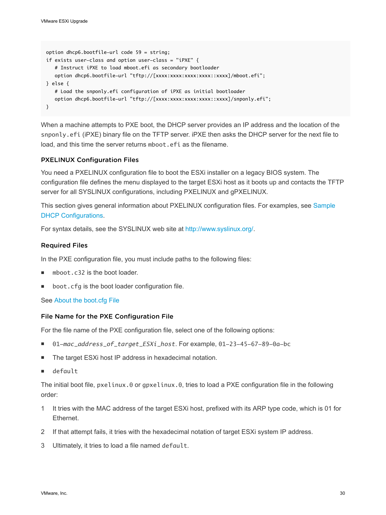```
option dhcp6.bootfile-url code 59 = string;
if exists user-class and option user-class = "iPXE" {
   # Instruct iPXE to load mboot.efi as secondary bootloader
  option dhcp6.bootfile-url "tftp://[xxxx:xxxx:xxxx:xxxx::xxxx]/mboot.efi";
} else {
   # Load the snponly.efi configuration of iPXE as initial bootloader
  option dhcp6.bootfile-url "tftp://[xxxx:xxxx:xxxx:xxxx:xxxx]/snponly.efi";
}
```
When a machine attempts to PXE boot, the DHCP server provides an IP address and the location of the snponly.efi (iPXE) binary file on the TFTP server. iPXE then asks the DHCP server for the next file to load, and this time the server returns mboot, efi as the filename.

#### PXELINUX Configuration Files

You need a PXELINUX configuration file to boot the ESXi installer on a legacy BIOS system. The configuration file defines the menu displayed to the target ESXi host as it boots up and contacts the TFTP server for all SYSLINUX configurations, including PXELINUX and gPXELINUX.

This section gives general information about PXELINUX configuration files. For examples, see [Sample](#page-26-0) [DHCP Configurations.](#page-26-0)

For syntax details, see the SYSLINUX web site at [http://www.syslinux.org/.](http://www.syslinux.org)

#### Required Files

In the PXE configuration file, you must include paths to the following files:

- mboot.c32 is the boot loader.
- boot.cfg is the boot loader configuration file.

#### See [About the boot.cfg File](#page-45-0)

#### File Name for the PXE Configuration File

For the file name of the PXE configuration file, select one of the following options:

- <sup>n</sup> 01-*mac\_address\_of\_target\_ESXi\_host*. For example, 01-23-45-67-89-0a-bc
- The target ESXi host IP address in hexadecimal notation.
- default

The initial boot file, pxelinux.0 or gpxelinux.0, tries to load a PXE configuration file in the following order:

- 1 It tries with the MAC address of the target ESXi host, prefixed with its ARP type code, which is 01 for Ethernet.
- 2 If that attempt fails, it tries with the hexadecimal notation of target ESXi system IP address.
- 3 Ultimately, it tries to load a file named default.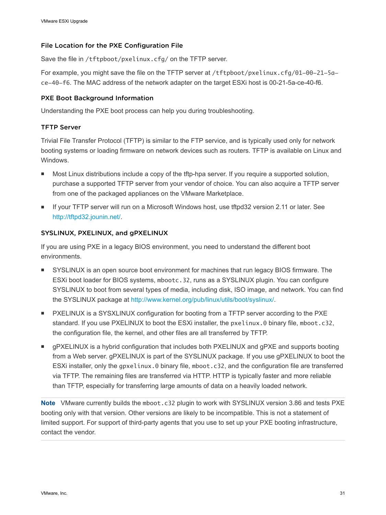#### File Location for the PXE Configuration File

Save the file in /tftpboot/pxelinux.cfg/ on the TFTP server.

For example, you might save the file on the TFTP server at /tftpboot/pxelinux.cfg/01-00-21-5ace-40-f6. The MAC address of the network adapter on the target ESXi host is 00-21-5a-ce-40-f6.

#### PXE Boot Background Information

Understanding the PXE boot process can help you during troubleshooting.

#### TFTP Server

Trivial File Transfer Protocol (TFTP) is similar to the FTP service, and is typically used only for network booting systems or loading firmware on network devices such as routers. TFTP is available on Linux and **Windows** 

- **n** Most Linux distributions include a copy of the tftp-hpa server. If you require a supported solution, purchase a supported TFTP server from your vendor of choice. You can also acquire a TFTP server from one of the packaged appliances on the VMware Marketplace.
- If your TFTP server will run on a Microsoft Windows host, use tftpd32 version 2.11 or later. See [http://tftpd32.jounin.net/.](http://tftpd32.jounin.net/)

#### SYSLINUX, PXELINUX, and gPXELINUX

If you are using PXE in a legacy BIOS environment, you need to understand the different boot environments.

- **SYSLINUX** is an open source boot environment for machines that run legacy BIOS firmware. The ESXi boot loader for BIOS systems, mbootc.32, runs as a SYSLINUX plugin. You can configure SYSLINUX to boot from several types of media, including disk, ISO image, and network. You can find the SYSLINUX package at [http://www.kernel.org/pub/linux/utils/boot/syslinux/.](http://www.kernel.org/pub/linux/utils/boot/syslinux/)
- **PXELINUX is a SYSXLINUX configuration for booting from a TFTP server according to the PXE** standard. If you use PXELINUX to boot the ESXi installer, the pxelinux.0 binary file, mboot.c32, the configuration file, the kernel, and other files are all transferred by TFTP.
- <sup>n</sup> gPXELINUX is a hybrid configuration that includes both PXELINUX and gPXE and supports booting from a Web server. gPXELINUX is part of the SYSLINUX package. If you use gPXELINUX to boot the ESXi installer, only the gpxelinux.0 binary file, mboot.c32, and the configuration file are transferred via TFTP. The remaining files are transferred via HTTP. HTTP is typically faster and more reliable than TFTP, especially for transferring large amounts of data on a heavily loaded network.

**Note** VMware currently builds the mboot.c32 plugin to work with SYSLINUX version 3.86 and tests PXE booting only with that version. Other versions are likely to be incompatible. This is not a statement of limited support. For support of third-party agents that you use to set up your PXE booting infrastructure, contact the vendor.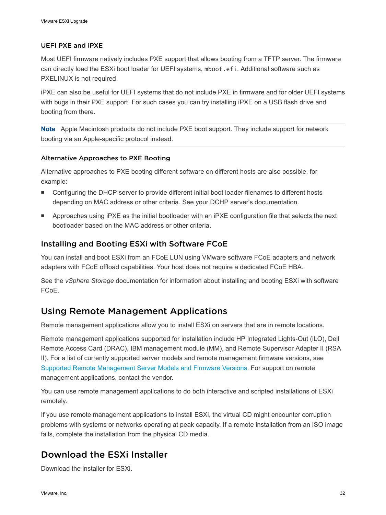#### <span id="page-31-0"></span>UEFI PXE and iPXE

Most UEFI firmware natively includes PXE support that allows booting from a TFTP server. The firmware can directly load the ESXi boot loader for UEFI systems, mboot.efi. Additional software such as PXELINUX is not required.

iPXE can also be useful for UEFI systems that do not include PXE in firmware and for older UEFI systems with bugs in their PXE support. For such cases you can try installing iPXE on a USB flash drive and booting from there.

**Note** Apple Macintosh products do not include PXE boot support. They include support for network booting via an Apple-specific protocol instead.

#### Alternative Approaches to PXE Booting

Alternative approaches to PXE booting different software on different hosts are also possible, for example:

- Configuring the DHCP server to provide different initial boot loader filenames to different hosts depending on MAC address or other criteria. See your DCHP server's documentation.
- **n** Approaches using iPXE as the initial bootloader with an iPXE configuration file that selects the next bootloader based on the MAC address or other criteria.

#### Installing and Booting ESXi with Software FCoE

You can install and boot ESXi from an FCoE LUN using VMware software FCoE adapters and network adapters with FCoE offload capabilities. Your host does not require a dedicated FCoE HBA.

See the *vSphere Storage* documentation for information about installing and booting ESXi with software FCoE.

## Using Remote Management Applications

Remote management applications allow you to install ESXi on servers that are in remote locations.

Remote management applications supported for installation include HP Integrated Lights-Out (iLO), Dell Remote Access Card (DRAC), IBM management module (MM), and Remote Supervisor Adapter II (RSA II). For a list of currently supported server models and remote management firmware versions, see [Supported Remote Management Server Models and Firmware Versions](#page-12-0). For support on remote management applications, contact the vendor.

You can use remote management applications to do both interactive and scripted installations of ESXi remotely.

If you use remote management applications to install ESXi, the virtual CD might encounter corruption problems with systems or networks operating at peak capacity. If a remote installation from an ISO image fails, complete the installation from the physical CD media.

## Download the ESXi Installer

Download the installer for ESXi.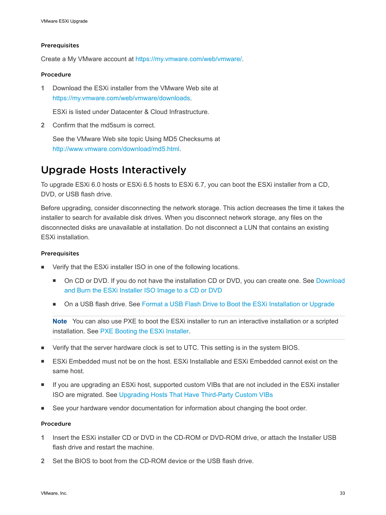#### <span id="page-32-0"></span>Prerequisites

Create a My VMware account at <https://my.vmware.com/web/vmware/>.

#### Procedure

**1** Download the ESXi installer from the VMware Web site at [https://my.vmware.com/web/vmware/downloads.](https://my.vmware.com/web/vmware/downloads)

ESXi is listed under Datacenter & Cloud Infrastructure.

**2** Confirm that the md5sum is correct.

See the VMware Web site topic Using MD5 Checksums at <http://www.vmware.com/download/md5.html>.

## Upgrade Hosts Interactively

To upgrade ESXi 6.0 hosts or ESXi 6.5 hosts to ESXi 6.7, you can boot the ESXi installer from a CD, DVD, or USB flash drive.

Before upgrading, consider disconnecting the network storage. This action decreases the time it takes the installer to search for available disk drives. When you disconnect network storage, any files on the disconnected disks are unavailable at installation. Do not disconnect a LUN that contains an existing ESXi installation.

#### Prerequisites

- **Number 1** Verify that the ESXi installer ISO in one of the following locations.
	- On CD or DVD. If you do not have the installation CD or DVD, you can create one. See [Download](#page-21-0) [and Burn the ESXi Installer ISO Image to a CD or DVD](#page-21-0)
	- On a USB flash drive. See [Format a USB Flash Drive to Boot the ESXi Installation or Upgrade](#page-22-0)

**Note** You can also use PXE to boot the ESXi installer to run an interactive installation or a scripted installation. See [PXE Booting the ESXi Installer.](#page-26-0)

- Verify that the server hardware clock is set to UTC. This setting is in the system BIOS.
- ESXi Embedded must not be on the host. ESXi Installable and ESXi Embedded cannot exist on the same host.
- If you are upgrading an ESXi host, supported custom VIBs that are not included in the ESXi installer ISO are migrated. See [Upgrading Hosts That Have Third-Party Custom VIBs](#page-21-0)
- See your hardware vendor documentation for information about changing the boot order.

#### Procedure

- **1** Insert the ESXi installer CD or DVD in the CD-ROM or DVD-ROM drive, or attach the Installer USB flash drive and restart the machine.
- **2** Set the BIOS to boot from the CD-ROM device or the USB flash drive.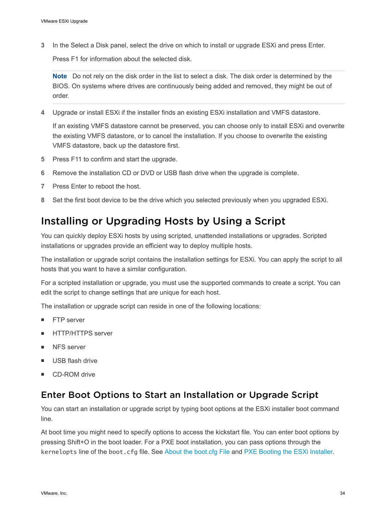<span id="page-33-0"></span>**3** In the Select a Disk panel, select the drive on which to install or upgrade ESXi and press Enter.

Press F1 for information about the selected disk.

**Note** Do not rely on the disk order in the list to select a disk. The disk order is determined by the BIOS. On systems where drives are continuously being added and removed, they might be out of order.

**4** Upgrade or install ESXi if the installer finds an existing ESXi installation and VMFS datastore.

If an existing VMFS datastore cannot be preserved, you can choose only to install ESXi and overwrite the existing VMFS datastore, or to cancel the installation. If you choose to overwrite the existing VMFS datastore, back up the datastore first.

- **5** Press F11 to confirm and start the upgrade.
- **6** Remove the installation CD or DVD or USB flash drive when the upgrade is complete.
- **7** Press Enter to reboot the host.
- **8** Set the first boot device to be the drive which you selected previously when you upgraded ESXi.

## Installing or Upgrading Hosts by Using a Script

You can quickly deploy ESXi hosts by using scripted, unattended installations or upgrades. Scripted installations or upgrades provide an efficient way to deploy multiple hosts.

The installation or upgrade script contains the installation settings for ESXi. You can apply the script to all hosts that you want to have a similar configuration.

For a scripted installation or upgrade, you must use the supported commands to create a script. You can edit the script to change settings that are unique for each host.

The installation or upgrade script can reside in one of the following locations:

- **FTP** server
- **HTTP/HTTPS server**
- **NFS** server
- **No. USB flash drive**
- CD-ROM drive

## Enter Boot Options to Start an Installation or Upgrade Script

You can start an installation or upgrade script by typing boot options at the ESXi installer boot command line.

At boot time you might need to specify options to access the kickstart file. You can enter boot options by pressing Shift+O in the boot loader. For a PXE boot installation, you can pass options through the kernelopts line of the boot.cfg file. See [About the boot.cfg File](#page-45-0) and [PXE Booting the ESXi Installer.](#page-26-0)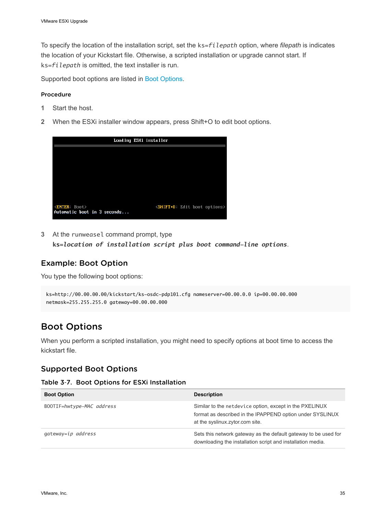To specify the location of the installation script, set the ks=*filepath* option, where *filepath* is indicates the location of your Kickstart file. Otherwise, a scripted installation or upgrade cannot start. If ks=*filepath* is omitted, the text installer is run.

Supported boot options are listed in Boot Options.

#### Procedure

- **1** Start the host.
- **2** When the ESXi installer window appears, press Shift+O to edit boot options.

|                                                           | Loading ESXi installer |                                                |  |
|-----------------------------------------------------------|------------------------|------------------------------------------------|--|
|                                                           |                        |                                                |  |
|                                                           |                        |                                                |  |
|                                                           |                        |                                                |  |
|                                                           |                        |                                                |  |
|                                                           |                        |                                                |  |
| <enter: boot=""><br/>Automatic boot in 3 seconds</enter:> |                        | <shift+0 boot="" edit="" options=""></shift+0> |  |

**3** At the runweasel command prompt, type **ks=***location of installation script plus boot command-line options*.

#### Example: Boot Option

You type the following boot options:

```
ks=http://00.00.00.00/kickstart/ks-osdc-pdp101.cfg nameserver=00.00.0.0 ip=00.00.00.000 
netmask=255.255.255.0 gateway=00.00.00.000
```
## Boot Options

When you perform a scripted installation, you might need to specify options at boot time to access the kickstart file.

#### Supported Boot Options

|  |  |  |  |  | Table 3-7. Boot Options for ESXi Installation |
|--|--|--|--|--|-----------------------------------------------|
|--|--|--|--|--|-----------------------------------------------|

| <b>Boot Option</b>        | <b>Description</b>                                                                                                                                      |
|---------------------------|---------------------------------------------------------------------------------------------------------------------------------------------------------|
| BOOTIF=hwtype-MAC address | Similar to the netdevice option, except in the PXELINUX<br>format as described in the IPAPPEND option under SYSLINUX<br>at the syslinux zytor com site. |
| gateway=ip address        | Sets this network gateway as the default gateway to be used for<br>downloading the installation script and installation media.                          |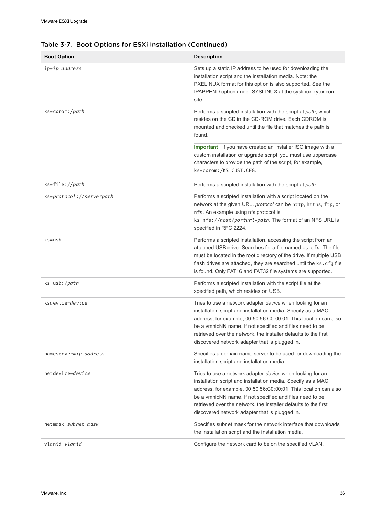| <b>Boot Option</b>       | <b>Description</b>                                                                                                                                                                                                                                                                                                                                                                   |
|--------------------------|--------------------------------------------------------------------------------------------------------------------------------------------------------------------------------------------------------------------------------------------------------------------------------------------------------------------------------------------------------------------------------------|
| ip=ip address            | Sets up a static IP address to be used for downloading the<br>installation script and the installation media. Note: the<br>PXELINUX format for this option is also supported. See the<br>IPAPPEND option under SYSLINUX at the syslinux.zytor.com<br>site.                                                                                                                           |
| ks=cdrom:/path           | Performs a scripted installation with the script at path, which<br>resides on the CD in the CD-ROM drive. Each CDROM is<br>mounted and checked until the file that matches the path is<br>found.                                                                                                                                                                                     |
|                          | Important If you have created an installer ISO image with a<br>custom installation or upgrade script, you must use uppercase<br>characters to provide the path of the script, for example,<br>ks=cdrom:/KS_CUST.CFG.                                                                                                                                                                 |
| ks=file://path           | Performs a scripted installation with the script at path.                                                                                                                                                                                                                                                                                                                            |
| ks=protocol://serverpath | Performs a scripted installation with a script located on the<br>network at the given URL. protocol can be http, https, ftp, or<br>nfs. An example using nfs protocol is<br>ks=nfs://host/porturl-path. The format of an NFS URL is<br>specified in RFC 2224.                                                                                                                        |
| $ks = usb$               | Performs a scripted installation, accessing the script from an<br>attached USB drive. Searches for a file named ks.cfg. The file<br>must be located in the root directory of the drive. If multiple USB<br>flash drives are attached, they are searched until the ks. cfg file<br>is found. Only FAT16 and FAT32 file systems are supported.                                         |
| ks=usb:/path             | Performs a scripted installation with the script file at the<br>specified path, which resides on USB.                                                                                                                                                                                                                                                                                |
| ksdevice=device          | Tries to use a network adapter <i>device</i> when looking for an<br>installation script and installation media. Specify as a MAC<br>address, for example, 00:50:56:C0:00:01. This location can also<br>be a vmnicNN name. If not specified and files need to be<br>retrieved over the network, the installer defaults to the first<br>discovered network adapter that is plugged in. |
| nameserver=ip address    | Specifies a domain name server to be used for downloading the<br>installation script and installation media.                                                                                                                                                                                                                                                                         |
| netdevice=device         | Tries to use a network adapter <i>device</i> when looking for an<br>installation script and installation media. Specify as a MAC<br>address, for example, 00:50:56:C0:00:01. This location can also<br>be a vmnicNN name. If not specified and files need to be<br>retrieved over the network, the installer defaults to the first<br>discovered network adapter that is plugged in. |
| netmask=subnet mask      | Specifies subnet mask for the network interface that downloads<br>the installation script and the installation media.                                                                                                                                                                                                                                                                |
| vlanid=v <i>lanid</i>    | Configure the network card to be on the specified VLAN.                                                                                                                                                                                                                                                                                                                              |

#### Table 3‑7. Boot Options for ESXi Installation (Continued)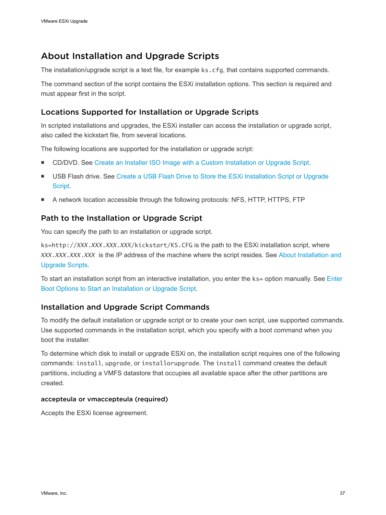# <span id="page-36-0"></span>About Installation and Upgrade Scripts

The installation/upgrade script is a text file, for example ks.cfg, that contains supported commands.

The command section of the script contains the ESXi installation options. This section is required and must appear first in the script.

### Locations Supported for Installation or Upgrade Scripts

In scripted installations and upgrades, the ESXi installer can access the installation or upgrade script, also called the kickstart file, from several locations.

The following locations are supported for the installation or upgrade script:

- **DICOVIDE CONDUGE COVAGO** CONDUCT ISO Image with a Custom Installation or Upgrade Script.
- **No. 1988 Flash drive. See [Create a USB Flash Drive to Store the ESXi Installation Script or Upgrade](#page-24-0)** [Script.](#page-24-0)
- A network location accessible through the following protocols: NFS, HTTP, HTTPS, FTP

### Path to the Installation or Upgrade Script

You can specify the path to an installation or upgrade script.

ks=http://*XXX.XXX.XXX.XXX*/kickstart/KS.CFG is the path to the ESXi installation script, where *XXX.XXX.XXX.XXX* is the IP address of the machine where the script resides. See About Installation and Upgrade Scripts.

To start an installation script from an interactive installation, you enter the ks= option manually. See [Enter](#page-33-0) [Boot Options to Start an Installation or Upgrade Script](#page-33-0).

### Installation and Upgrade Script Commands

To modify the default installation or upgrade script or to create your own script, use supported commands. Use supported commands in the installation script, which you specify with a boot command when you boot the installer.

To determine which disk to install or upgrade ESXi on, the installation script requires one of the following commands: install, upgrade, or installorupgrade. The install command creates the default partitions, including a VMFS datastore that occupies all available space after the other partitions are created.

#### accepteula or vmaccepteula (required)

Accepts the ESXi license agreement.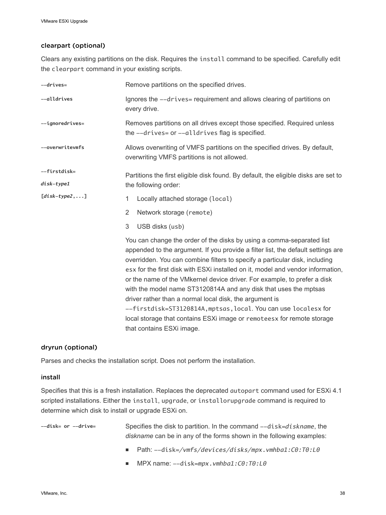#### clearpart (optional)

Clears any existing partitions on the disk. Requires the install command to be specified. Carefully edit the clearpart command in your existing scripts.

| $--drives=$     | Remove partitions on the specified drives.                                                                                                                                                                                                                                                                                                                                                                                                                                                                                                                                                                                                                                                                        |  |  |
|-----------------|-------------------------------------------------------------------------------------------------------------------------------------------------------------------------------------------------------------------------------------------------------------------------------------------------------------------------------------------------------------------------------------------------------------------------------------------------------------------------------------------------------------------------------------------------------------------------------------------------------------------------------------------------------------------------------------------------------------------|--|--|
| --alldrives     | Ignores the --drives= requirement and allows clearing of partitions on<br>every drive.                                                                                                                                                                                                                                                                                                                                                                                                                                                                                                                                                                                                                            |  |  |
| --ignoredrives= | Removes partitions on all drives except those specified. Required unless<br>the $--drives=$ or $--alldrives$ flag is specified.                                                                                                                                                                                                                                                                                                                                                                                                                                                                                                                                                                                   |  |  |
| --overwritevmfs | Allows overwriting of VMFS partitions on the specified drives. By default,<br>overwriting VMFS partitions is not allowed.                                                                                                                                                                                                                                                                                                                                                                                                                                                                                                                                                                                         |  |  |
| --firstdisk=    | Partitions the first eligible disk found. By default, the eligible disks are set to                                                                                                                                                                                                                                                                                                                                                                                                                                                                                                                                                                                                                               |  |  |
| disk-type1      | the following order:                                                                                                                                                                                                                                                                                                                                                                                                                                                                                                                                                                                                                                                                                              |  |  |
| $[disk-type2,]$ | 1<br>Locally attached storage (local)                                                                                                                                                                                                                                                                                                                                                                                                                                                                                                                                                                                                                                                                             |  |  |
|                 | 2<br>Network storage (remote)                                                                                                                                                                                                                                                                                                                                                                                                                                                                                                                                                                                                                                                                                     |  |  |
|                 | 3<br>USB disks (usb)                                                                                                                                                                                                                                                                                                                                                                                                                                                                                                                                                                                                                                                                                              |  |  |
|                 | You can change the order of the disks by using a comma-separated list<br>appended to the argument. If you provide a filter list, the default settings are<br>overridden. You can combine filters to specify a particular disk, including<br>esx for the first disk with ESXi installed on it, model and vendor information,<br>or the name of the VM kernel device driver. For example, to prefer a disk<br>with the model name ST3120814A and any disk that uses the mptsas<br>driver rather than a normal local disk, the argument is<br>--firstdisk=ST3120814A, mptsas, local. You can use localesx for<br>local storage that contains ESXi image or remoteesx for remote storage<br>that contains ESXi image. |  |  |

#### dryrun (optional)

Parses and checks the installation script. Does not perform the installation.

#### install

Specifies that this is a fresh installation. Replaces the deprecated autopart command used for ESXi 4.1 scripted installations. Either the install, upgrade, or installorupgrade command is required to determine which disk to install or upgrade ESXi on.

--disk= or --drive= Specifies the disk to partition. In the command --disk=diskname, the *diskname* can be in any of the forms shown in the following examples:

- <sup>n</sup> Path: --disk=*/vmfs/devices/disks/mpx.vmhba1:C0:T0:L0*
- MPX name: --disk=mpx.vmhba1:C0:T0:L0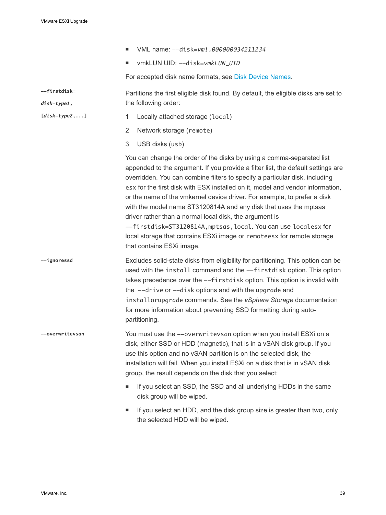**[***disk-type2***,...]**

- VML name: --disk=*vml.000000034211234*
- <sup>n</sup> vmkLUN UID: --disk=*vmkLUN\_UID*

For accepted disk name formats, see [Disk Device Names.](#page-45-0)

**--firstdisk=** *disk-type1,* Partitions the first eligible disk found. By default, the eligible disks are set to the following order:

- 1 Locally attached storage (local)
- 2 Network storage (remote)
- 3 USB disks (usb)

You can change the order of the disks by using a comma-separated list appended to the argument. If you provide a filter list, the default settings are overridden. You can combine filters to specify a particular disk, including esx for the first disk with ESX installed on it, model and vendor information, or the name of the vmkernel device driver. For example, to prefer a disk with the model name ST3120814A and any disk that uses the mptsas driver rather than a normal local disk, the argument is --firstdisk=ST3120814A,mptsas,local. You can use localesx for local storage that contains ESXi image or remoteesx for remote storage that contains ESXi image.

**--ignoressd** Excludes solid-state disks from eligibility for partitioning. This option can be used with the install command and the --firstdisk option. This option takes precedence over the --firstdisk option. This option is invalid with the --drive or --disk options and with the upgrade and installorupgrade commands. See the *vSphere Storage* documentation for more information about preventing SSD formatting during autopartitioning.

**--overwritevsan** You must use the --overwritevsan option when you install ESXi on a disk, either SSD or HDD (magnetic), that is in a vSAN disk group. If you use this option and no vSAN partition is on the selected disk, the installation will fail. When you install ESXi on a disk that is in vSAN disk group, the result depends on the disk that you select:

- If you select an SSD, the SSD and all underlying HDDs in the same disk group will be wiped.
- **n** If you select an HDD, and the disk group size is greater than two, only the selected HDD will be wiped.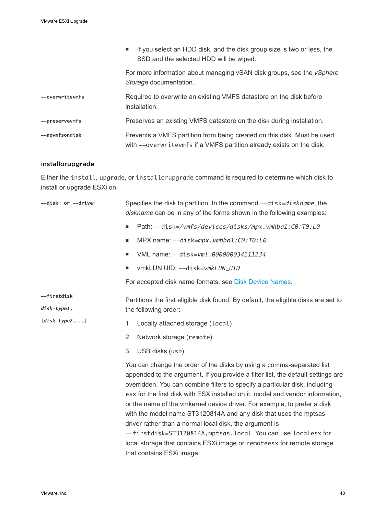|                 | If you select an HDD disk, and the disk group size is two or less, the<br><b>Contract</b><br>SSD and the selected HDD will be wiped.            |
|-----------------|-------------------------------------------------------------------------------------------------------------------------------------------------|
|                 | For more information about managing vSAN disk groups, see the <i>vSphere</i><br>Storage documentation.                                          |
| --overwritevmfs | Required to overwrite an existing VMFS datastore on the disk before<br>installation.                                                            |
| --preservevmfs  | Preserves an existing VMFS datastore on the disk during installation.                                                                           |
| --novmfsondisk  | Prevents a VMFS partition from being created on this disk. Must be used<br>with --overwritevmfs if a VMFS partition already exists on the disk. |

#### installorupgrade

Either the install, upgrade, or installorupgrade command is required to determine which disk to install or upgrade ESXi on.

| --disk= or --drive=         | Specifies the disk to partition. In the command --disk=diskname, the<br>diskname can be in any of the forms shown in the following examples:                                                                                                                                                                                                                                                                                                                                                                                                                                                                                                                                                                    |  |  |
|-----------------------------|-----------------------------------------------------------------------------------------------------------------------------------------------------------------------------------------------------------------------------------------------------------------------------------------------------------------------------------------------------------------------------------------------------------------------------------------------------------------------------------------------------------------------------------------------------------------------------------------------------------------------------------------------------------------------------------------------------------------|--|--|
|                             | Path: --disk=/vmfs/devices/disks/mpx.vmhba1:C0:T0:L0<br>ш                                                                                                                                                                                                                                                                                                                                                                                                                                                                                                                                                                                                                                                       |  |  |
|                             | MPX name: --disk=mpx.vmhba1:C0:T0:L0<br>ш                                                                                                                                                                                                                                                                                                                                                                                                                                                                                                                                                                                                                                                                       |  |  |
|                             | VML name: --disk=vml.000000034211234<br>٠                                                                                                                                                                                                                                                                                                                                                                                                                                                                                                                                                                                                                                                                       |  |  |
|                             | vmkLUN UID: -- disk=vmkLUN_UID<br>٠                                                                                                                                                                                                                                                                                                                                                                                                                                                                                                                                                                                                                                                                             |  |  |
|                             | For accepted disk name formats, see Disk Device Names.                                                                                                                                                                                                                                                                                                                                                                                                                                                                                                                                                                                                                                                          |  |  |
| --firstdisk=<br>disk-type1, | Partitions the first eligible disk found. By default, the eligible disks are set to<br>the following order:                                                                                                                                                                                                                                                                                                                                                                                                                                                                                                                                                                                                     |  |  |
| $[disk-type2,]$             | Locally attached storage (local)<br>1                                                                                                                                                                                                                                                                                                                                                                                                                                                                                                                                                                                                                                                                           |  |  |
|                             | $\overline{2}$<br>Network storage (remote)                                                                                                                                                                                                                                                                                                                                                                                                                                                                                                                                                                                                                                                                      |  |  |
|                             | 3<br>USB disks (usb)                                                                                                                                                                                                                                                                                                                                                                                                                                                                                                                                                                                                                                                                                            |  |  |
|                             | You can change the order of the disks by using a comma-separated list<br>appended to the argument. If you provide a filter list, the default settings are<br>overridden. You can combine filters to specify a particular disk, including<br>esx for the first disk with ESX installed on it, model and vendor information,<br>or the name of the vmkernel device driver. For example, to prefer a disk<br>with the model name ST3120814A and any disk that uses the mptsas<br>driver rather than a normal local disk, the argument is<br>--firstdisk=ST3120814A, mptsas, local. You can use localesx for<br>local storage that contains ESXi image or remoteesx for remote storage<br>that contains ESXi image. |  |  |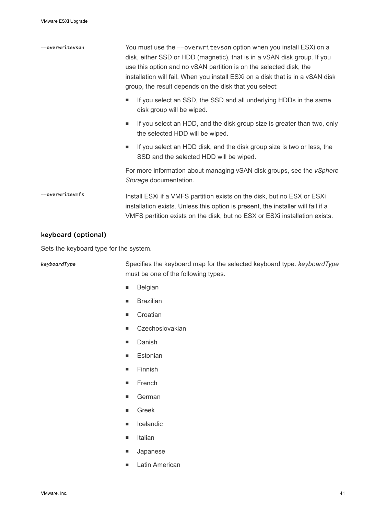| --overwritevsan | You must use the --overwritevsan option when you install ESXi on a<br>disk, either SSD or HDD (magnetic), that is in a vSAN disk group. If you<br>use this option and no vSAN partition is on the selected disk, the<br>installation will fail. When you install ESXi on a disk that is in a vSAN disk<br>group, the result depends on the disk that you select: |
|-----------------|------------------------------------------------------------------------------------------------------------------------------------------------------------------------------------------------------------------------------------------------------------------------------------------------------------------------------------------------------------------|
|                 | If you select an SSD, the SSD and all underlying HDDs in the same<br>٠<br>disk group will be wiped.                                                                                                                                                                                                                                                              |
|                 | If you select an HDD, and the disk group size is greater than two, only<br>ш<br>the selected HDD will be wiped.                                                                                                                                                                                                                                                  |
|                 | If you select an HDD disk, and the disk group size is two or less, the<br>ш<br>SSD and the selected HDD will be wiped.                                                                                                                                                                                                                                           |
|                 | For more information about managing vSAN disk groups, see the <i>vSphere</i><br>Storage documentation.                                                                                                                                                                                                                                                           |
| --overwritevmfs | Install ESXi if a VMFS partition exists on the disk, but no ESX or ESXi<br>installation exists. Unless this option is present, the installer will fail if a<br>VMFS partition exists on the disk, but no ESX or ESXi installation exists.                                                                                                                        |

#### keyboard (optional)

Sets the keyboard type for the system.

*keyboardType* Specifies the keyboard map for the selected keyboard type. *keyboardType* must be one of the following types.

- **Belgian**
- **n** Brazilian
- **n** Croatian
- Czechoslovakian
- **n** Danish
- **Estonian**
- $\blacksquare$  Finnish
- **n** French
- **n** German
- <sup>n</sup> Greek
- **n** Icelandic
- <sup>n</sup> Italian
- **n** Japanese
- **n** Latin American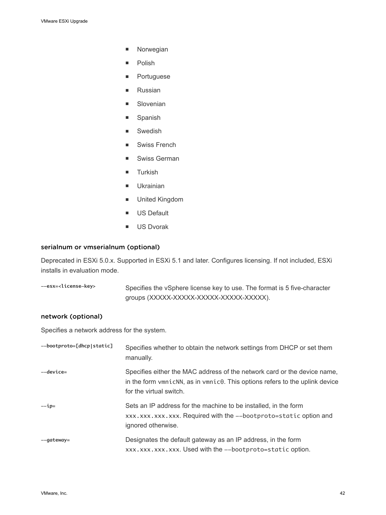- **n** Norwegian
- **n** Polish
- **n** Portuguese
- **n** Russian
- **n** Slovenian
- **n** Spanish
- **n** Swedish
- Swiss French
- Swiss German
- **n** Turkish
- **n** Ukrainian
- **n** United Kingdom
- **us** Default
- **No. US Dvorak**

#### serialnum or vmserialnum (optional)

Deprecated in ESXi 5.0.x. Supported in ESXi 5.1 and later. Configures licensing. If not included, ESXi installs in evaluation mode.

**--esx=<license-key>** Specifies the vSphere license key to use. The format is 5 five-character groups (XXXXX-XXXX-XXXXX-XXXXX-XXXXX).

#### network (optional)

Specifies a network address for the system.

| --bootproto=[dhcp static] | Specifies whether to obtain the network settings from DHCP or set them<br>manually.                                                                                                                        |
|---------------------------|------------------------------------------------------------------------------------------------------------------------------------------------------------------------------------------------------------|
| --device=                 | Specifies either the MAC address of the network card or the device name,<br>in the form $v_{\text{mn}}$ cNN, as in $v_{\text{mn}}$ c0. This options refers to the uplink device<br>for the virtual switch. |
| $-ip=$                    | Sets an IP address for the machine to be installed, in the form<br>xxx.xxx.xxx.xxx. Required with the --bootproto=static option and<br>ignored otherwise.                                                  |
| --gateway=                | Designates the default gateway as an IP address, in the form<br>xxx.xxx.xxx.xxx. Used with the --bootproto=static option.                                                                                  |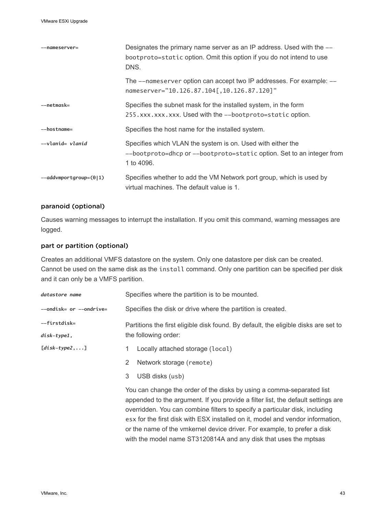| --nameserver=                | Designates the primary name server as an IP address. Used with the --<br>bootproto=static option. Omit this option if you do not intend to use<br>DNS. |
|------------------------------|--------------------------------------------------------------------------------------------------------------------------------------------------------|
|                              | The --nameserver option can accept two IP addresses. For example: --<br>nameserver="10.126.87.104[,10.126.87.120]"                                     |
| --netmask=                   | Specifies the subnet mask for the installed system, in the form<br>255.xxx.xxx.xxx. Used with the --bootproto=static option.                           |
| --hostname=                  | Specifies the host name for the installed system.                                                                                                      |
| --vlanid= <i>vlanid</i>      | Specifies which VLAN the system is on. Used with either the<br>--bootproto=dhcp or --bootproto=static option. Set to an integer from<br>1 to 4096.     |
| $--addv$ mportgroup= $(0 1)$ | Specifies whether to add the VM Network port group, which is used by<br>virtual machines. The default value is 1.                                      |

#### paranoid (optional)

Causes warning messages to interrupt the installation. If you omit this command, warning messages are logged.

#### part or partition (optional)

Creates an additional VMFS datastore on the system. Only one datastore per disk can be created. Cannot be used on the same disk as the install command. Only one partition can be specified per disk and it can only be a VMFS partition.

| datastore name                | Specifies where the partition is to be mounted.                                                                                                                                                                                                                                                                                                                                                                                                                            |  |
|-------------------------------|----------------------------------------------------------------------------------------------------------------------------------------------------------------------------------------------------------------------------------------------------------------------------------------------------------------------------------------------------------------------------------------------------------------------------------------------------------------------------|--|
| --ondisk= or --ondrive=       | Specifies the disk or drive where the partition is created.                                                                                                                                                                                                                                                                                                                                                                                                                |  |
| --firstdisk=<br>$disk-type1,$ | Partitions the first eligible disk found. By default, the eligible disks are set to<br>the following order:                                                                                                                                                                                                                                                                                                                                                                |  |
| $[disk-type2,]$               | Locally attached storage (local)<br>1.                                                                                                                                                                                                                                                                                                                                                                                                                                     |  |
|                               | Network storage (remote)<br>2                                                                                                                                                                                                                                                                                                                                                                                                                                              |  |
|                               | 3<br>USB disks (usb)                                                                                                                                                                                                                                                                                                                                                                                                                                                       |  |
|                               | You can change the order of the disks by using a comma-separated list<br>appended to the argument. If you provide a filter list, the default settings are<br>overridden. You can combine filters to specify a particular disk, including<br>esx for the first disk with ESX installed on it, model and vendor information,<br>or the name of the vmkernel device driver. For example, to prefer a disk<br>with the model name ST3120814A and any disk that uses the mptsas |  |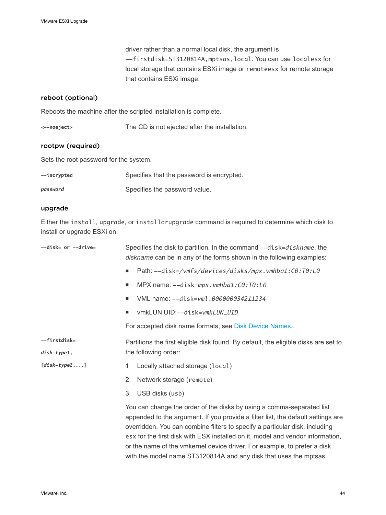driver rather than a normal local disk, the argument is --firstdisk=ST3120814A,mptsas,local. You can use localesx for local storage that contains ESXi image or remoteesx for remote storage that contains ESXi image.

#### reboot (optional)

Reboots the machine after the scripted installation is complete.

| <--noeject> | The CD is not ejected after the installation. |
|-------------|-----------------------------------------------|
|-------------|-----------------------------------------------|

#### rootpw (required)

Sets the root password for the system.

| --iscrypted | Specifies that the password is encrypted. |
|-------------|-------------------------------------------|
| password    | Specifies the password value.             |

#### upgrade

Either the install, upgrade, or installorupgrade command is required to determine which disk to install or upgrade ESXi on.

| --disk= or --drive= | Specifies the disk to partition. In the command --disk=diskname, the<br>diskname can be in any of the forms shown in the following examples: |                                                                                                                                                                                                                                                                                                                                                                                                                                                                            |  |
|---------------------|----------------------------------------------------------------------------------------------------------------------------------------------|----------------------------------------------------------------------------------------------------------------------------------------------------------------------------------------------------------------------------------------------------------------------------------------------------------------------------------------------------------------------------------------------------------------------------------------------------------------------------|--|
|                     | $\blacksquare$                                                                                                                               | Path: --disk=/vmfs/devices/disks/mpx.vmhba1:C0:T0:L0                                                                                                                                                                                                                                                                                                                                                                                                                       |  |
|                     | ш                                                                                                                                            | MPX name: --disk=mpx.vmhba1:C0:T0:L0                                                                                                                                                                                                                                                                                                                                                                                                                                       |  |
|                     | ■                                                                                                                                            | VML name: -- disk=vml.000000034211234                                                                                                                                                                                                                                                                                                                                                                                                                                      |  |
|                     | п                                                                                                                                            | vmkLUN UID:--disk=vmkLUN_UID                                                                                                                                                                                                                                                                                                                                                                                                                                               |  |
|                     |                                                                                                                                              | For accepted disk name formats, see Disk Device Names.                                                                                                                                                                                                                                                                                                                                                                                                                     |  |
| --firstdisk=        |                                                                                                                                              | Partitions the first eligible disk found. By default, the eligible disks are set to                                                                                                                                                                                                                                                                                                                                                                                        |  |
| disk-type1,         |                                                                                                                                              | the following order:                                                                                                                                                                                                                                                                                                                                                                                                                                                       |  |
| $[disk-type2,]$     | 1.                                                                                                                                           | Locally attached storage (local)                                                                                                                                                                                                                                                                                                                                                                                                                                           |  |
|                     | 2                                                                                                                                            | Network storage (remote)                                                                                                                                                                                                                                                                                                                                                                                                                                                   |  |
|                     | 3                                                                                                                                            | USB disks (usb)                                                                                                                                                                                                                                                                                                                                                                                                                                                            |  |
|                     |                                                                                                                                              | You can change the order of the disks by using a comma-separated list<br>appended to the argument. If you provide a filter list, the default settings are<br>overridden. You can combine filters to specify a particular disk, including<br>esx for the first disk with ESX installed on it, model and vendor information,<br>or the name of the vmkernel device driver. For example, to prefer a disk<br>with the model name ST3120814A and any disk that uses the mptsas |  |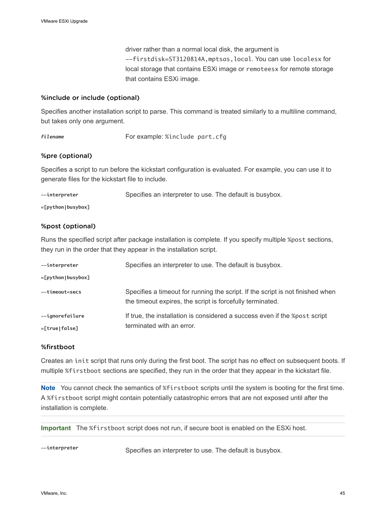driver rather than a normal local disk, the argument is --firstdisk=ST3120814A,mptsas,local. You can use localesx for local storage that contains ESXi image or remoteesx for remote storage that contains ESXi image.

#### %include or include (optional)

Specifies another installation script to parse. This command is treated similarly to a multiline command, but takes only one argument.

*filename* For example: %include part.cfg

#### %pre (optional)

Specifies a script to run before the kickstart configuration is evaluated. For example, you can use it to generate files for the kickstart file to include.

| --interpreter | Specifies an interpreter to use. The default is busybox. |  |
|---------------|----------------------------------------------------------|--|
|               |                                                          |  |

**=[python|busybox]**

#### %post (optional)

Runs the specified script after package installation is complete. If you specify multiple %post sections, they run in the order that they appear in the installation script.

| --interpreter                      | Specifies an interpreter to use. The default is busybox.                                                                                    |
|------------------------------------|---------------------------------------------------------------------------------------------------------------------------------------------|
| $=[python busybox]$                |                                                                                                                                             |
| --timeout=secs                     | Specifies a timeout for running the script. If the script is not finished when<br>the timeout expires, the script is forcefully terminated. |
| --ignorefailure<br>$=[true false]$ | If true, the installation is considered a success even if the %post script<br>terminated with an error.                                     |

#### %firstboot

Creates an init script that runs only during the first boot. The script has no effect on subsequent boots. If multiple %firstboot sections are specified, they run in the order that they appear in the kickstart file.

**Note** You cannot check the semantics of %firstboot scripts until the system is booting for the first time. A %firstboot script might contain potentially catastrophic errors that are not exposed until after the installation is complete.

**Important** The %firstboot script does not run, if secure boot is enabled on the ESXi host.

**--interpreter** Specifies an interpreter to use. The default is busybox.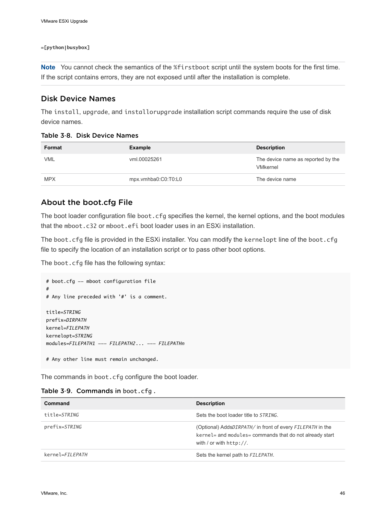#### <span id="page-45-0"></span>**=[python|busybox]**

**Note** You cannot check the semantics of the %firstboot script until the system boots for the first time. If the script contains errors, they are not exposed until after the installation is complete.

#### Disk Device Names

The install, upgrade, and installorupgrade installation script commands require the use of disk device names.

| Format     | Example             | <b>Description</b>                                    |
|------------|---------------------|-------------------------------------------------------|
| VML        | vml.00025261        | The device name as reported by the<br><b>VMkernel</b> |
| <b>MPX</b> | mpx.vmhba0:C0:T0:L0 | The device name                                       |

#### Table 3‑8. Disk Device Names

#### About the boot.cfg File

The boot loader configuration file boot.cfg specifies the kernel, the kernel options, and the boot modules that the mboot.c32 or mboot.efi boot loader uses in an ESXi installation.

The boot.cfg file is provided in the ESXi installer. You can modify the kernelopt line of the boot.cfg file to specify the location of an installation script or to pass other boot options.

The boot.cfg file has the following syntax:

```
# boot.cfg -- mboot configuration file
#
# Any line preceded with '#' is a comment.
title=STRING
prefix=DIRPATH
kernel=FILEPATH
kernelopt=STRING
modules=FILEPATH1 --- FILEPATH2... --- FILEPATHn
# Any other line must remain unchanged.
```
The commands in boot.cfg configure the boot loader.

|  |  | Table 3-9. Commands in boot.cfg. |
|--|--|----------------------------------|
|--|--|----------------------------------|

| Command         | <b>Description</b>                                                                                                                                 |  |
|-----------------|----------------------------------------------------------------------------------------------------------------------------------------------------|--|
| title=STRING    | Sets the boot loader title to <i>STRING</i> .                                                                                                      |  |
| prefix=STRING   | (Optional) AddsDIRPATH/ in front of every FILEPATH in the<br>kernel= and modules= commands that do not already start<br>with / or with $h$ ttp://. |  |
| kernel=FILEPATH | Sets the kernel path to FILEPATH.                                                                                                                  |  |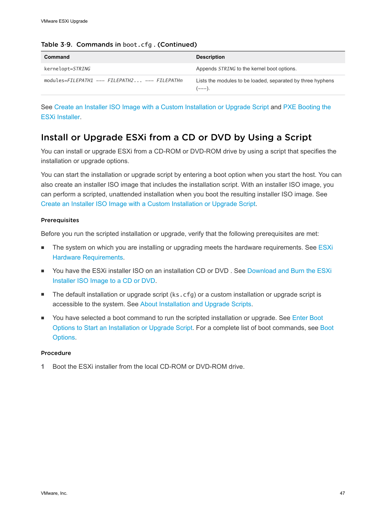| Command                                       | <b>Description</b>                                                   |
|-----------------------------------------------|----------------------------------------------------------------------|
| kernelopt=STRING                              | Appends STRING to the kernel boot options.                           |
| modules=FILEPATH1 --- FILEPATH2 --- FILEPATHn | Lists the modules to be loaded, separated by three hyphens<br>(---). |

#### Table 3-9. Commands in boot.cfg. (Continued)

See [Create an Installer ISO Image with a Custom Installation or Upgrade Script](#page-25-0) and [PXE Booting the](#page-26-0) [ESXi Installer](#page-26-0).

## Install or Upgrade ESXi from a CD or DVD by Using a Script

You can install or upgrade ESXi from a CD-ROM or DVD-ROM drive by using a script that specifies the installation or upgrade options.

You can start the installation or upgrade script by entering a boot option when you start the host. You can also create an installer ISO image that includes the installation script. With an installer ISO image, you can perform a scripted, unattended installation when you boot the resulting installer ISO image. See [Create an Installer ISO Image with a Custom Installation or Upgrade Script](#page-25-0).

#### **Prerequisites**

Before you run the scripted installation or upgrade, verify that the following prerequisites are met:

- The system on which you are installing or upgrading meets the hardware requirements. See [ESXi](#page-9-0) [Hardware Requirements](#page-9-0).
- You have the ESXi installer ISO on an installation CD or DVD . See [Download and Burn the ESXi](#page-21-0) [Installer ISO Image to a CD or DVD.](#page-21-0)
- The default installation or upgrade script (ks.cfg) or a custom installation or upgrade script is accessible to the system. See [About Installation and Upgrade Scripts.](#page-36-0)
- You have selected a boot command to run the scripted installation or upgrade. See [Enter Boot](#page-33-0) [Options to Start an Installation or Upgrade Script](#page-33-0). For a complete list of boot commands, see [Boot](#page-34-0) [Options](#page-34-0).

#### Procedure

**1** Boot the ESXi installer from the local CD-ROM or DVD-ROM drive.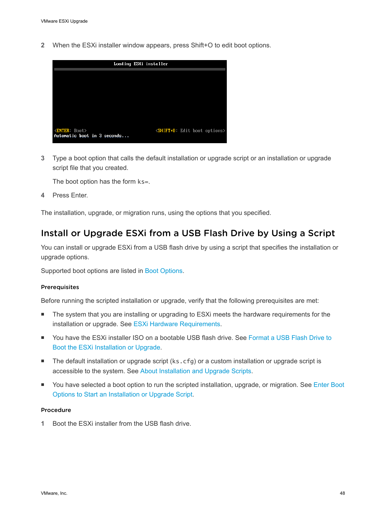**2** When the ESXi installer window appears, press Shift+O to edit boot options.



**3** Type a boot option that calls the default installation or upgrade script or an installation or upgrade script file that you created.

The boot option has the form ks=.

**4** Press Enter.

The installation, upgrade, or migration runs, using the options that you specified.

## Install or Upgrade ESXi from a USB Flash Drive by Using a Script

You can install or upgrade ESXi from a USB flash drive by using a script that specifies the installation or upgrade options.

Supported boot options are listed in [Boot Options.](#page-34-0)

#### Prerequisites

Before running the scripted installation or upgrade, verify that the following prerequisites are met:

- <sup>n</sup> The system that you are installing or upgrading to ESXi meets the hardware requirements for the installation or upgrade. See [ESXi Hardware Requirements.](#page-9-0)
- You have the ESXi installer ISO on a bootable USB flash drive. See [Format a USB Flash Drive to](#page-22-0) [Boot the ESXi Installation or Upgrade.](#page-22-0)
- The default installation or upgrade script (ks.cfg) or a custom installation or upgrade script is accessible to the system. See [About Installation and Upgrade Scripts.](#page-36-0)
- You have selected a boot option to run the scripted installation, upgrade, or migration. See [Enter Boot](#page-33-0) [Options to Start an Installation or Upgrade Script](#page-33-0).

#### Procedure

**1** Boot the ESXi installer from the USB flash drive.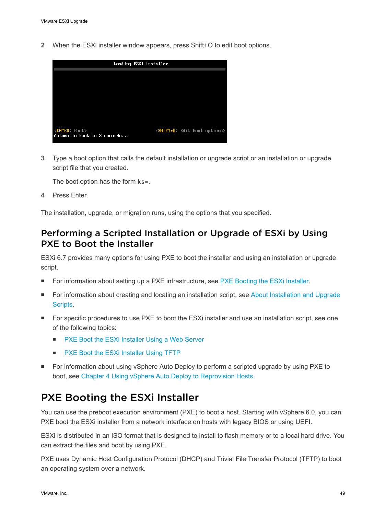**2** When the ESXi installer window appears, press Shift+O to edit boot options.



**3** Type a boot option that calls the default installation or upgrade script or an installation or upgrade script file that you created.

The boot option has the form ks=.

**4** Press Enter.

The installation, upgrade, or migration runs, using the options that you specified.

### Performing a Scripted Installation or Upgrade of ESXi by Using PXE to Boot the Installer

ESXi 6.7 provides many options for using PXE to boot the installer and using an installation or upgrade script.

- For information about setting up a PXE infrastructure, see [PXE Booting the ESXi Installer](#page-26-0).
- For information about creating and locating an installation script, see [About Installation and Upgrade](#page-36-0) [Scripts.](#page-36-0)
- For specific procedures to use PXE to boot the ESXi installer and use an installation script, see one of the following topics:
	- [PXE Boot the ESXi Installer Using a Web Server](#page-52-0)
	- [PXE Boot the ESXi Installer Using TFTP](#page-50-0)
- For information about using vSphere Auto Deploy to perform a scripted upgrade by using PXE to boot, see [Chapter 4 Using vSphere Auto Deploy to Reprovision Hosts.](#page-73-0)

# PXE Booting the ESXi Installer

You can use the preboot execution environment (PXE) to boot a host. Starting with vSphere 6.0, you can PXE boot the ESXi installer from a network interface on hosts with legacy BIOS or using UEFI.

ESXi is distributed in an ISO format that is designed to install to flash memory or to a local hard drive. You can extract the files and boot by using PXE.

PXE uses Dynamic Host Configuration Protocol (DHCP) and Trivial File Transfer Protocol (TFTP) to boot an operating system over a network.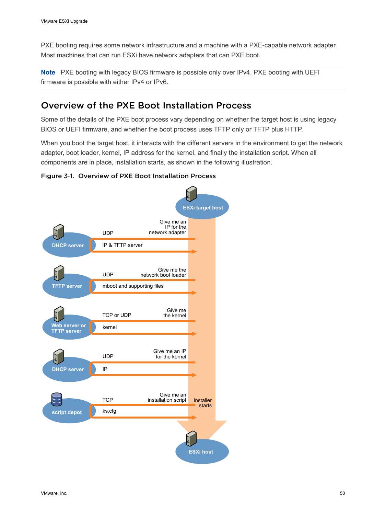PXE booting requires some network infrastructure and a machine with a PXE-capable network adapter. Most machines that can run ESXi have network adapters that can PXE boot.

**Note** PXE booting with legacy BIOS firmware is possible only over IPv4. PXE booting with UEFI firmware is possible with either IPv4 or IPv6.

## Overview of the PXE Boot Installation Process

Some of the details of the PXE boot process vary depending on whether the target host is using legacy BIOS or UEFI firmware, and whether the boot process uses TFTP only or TFTP plus HTTP.

When you boot the target host, it interacts with the different servers in the environment to get the network adapter, boot loader, kernel, IP address for the kernel, and finally the installation script. When all components are in place, installation starts, as shown in the following illustration.

#### Figure 3‑1. Overview of PXE Boot Installation Process

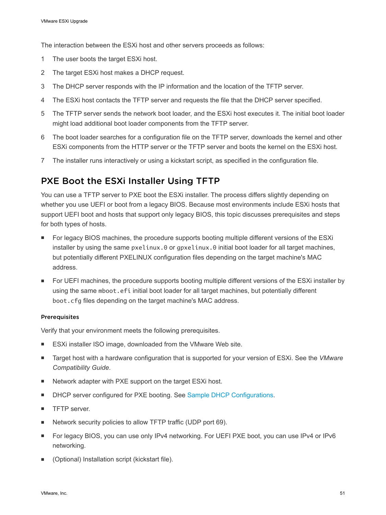<span id="page-50-0"></span>The interaction between the ESXi host and other servers proceeds as follows:

- 1 The user boots the target ESXi host.
- 2 The target ESXi host makes a DHCP request.
- 3 The DHCP server responds with the IP information and the location of the TFTP server.
- 4 The ESXi host contacts the TFTP server and requests the file that the DHCP server specified.
- 5 The TFTP server sends the network boot loader, and the ESXi host executes it. The initial boot loader might load additional boot loader components from the TFTP server.
- 6 The boot loader searches for a configuration file on the TFTP server, downloads the kernel and other ESXi components from the HTTP server or the TFTP server and boots the kernel on the ESXi host.
- 7 The installer runs interactively or using a kickstart script, as specified in the configuration file.

## PXE Boot the ESXi Installer Using TFTP

You can use a TFTP server to PXE boot the ESXi installer. The process differs slightly depending on whether you use UEFI or boot from a legacy BIOS. Because most environments include ESXi hosts that support UEFI boot and hosts that support only legacy BIOS, this topic discusses prerequisites and steps for both types of hosts.

- For legacy BIOS machines, the procedure supports booting multiple different versions of the ESXi installer by using the same pxelinux.0 or gpxelinux.0 initial boot loader for all target machines, but potentially different PXELINUX configuration files depending on the target machine's MAC address.
- For UEFI machines, the procedure supports booting multiple different versions of the ESXi installer by using the same mboot.efi initial boot loader for all target machines, but potentially different boot.cfg files depending on the target machine's MAC address.

#### Prerequisites

Verify that your environment meets the following prerequisites.

- ESXi installer ISO image, downloaded from the VMware Web site.
- **n** Target host with a hardware configuration that is supported for your version of ESXi. See the *VMware Compatibility Guide*.
- Network adapter with PXE support on the target ESXi host.
- **NORET SERVER CONFIGURED FIGHT OF DEAT ASSET CONFIGURATION FIGHT CONFIGURATIONS.**
- **n** TFTP server.
- <sup>n</sup> Network security policies to allow TFTP traffic (UDP port 69).
- For legacy BIOS, you can use only IPv4 networking. For UEFI PXE boot, you can use IPv4 or IPv6 networking.
- (Optional) Installation script (kickstart file).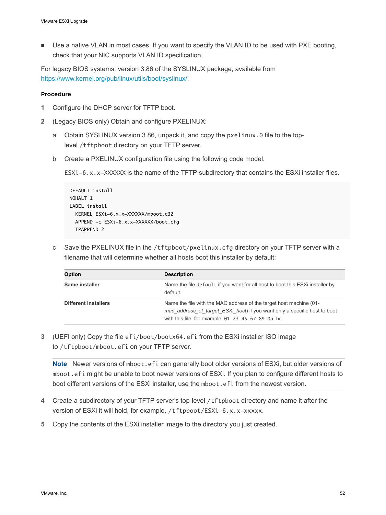■ Use a native VLAN in most cases. If you want to specify the VLAN ID to be used with PXE booting, check that your NIC supports VLAN ID specification.

For legacy BIOS systems, version 3.86 of the SYSLINUX package, available from <https://www.kernel.org/pub/linux/utils/boot/syslinux/>.

#### Procedure

- **1** Configure the DHCP server for TFTP boot.
- **2** (Legacy BIOS only) Obtain and configure PXELINUX:
	- a Obtain SYSLINUX version 3.86, unpack it, and copy the pxelinux.0 file to the toplevel /tftpboot directory on your TFTP server.
	- b Create a PXELINUX configuration file using the following code model.

ESXi-6.x.x-XXXXXX is the name of the TFTP subdirectory that contains the ESXi installer files.

```
DEFAULT install
NOHALT 1
LABEL install
   KERNEL ESXi-6.x.x-XXXXXX/mboot.c32 
  APPEND -c ESXi-6.x.x-XXXXXX/boot.cfg
   IPAPPEND 2
```
c Save the PXELINUX file in the /tftpboot/pxelinux.cfg directory on your TFTP server with a filename that will determine whether all hosts boot this installer by default:

| Option                      | <b>Description</b>                                                                                                                                                                                       |
|-----------------------------|----------------------------------------------------------------------------------------------------------------------------------------------------------------------------------------------------------|
| Same installer              | Name the file default if you want for all host to boot this ESXi installer by<br>default.                                                                                                                |
| <b>Different installers</b> | Name the file with the MAC address of the target host machine (01-<br>mac address of target ESXi host) if you want only a specific host to boot<br>with this file, for example, $01-23-45-67-89-0a-bc$ . |

**3** (UEFI only) Copy the file efi/boot/bootx64.efi from the ESXi installer ISO image to /tftpboot/mboot.efi on your TFTP server.

**Note** Newer versions of mboot.efi can generally boot older versions of ESXi, but older versions of mboot.efi might be unable to boot newer versions of ESXi. If you plan to configure different hosts to boot different versions of the ESXi installer, use the mboot.efi from the newest version.

- **4** Create a subdirectory of your TFTP server's top-level /tftpboot directory and name it after the version of ESXi it will hold, for example, /tftpboot/ESXi-6.x.x-xxxxx.
- **5** Copy the contents of the ESXi installer image to the directory you just created.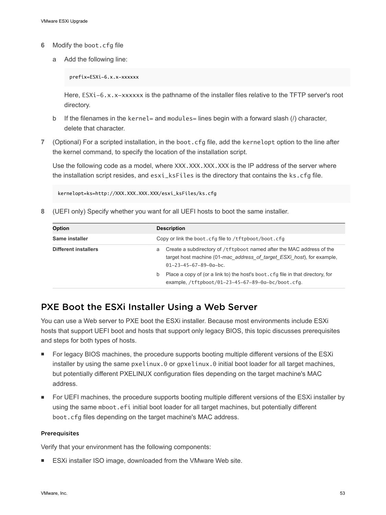- <span id="page-52-0"></span>**6** Modify the boot.cfg file
	- a Add the following line:

prefix=ESXi-6.x.x-xxxxxx

Here, ESXi-6.x.x-xxxxxx is the pathname of the installer files relative to the TFTP server's root directory.

- b If the filenames in the kernel= and modules= lines begin with a forward slash  $(1)$  character, delete that character.
- **7** (Optional) For a scripted installation, in the boot.cfg file, add the kernelopt option to the line after the kernel command, to specify the location of the installation script.

Use the following code as a model, where XXX, XXX, XXX, XXX is the IP address of the server where the installation script resides, and esxi\_ksFiles is the directory that contains the ks.cfg file.

kernelopt=ks=http://XXX.XXX.XXX.XXX/esxi\_ksFiles/ks.cfg

**8** (UEFI only) Specify whether you want for all UEFI hosts to boot the same installer.

| <b>Option</b>               | <b>Description</b>                                                                                                                                                                         |  |  |
|-----------------------------|--------------------------------------------------------------------------------------------------------------------------------------------------------------------------------------------|--|--|
| Same installer              | Copy or link the boot.cfg file to /tftpboot/boot.cfg                                                                                                                                       |  |  |
| <b>Different installers</b> | Create a subdirectory of /tftpboot named after the MAC address of the<br>a<br>target host machine (01-mac address of target ESXi host), for example,<br>$01 - 23 - 45 - 67 - 89 - 0a - bc$ |  |  |
|                             | Place a copy of (or a link to) the host's boot. cfq file in that directory, for<br>b<br>example, /tftpboot/01-23-45-67-89-0a-bc/boot.cfg.                                                  |  |  |

### PXE Boot the ESXi Installer Using a Web Server

You can use a Web server to PXE boot the ESXi installer. Because most environments include ESXi hosts that support UEFI boot and hosts that support only legacy BIOS, this topic discusses prerequisites and steps for both types of hosts.

- **For legacy BIOS machines, the procedure supports booting multiple different versions of the ESXi** installer by using the same pxelinux.0 or gpxelinux.0 initial boot loader for all target machines, but potentially different PXELINUX configuration files depending on the target machine's MAC address.
- For UEFI machines, the procedure supports booting multiple different versions of the ESXi installer by using the same mboot.efi initial boot loader for all target machines, but potentially different boot.cfg files depending on the target machine's MAC address.

#### Prerequisites

Verify that your environment has the following components:

■ ESXi installer ISO image, downloaded from the VMware Web site.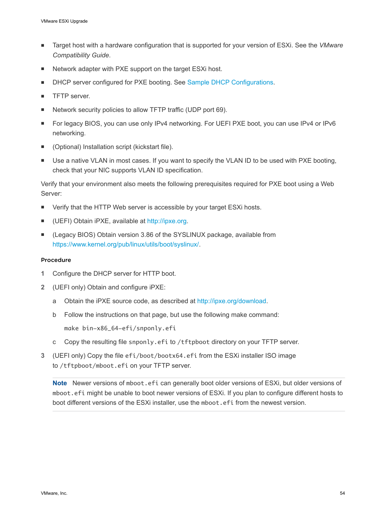- Target host with a hardware configuration that is supported for your version of ESXi. See the *VMware Compatibility Guide*.
- Network adapter with PXE support on the target ESXi host.
- DHCP server configured for PXE booting. See [Sample DHCP Configurations.](#page-26-0)
- **TFTP** server.
- Network security policies to allow TFTP traffic (UDP port 69).
- For legacy BIOS, you can use only IPv4 networking. For UEFI PXE boot, you can use IPv4 or IPv6 networking.
- (Optional) Installation script (kickstart file).
- Use a native VLAN in most cases. If you want to specify the VLAN ID to be used with PXE booting, check that your NIC supports VLAN ID specification.

Verify that your environment also meets the following prerequisites required for PXE boot using a Web Server:

- Verify that the HTTP Web server is accessible by your target ESXi hosts.
- (UEFI) Obtain iPXE, available at <http://ipxe.org>.
- (Legacy BIOS) Obtain version 3.86 of the SYSLINUX package, available from <https://www.kernel.org/pub/linux/utils/boot/syslinux/>.

#### Procedure

- **1** Configure the DHCP server for HTTP boot.
- **2** (UEFI only) Obtain and configure iPXE:
	- a Obtain the iPXE source code, as described at [http://ipxe.org/download.](http://ipxe.org/download)
	- b Follow the instructions on that page, but use the following make command: make bin-x86\_64-efi/snponly.efi
	- c Copy the resulting file snponly.efi to /tftpboot directory on your TFTP server.
- **3** (UEFI only) Copy the file efi/boot/bootx64.efi from the ESXi installer ISO image to /tftpboot/mboot.efi on your TFTP server.

**Note** Newer versions of mboot.efi can generally boot older versions of ESXi, but older versions of mboot.efi might be unable to boot newer versions of ESXi. If you plan to configure different hosts to boot different versions of the ESXi installer, use the mboot.efi from the newest version.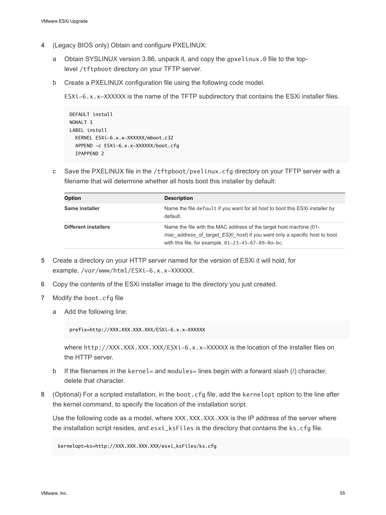- **4** (Legacy BIOS only) Obtain and configure PXELINUX:
	- a Obtain SYSLINUX version 3.86, unpack it, and copy the gpxelinux.0 file to the toplevel /tftpboot directory on your TFTP server.
	- b Create a PXELINUX configuration file using the following code model.

ESXi-6.x.x-XXXXXX is the name of the TFTP subdirectory that contains the ESXi installer files.

```
DEFAULT install
NOHALT 1
LABEL install
  KERNEL ESXi-6.x.x-XXXXXX/mboot.c32 
  APPEND -c ESXi-6.x.x-XXXXXX/boot.cfg
  IPAPPEND 2
```
c Save the PXELINUX file in the /tftpboot/pxelinux.cfg directory on your TFTP server with a filename that will determine whether all hosts boot this installer by default:

| <b>Option</b>               | <b>Description</b>                                                                                                                                                                                       |
|-----------------------------|----------------------------------------------------------------------------------------------------------------------------------------------------------------------------------------------------------|
| Same installer              | Name the file default if you want for all host to boot this ESXi installer by<br>default.                                                                                                                |
| <b>Different installers</b> | Name the file with the MAC address of the target host machine (01-<br>mac address of target ESXi host) if you want only a specific host to boot<br>with this file, for example, $01-23-45-67-89-0a-bc$ . |

- **5** Create a directory on your HTTP server named for the version of ESXi it will hold, for example, /var/www/html/ESXi-6.x.x-XXXXXX.
- **6** Copy the contents of the ESXi installer image to the directory you just created.
- **7** Modify the boot.cfg file
	- a Add the following line:

prefix=http://XXX.XXX.XXX.XXX/ESXi-6.x.x-XXXXXX

where http://XXX.XXX.XXX.XXX/ESXi-6.x.x-XXXXXX is the location of the installer files on the HTTP server.

- b If the filenames in the kernel = and modules = lines begin with a forward slash  $\ell$ ) character, delete that character.
- **8** (Optional) For a scripted installation, in the boot.cfg file, add the kernelopt option to the line after the kernel command, to specify the location of the installation script.

Use the following code as a model, where XXX.XXX.XXX.XXX is the IP address of the server where the installation script resides, and esxi\_ksFiles is the directory that contains the ks.cfg file.

kernelopt=ks=http://XXX.XXX.XXX.XXX/esxi\_ksFiles/ks.cfg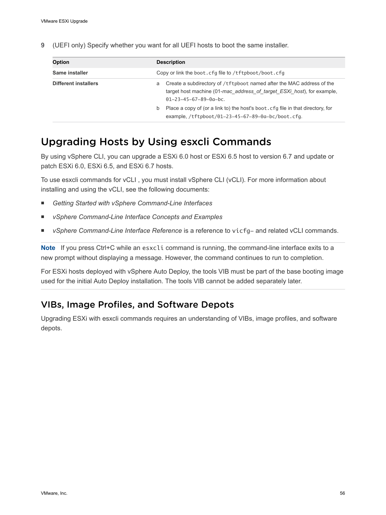**9** (UEFI only) Specify whether you want for all UEFI hosts to boot the same installer.

| <b>Option</b>        | <b>Description</b>                                                                                                                                                                                                                                                                                                                      |  |
|----------------------|-----------------------------------------------------------------------------------------------------------------------------------------------------------------------------------------------------------------------------------------------------------------------------------------------------------------------------------------|--|
| Same installer       | Copy or link the boot.cfg file to /tftpboot/boot.cfg                                                                                                                                                                                                                                                                                    |  |
| Different installers | Create a subdirectory of /tftpboot named after the MAC address of the<br>a<br>target host machine (01-mac address of target ESXi host), for example,<br>$01 - 23 - 45 - 67 - 89 - 0a - bc$<br>Place a copy of (or a link to) the host's boot, cfq file in that directory, for<br>b<br>example, /tftpboot/01-23-45-67-89-0a-bc/boot.cfg. |  |
|                      |                                                                                                                                                                                                                                                                                                                                         |  |

# Upgrading Hosts by Using esxcli Commands

By using vSphere CLI, you can upgrade a ESXi 6.0 host or ESXi 6.5 host to version 6.7 and update or patch ESXi 6.0, ESXi 6.5, and ESXi 6.7 hosts.

To use esxcli commands for vCLI , you must install vSphere CLI (vCLI). For more information about installing and using the vCLI, see the following documents:

- Getting Started with vSphere Command-Line Interfaces
- *vSphere Command-Line Interface Concepts and Examples*
- **•** *vSphere Command-Line Interface Reference* is a reference to vicfg- and related vCLI commands.

**Note** If you press Ctrl+C while an esxcli command is running, the command-line interface exits to a new prompt without displaying a message. However, the command continues to run to completion.

For ESXi hosts deployed with vSphere Auto Deploy, the tools VIB must be part of the base booting image used for the initial Auto Deploy installation. The tools VIB cannot be added separately later.

## VIBs, Image Profiles, and Software Depots

Upgrading ESXi with esxcli commands requires an understanding of VIBs, image profiles, and software depots.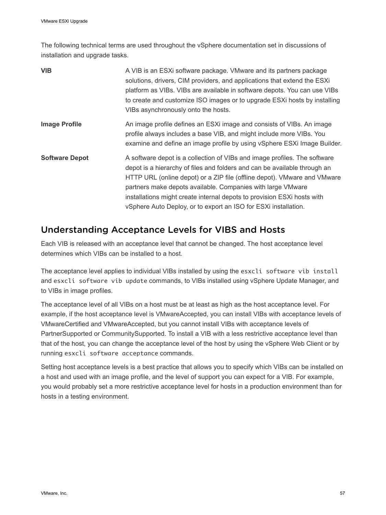The following technical terms are used throughout the vSphere documentation set in discussions of installation and upgrade tasks.

| <b>VIB</b>            | A VIB is an ESXi software package. VMware and its partners package<br>solutions, drivers, CIM providers, and applications that extend the ESXi<br>platform as VIBs. VIBs are available in software depots. You can use VIBs<br>to create and customize ISO images or to upgrade ESXi hosts by installing<br>VIBs asynchronously onto the hosts.                                                                                                 |
|-----------------------|-------------------------------------------------------------------------------------------------------------------------------------------------------------------------------------------------------------------------------------------------------------------------------------------------------------------------------------------------------------------------------------------------------------------------------------------------|
| <b>Image Profile</b>  | An image profile defines an ESXI image and consists of VIBs. An image<br>profile always includes a base VIB, and might include more VIBs. You<br>examine and define an image profile by using vSphere ESXi Image Builder.                                                                                                                                                                                                                       |
| <b>Software Depot</b> | A software depot is a collection of VIBs and image profiles. The software<br>depot is a hierarchy of files and folders and can be available through an<br>HTTP URL (online depot) or a ZIP file (offline depot). VMware and VMware<br>partners make depots available. Companies with large VMware<br>installations might create internal depots to provision ESXi hosts with<br>vSphere Auto Deploy, or to export an ISO for ESXi installation. |

### Understanding Acceptance Levels for VIBS and Hosts

Each VIB is released with an acceptance level that cannot be changed. The host acceptance level determines which VIBs can be installed to a host.

The acceptance level applies to individual VIBs installed by using the esxcli software vib install and esxcli software vib update commands, to VIBs installed using vSphere Update Manager, and to VIBs in image profiles.

The acceptance level of all VIBs on a host must be at least as high as the host acceptance level. For example, if the host acceptance level is VMwareAccepted, you can install VIBs with acceptance levels of VMwareCertified and VMwareAccepted, but you cannot install VIBs with acceptance levels of PartnerSupported or CommunitySupported. To install a VIB with a less restrictive acceptance level than that of the host, you can change the acceptance level of the host by using the vSphere Web Client or by running esxcli software acceptance commands.

Setting host acceptance levels is a best practice that allows you to specify which VIBs can be installed on a host and used with an image profile, and the level of support you can expect for a VIB. For example, you would probably set a more restrictive acceptance level for hosts in a production environment than for hosts in a testing environment.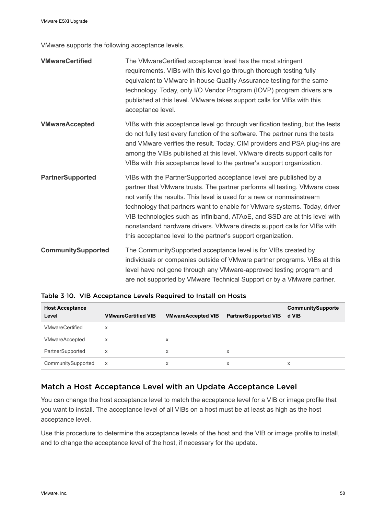VMware supports the following acceptance levels.

| <b>VMwareCertified</b>    | The VMwareCertified acceptance level has the most stringent<br>requirements. VIBs with this level go through thorough testing fully<br>equivalent to VMware in-house Quality Assurance testing for the same<br>technology. Today, only I/O Vendor Program (IOVP) program drivers are<br>published at this level. VMware takes support calls for VIBs with this<br>acceptance level.                                                                                                                                             |
|---------------------------|---------------------------------------------------------------------------------------------------------------------------------------------------------------------------------------------------------------------------------------------------------------------------------------------------------------------------------------------------------------------------------------------------------------------------------------------------------------------------------------------------------------------------------|
| <b>VMwareAccepted</b>     | VIBs with this acceptance level go through verification testing, but the tests<br>do not fully test every function of the software. The partner runs the tests<br>and VMware verifies the result. Today, CIM providers and PSA plug-ins are<br>among the VIBs published at this level. VMware directs support calls for<br>VIBs with this acceptance level to the partner's support organization.                                                                                                                               |
| <b>PartnerSupported</b>   | VIBs with the PartnerSupported acceptance level are published by a<br>partner that VMware trusts. The partner performs all testing. VMware does<br>not verify the results. This level is used for a new or nonmainstream<br>technology that partners want to enable for VMware systems. Today, driver<br>VIB technologies such as Infiniband, ATAoE, and SSD are at this level with<br>nonstandard hardware drivers. VMware directs support calls for VIBs with<br>this acceptance level to the partner's support organization. |
| <b>CommunitySupported</b> | The CommunitySupported acceptance level is for VIBs created by<br>individuals or companies outside of VMware partner programs. VIBs at this<br>level have not gone through any VMware-approved testing program and<br>are not supported by VMware Technical Support or by a VMware partner.                                                                                                                                                                                                                                     |

| <b>Host Acceptance</b><br>Level | <b>VMwareCertified VIB</b> | <b>VMwareAccepted VIB</b> | <b>PartnerSupported VIB</b> | <b>CommunitySupporte</b><br>d VIB |
|---------------------------------|----------------------------|---------------------------|-----------------------------|-----------------------------------|
| <b>VMwareCertified</b>          | X                          |                           |                             |                                   |
| VMwareAccepted                  | X                          | x                         |                             |                                   |
| PartnerSupported                | X                          | x                         | x                           |                                   |
| CommunitySupported              | x                          | x                         | x                           | X                                 |

#### Table 3‑10. VIB Acceptance Levels Required to Install on Hosts

#### Match a Host Acceptance Level with an Update Acceptance Level

You can change the host acceptance level to match the acceptance level for a VIB or image profile that you want to install. The acceptance level of all VIBs on a host must be at least as high as the host acceptance level.

Use this procedure to determine the acceptance levels of the host and the VIB or image profile to install, and to change the acceptance level of the host, if necessary for the update.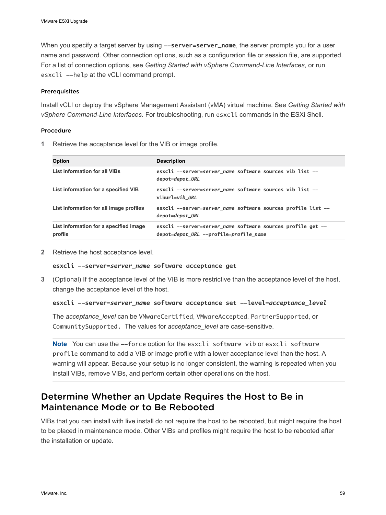<span id="page-58-0"></span>When you specify a target server by using  $--server = server_name$ , the server prompts you for a user name and password. Other connection options, such as a configuration file or session file, are supported. For a list of connection options, see *Getting Started with vSphere Command-Line Interfaces*, or run esxcli --help at the vCLI command prompt.

#### **Prerequisites**

Install vCLI or deploy the vSphere Management Assistant (vMA) virtual machine. See *Getting Started with vSphere Command-Line Interfaces*. For troubleshooting, run esxcli commands in the ESXi Shell.

#### Procedure

**1** Retrieve the acceptance level for the VIB or image profile.

| <b>Description</b>                                                                                    |
|-------------------------------------------------------------------------------------------------------|
| esxcli --server=server_name software sources vib list --<br>depot=depot_URL                           |
| esxcli --server=server_name software sources vib list --<br>viburl=vib URL                            |
| esxcli --server=server_name software sources profile list --<br>depot=depot_URL                       |
| esxcli --server=server_name software sources profile get --<br>depot=depot_URL --profile=profile_name |
|                                                                                                       |

**2** Retrieve the host acceptance level.

**esxcli --server=***server\_name* **software acceptance get**

**3** (Optional) If the acceptance level of the VIB is more restrictive than the acceptance level of the host, change the acceptance level of the host.

```
esxcli --server=server_name software acceptance set --level=acceptance_level
```
The *acceptance\_level* can be VMwareCertified, VMwareAccepted, PartnerSupported, or CommunitySupported. The values for *acceptance\_level* are case-sensitive.

**Note** You can use the --force option for the esxcli software vib or esxcli software profile command to add a VIB or image profile with a lower acceptance level than the host. A warning will appear. Because your setup is no longer consistent, the warning is repeated when you install VIBs, remove VIBs, and perform certain other operations on the host.

### Determine Whether an Update Requires the Host to Be in Maintenance Mode or to Be Rebooted

VIBs that you can install with live install do not require the host to be rebooted, but might require the host to be placed in maintenance mode. Other VIBs and profiles might require the host to be rebooted after the installation or update.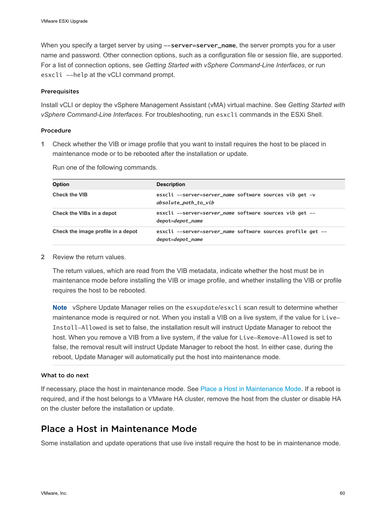<span id="page-59-0"></span>When you specify a target server by using  $--server = server_name$ , the server prompts you for a user name and password. Other connection options, such as a configuration file or session file, are supported. For a list of connection options, see *Getting Started with vSphere Command-Line Interfaces*, or run esxcli --help at the vCLI command prompt.

#### **Prerequisites**

Install vCLI or deploy the vSphere Management Assistant (vMA) virtual machine. See *Getting Started with vSphere Command-Line Interfaces*. For troubleshooting, run esxcli commands in the ESXi Shell.

#### Procedure

**1** Check whether the VIB or image profile that you want to install requires the host to be placed in maintenance mode or to be rebooted after the installation or update.

| <b>Option</b>                      | <b>Description</b>                                                              |
|------------------------------------|---------------------------------------------------------------------------------|
| <b>Check the VIB</b>               | esxcli --server=server_name software sources vib get -v<br>absolute_path_to_vib |
| Check the VIBs in a depot          | esxcli --server=server_name software sources vib get --<br>depot=depot_name     |
| Check the image profile in a depot | esxcli --server=server_name software sources profile get --<br>depot=depot_name |

Run one of the following commands.

**2** Review the return values.

The return values, which are read from the VIB metadata, indicate whether the host must be in maintenance mode before installing the VIB or image profile, and whether installing the VIB or profile requires the host to be rebooted.

**Note** vSphere Update Manager relies on the esxupdate/esxcli scan result to determine whether maintenance mode is required or not. When you install a VIB on a live system, if the value for Live-Install-Allowed is set to false, the installation result will instruct Update Manager to reboot the host. When you remove a VIB from a live system, if the value for Live-Remove-Allowed is set to false, the removal result will instruct Update Manager to reboot the host. In either case, during the reboot, Update Manager will automatically put the host into maintenance mode.

#### What to do next

If necessary, place the host in maintenance mode. See Place a Host in Maintenance Mode. If a reboot is required, and if the host belongs to a VMware HA cluster, remove the host from the cluster or disable HA on the cluster before the installation or update.

## Place a Host in Maintenance Mode

Some installation and update operations that use live install require the host to be in maintenance mode.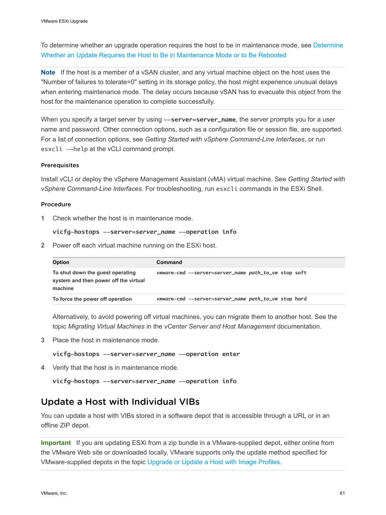To determine whether an upgrade operation requires the host to be in maintenance mode, see [Determine](#page-58-0) [Whether an Update Requires the Host to Be in Maintenance Mode or to Be Rebooted](#page-58-0)

**Note** If the host is a member of a vSAN cluster, and any virtual machine object on the host uses the "Number of failures to tolerate=0" setting in its storage policy, the host might experience unusual delays when entering maintenance mode. The delay occurs because vSAN has to evacuate this object from the host for the maintenance operation to complete successfully.

When you specify a target server by using  $--server = server_name$ , the server prompts you for a user name and password. Other connection options, such as a configuration file or session file, are supported. For a list of connection options, see *Getting Started with vSphere Command-Line Interfaces*, or run esxcli --help at the vCLI command prompt.

#### Prerequisites

Install vCLI or deploy the vSphere Management Assistant (vMA) virtual machine. See *Getting Started with vSphere Command-Line Interfaces*. For troubleshooting, run esxcli commands in the ESXi Shell.

#### Procedure

**1** Check whether the host is in maintenance mode.

#### **vicfg-hostops --server=***server\_name* **--operation info**

**2** Power off each virtual machine running on the ESXi host.

| <b>Option</b>                                                                        | Command                                              |
|--------------------------------------------------------------------------------------|------------------------------------------------------|
| To shut down the guest operating<br>system and then power off the virtual<br>machine | vmware-cmd --server=server_name path_to_vm stop soft |
| To force the power off operation                                                     | vmware-cmd --server=server_name path_to_vm stop hard |

Alternatively, to avoid powering off virtual machines, you can migrate them to another host. See the topic *Migrating Virtual Machines* in the *vCenter Server and Host Management* documentation.

**3** Place the host in maintenance mode.

**vicfg-hostops --server=***server\_name* **--operation enter**

**4** Verify that the host is in maintenance mode.

```
vicfg-hostops --server=server_name --operation info
```
### Update a Host with Individual VIBs

You can update a host with VIBs stored in a software depot that is accessible through a URL or in an offline ZIP depot.

**Important** If you are updating ESXi from a zip bundle in a VMware-supplied depot, either online from the VMware Web site or downloaded locally, VMware supports only the update method specified for VMware-supplied depots in the topic [Upgrade or Update a Host with Image Profiles.](#page-62-0)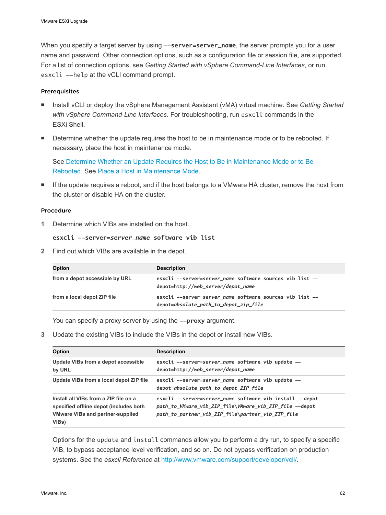When you specify a target server by using --server=server\_name, the server prompts you for a user name and password. Other connection options, such as a configuration file or session file, are supported. For a list of connection options, see *Getting Started with vSphere Command-Line Interfaces*, or run esxcli --help at the vCLI command prompt.

#### **Prerequisites**

- **n** Install vCLI or deploy the vSphere Management Assistant (vMA) virtual machine. See *Getting Started with vSphere Command-Line Interfaces*. For troubleshooting, run esxcli commands in the ESXi Shell.
- **•** Determine whether the update requires the host to be in maintenance mode or to be rebooted. If necessary, place the host in maintenance mode.

See [Determine Whether an Update Requires the Host to Be in Maintenance Mode or to Be](#page-58-0) [Rebooted](#page-58-0). See [Place a Host in Maintenance Mode.](#page-59-0)

**n** If the update requires a reboot, and if the host belongs to a VMware HA cluster, remove the host from the cluster or disable HA on the cluster.

#### Procedure

**1** Determine which VIBs are installed on the host.

```
esxcli --server=server_name software vib list
```
**2** Find out which VIBs are available in the depot.

| Option                         | <b>Description</b>                                                                                |
|--------------------------------|---------------------------------------------------------------------------------------------------|
| from a depot accessible by URL | esxcli --server=server_name software sources vib list --<br>depot=http://web_server/depot_name    |
| from a local depot ZIP file    | esxcli --server=server_name software sources vib list --<br>depot=absolute_path_to_depot_zip_file |

You can specify a proxy server by using the  $-\text{prox}$  argument.

**3** Update the existing VIBs to include the VIBs in the depot or install new VIBs.

| <b>Option</b>                                                                                                                       | <b>Description</b>                                                                                                                                                       |
|-------------------------------------------------------------------------------------------------------------------------------------|--------------------------------------------------------------------------------------------------------------------------------------------------------------------------|
| Update VIBs from a depot accessible<br>by URL                                                                                       | esxcli --server=server_name software vib update --<br>depot=http://web_server/depot_name                                                                                 |
| Update VIBs from a local depot ZIP file                                                                                             | esxcli --server=server_name software vib update --<br>depot=absolute_path_to_depot_ZIP_file                                                                              |
| Install all VIBs from a ZIP file on a<br>specified offline depot (includes both<br><b>VMware VIBs and partner-supplied</b><br>VIBs) | esxcli --server=server_name software vib install --depot<br>path_to_VMware_vib_ZIP_file\VMware_vib_ZIP_file --depot<br>path_to_partner_vib_ZIP_file\partner_vib_ZIP_file |

Options for the update and install commands allow you to perform a dry run, to specify a specific VIB, to bypass acceptance level verification, and so on. Do not bypass verification on production systems. See the *esxcli Reference* at [http://www.vmware.com/support/developer/vcli/.](http://www.vmware.com/support/developer/vcli/)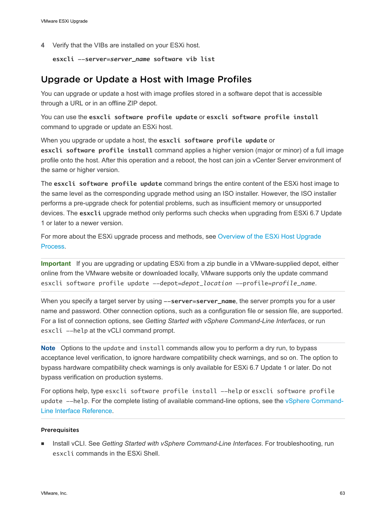<span id="page-62-0"></span>**4** Verify that the VIBs are installed on your ESXi host.

```
esxcli --server=server_name software vib list
```
### Upgrade or Update a Host with Image Profiles

You can upgrade or update a host with image profiles stored in a software depot that is accessible through a URL or in an offline ZIP depot.

You can use the **esxcli software profile update** or **esxcli software profile install** command to upgrade or update an ESXi host.

When you upgrade or update a host, the **esxcli software profile update** or **esxcli software profile install** command applies a higher version (major or minor) of a full image profile onto the host. After this operation and a reboot, the host can join a vCenter Server environment of the same or higher version.

The **esxcli software profile update** command brings the entire content of the ESXi host image to the same level as the corresponding upgrade method using an ISO installer. However, the ISO installer performs a pre-upgrade check for potential problems, such as insufficient memory or unsupported devices. The **esxcli** upgrade method only performs such checks when upgrading from ESXi 6.7 Update 1 or later to a newer version.

For more about the ESXi upgrade process and methods, see Overview of the ESXi Host Upgrade Process.

**Important** If you are upgrading or updating ESXi from a zip bundle in a VMware-supplied depot, either online from the VMware website or downloaded locally, VMware supports only the update command esxcli software profile update --depot=*depot\_location* --profile=*profile\_name*.

When you specify a target server by using  $--server = server_name$ , the server prompts you for a user name and password. Other connection options, such as a configuration file or session file, are supported. For a list of connection options, see *Getting Started with vSphere Command-Line Interfaces*, or run esxcli --help at the vCLI command prompt.

**Note** Options to the update and install commands allow you to perform a dry run, to bypass acceptance level verification, to ignore hardware compatibility check warnings, and so on. The option to bypass hardware compatibility check warnings is only available for ESXi 6.7 Update 1 or later. Do not bypass verification on production systems.

For options help, type esxcli software profile install --help or esxcli software profile update --help. For the complete listing of available command-line options, see the [vSphere Command-](https://code.vmware.com/web/dp/tool/vsphere-cli)[Line Interface Reference.](https://code.vmware.com/web/dp/tool/vsphere-cli)

#### Prerequisites

**n** Install vCLI. See *Getting Started with vSphere Command-Line Interfaces*. For troubleshooting, run esxcli commands in the ESXi Shell.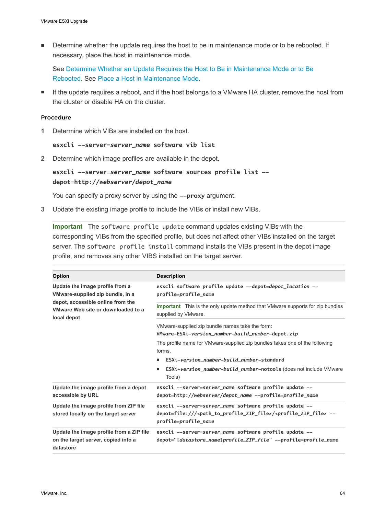**•** Determine whether the update requires the host to be in maintenance mode or to be rebooted. If necessary, place the host in maintenance mode.

See [Determine Whether an Update Requires the Host to Be in Maintenance Mode or to Be](#page-58-0) [Rebooted](#page-58-0). See [Place a Host in Maintenance Mode.](#page-59-0)

**F** If the update requires a reboot, and if the host belongs to a VMware HA cluster, remove the host from the cluster or disable HA on the cluster.

#### Procedure

**1** Determine which VIBs are installed on the host.

#### **esxcli --server=***server\_name* **software vib list**

**2** Determine which image profiles are available in the depot.

#### **esxcli --server=***server\_name* **software sources profile list - depot=http://***webserver***/***depot\_name*

You can specify a proxy server by using the  $-\text{proxy}$  argument.

**3** Update the existing image profile to include the VIBs or install new VIBs.

**Important** The software profile update command updates existing VIBs with the corresponding VIBs from the specified profile, but does not affect other VIBs installed on the target server. The software profile install command installs the VIBs present in the depot image profile, and removes any other VIBS installed on the target server.

| Option                                                                                                                                                        | <b>Description</b>                                                                                                                                                                                      |
|---------------------------------------------------------------------------------------------------------------------------------------------------------------|---------------------------------------------------------------------------------------------------------------------------------------------------------------------------------------------------------|
| Update the image profile from a<br>VMware-supplied zip bundle, in a<br>depot, accessible online from the<br>VMware Web site or downloaded to a<br>local depot | esxcli software profile update --depot=depot_location --<br>profile=profile_name                                                                                                                        |
|                                                                                                                                                               | <b>Important</b> This is the only update method that VMware supports for zip bundles<br>supplied by VMware.                                                                                             |
|                                                                                                                                                               | VMware-supplied zip bundle names take the form:                                                                                                                                                         |
|                                                                                                                                                               | VMware-ESXi-version_number-build_number-depot.zip                                                                                                                                                       |
|                                                                                                                                                               | The profile name for VMware-supplied zip bundles takes one of the following<br>forms.                                                                                                                   |
|                                                                                                                                                               | ESXi-version_number-build_number-standard                                                                                                                                                               |
|                                                                                                                                                               | <b>ESXi-version_number-build_number-notools (does not include VMware</b><br>ш<br>Tools)                                                                                                                 |
| Update the image profile from a depot<br>accessible by URL                                                                                                    | esxcli --server=server_name software profile update --<br>depot=http://webserver/depot_name --profile=profile_name                                                                                      |
| Update the image profile from ZIP file<br>stored locally on the target server                                                                                 | esxcli --server=server_name software profile update --<br>depot=file:/// <path_to_profile_zip_file>/<profile_zip_file> --<br/>profile=<i>profile_name</i></profile_zip_file></path_to_profile_zip_file> |
| Update the image profile from a ZIP file<br>on the target server, copied into a<br>datastore                                                                  | esxcli --server=server_name software profile update --<br>depot="[datastore_name]profile_ZIP_file" --profile=profile_name                                                                               |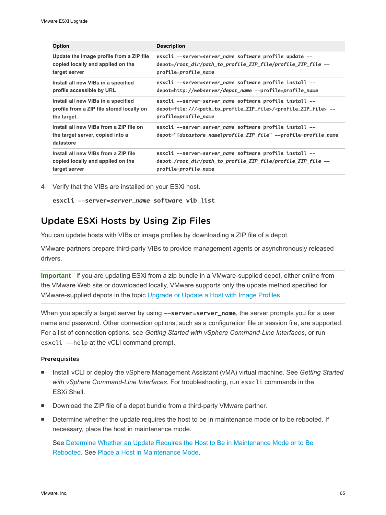| <b>Option</b>                                                                            | <b>Description</b>                                                                                                         |
|------------------------------------------------------------------------------------------|----------------------------------------------------------------------------------------------------------------------------|
| Update the image profile from a ZIP file                                                 | esxcli --server=server_name software profile update --                                                                     |
| copied locally and applied on the                                                        | depot=/root_dir/path_to_profile_ZIP_file/profile_ZIP_file --                                                               |
| target server                                                                            | profile=profile_name                                                                                                       |
| Install all new VIBs in a specified                                                      | esxcli --server=server_name software profile install --                                                                    |
| profile accessible by URL                                                                | depot=http://webserver/depot_name --profile=profile_name                                                                   |
| Install all new VIBs in a specified                                                      | esxcli --server=server_name software profile install --                                                                    |
| profile from a ZIP file stored locally on                                                | depot=file:/// <path_to_profile_zip_file>/<profile_zip_file> --</profile_zip_file></path_to_profile_zip_file>              |
| the target.                                                                              | profile=profile_name                                                                                                       |
| Install all new VIBs from a ZIP file on<br>the target server, copied into a<br>datastore | esxcli --server=server_name software profile install --<br>depot="[datastore_name]profile_ZIP_file" --profile=profile_name |
| Install all new VIBs from a ZIP file                                                     | esxcli --server=server_name software profile install --                                                                    |
| copied locally and applied on the                                                        | depot=/root_dir/path_to_profile_ZIP_file/profile_ZIP_file --                                                               |
| target server                                                                            | profile=profile_name                                                                                                       |

**4** Verify that the VIBs are installed on your ESXi host.

```
esxcli --server=server_name software vib list
```
### Update ESXi Hosts by Using Zip Files

You can update hosts with VIBs or image profiles by downloading a ZIP file of a depot.

VMware partners prepare third-party VIBs to provide management agents or asynchronously released drivers.

**Important** If you are updating ESXi from a zip bundle in a VMware-supplied depot, either online from the VMware Web site or downloaded locally, VMware supports only the update method specified for VMware-supplied depots in the topic [Upgrade or Update a Host with Image Profiles.](#page-62-0)

When you specify a target server by using --server=server\_name, the server prompts you for a user name and password. Other connection options, such as a configuration file or session file, are supported. For a list of connection options, see *Getting Started with vSphere Command-Line Interfaces*, or run esxcli --help at the vCLI command prompt.

#### **Prerequisites**

- <sup>n</sup> Install vCLI or deploy the vSphere Management Assistant (vMA) virtual machine. See *Getting Started with vSphere Command-Line Interfaces*. For troubleshooting, run esxcli commands in the ESXi Shell.
- Download the ZIP file of a depot bundle from a third-party VMware partner.
- **•** Determine whether the update requires the host to be in maintenance mode or to be rebooted. If necessary, place the host in maintenance mode.

See [Determine Whether an Update Requires the Host to Be in Maintenance Mode or to Be](#page-58-0) [Rebooted](#page-58-0). See [Place a Host in Maintenance Mode.](#page-59-0)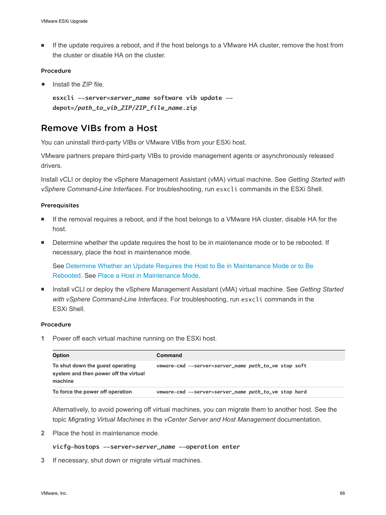**F** If the update requires a reboot, and if the host belongs to a VMware HA cluster, remove the host from the cluster or disable HA on the cluster.

#### Procedure

Install the ZIP file.

```
esxcli --server=server_name software vib update --
depot=/path_to_vib_ZIP/ZIP_file_name.zip
```
### Remove VIBs from a Host

You can uninstall third-party VIBs or VMware VIBs from your ESXi host.

VMware partners prepare third-party VIBs to provide management agents or asynchronously released drivers.

Install vCLI or deploy the vSphere Management Assistant (vMA) virtual machine. See *Getting Started with vSphere Command-Line Interfaces*. For troubleshooting, run esxcli commands in the ESXi Shell.

#### Prerequisites

- **n** If the removal requires a reboot, and if the host belongs to a VMware HA cluster, disable HA for the host.
- Determine whether the update requires the host to be in maintenance mode or to be rebooted. If necessary, place the host in maintenance mode.

See [Determine Whether an Update Requires the Host to Be in Maintenance Mode or to Be](#page-58-0) [Rebooted](#page-58-0). See [Place a Host in Maintenance Mode.](#page-59-0)

■ Install vCLI or deploy the vSphere Management Assistant (vMA) virtual machine. See Getting Started *with vSphere Command-Line Interfaces*. For troubleshooting, run esxcli commands in the ESXi Shell.

#### Procedure

**1** Power off each virtual machine running on the ESXi host.

| <b>Option</b>                                                                        | Command                                              |
|--------------------------------------------------------------------------------------|------------------------------------------------------|
| To shut down the guest operating<br>system and then power off the virtual<br>machine | vmware-cmd --server-server_name path_to_vm stop soft |
| To force the power off operation                                                     | vmware-cmd --server=server_name path_to_vm stop hard |

Alternatively, to avoid powering off virtual machines, you can migrate them to another host. See the topic *Migrating Virtual Machines* in the *vCenter Server and Host Management* documentation.

**2** Place the host in maintenance mode.

#### **vicfg-hostops --server=***server\_name* **--operation enter**

**3** If necessary, shut down or migrate virtual machines.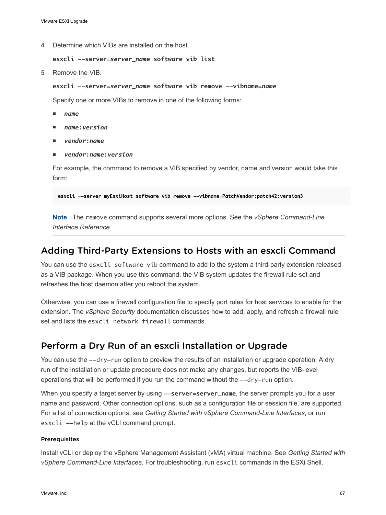**4** Determine which VIBs are installed on the host.

```
esxcli --server=server_name software vib list
```
**5** Remove the VIB.

```
esxcli --server=server_name software vib remove --vibname=name
```
Specify one or more VIBs to remove in one of the following forms:

- <sup>n</sup> *name*
- <sup>n</sup> *name***:***version*
- <sup>n</sup> *vendor***:***name*
- <sup>n</sup> *vendor***:***name***:***version*

For example, the command to remove a VIB specified by vendor, name and version would take this form:

**esxcli –-server myEsxiHost software vib remove --vibname=PatchVendor:patch42:version3**

**Note** The remove command supports several more options. See the *vSphere Command-Line Interface Reference*.

### Adding Third-Party Extensions to Hosts with an esxcli Command

You can use the esxcli software vib command to add to the system a third-party extension released as a VIB package. When you use this command, the VIB system updates the firewall rule set and refreshes the host daemon after you reboot the system.

Otherwise, you can use a firewall configuration file to specify port rules for host services to enable for the extension. The *vSphere Security* documentation discusses how to add, apply, and refresh a firewall rule set and lists the esxcli network firewall commands.

### Perform a Dry Run of an esxcli Installation or Upgrade

You can use the  $-dry$ -run option to preview the results of an installation or upgrade operation. A dry run of the installation or update procedure does not make any changes, but reports the VIB-level operations that will be performed if you run the command without the  $-\text{dry-run option}$ .

When you specify a target server by using --server=server\_name, the server prompts you for a user name and password. Other connection options, such as a configuration file or session file, are supported. For a list of connection options, see *Getting Started with vSphere Command-Line Interfaces*, or run esxcli --help at the vCLI command prompt.

#### Prerequisites

Install vCLI or deploy the vSphere Management Assistant (vMA) virtual machine. See *Getting Started with vSphere Command-Line Interfaces*. For troubleshooting, run esxcli commands in the ESXi Shell.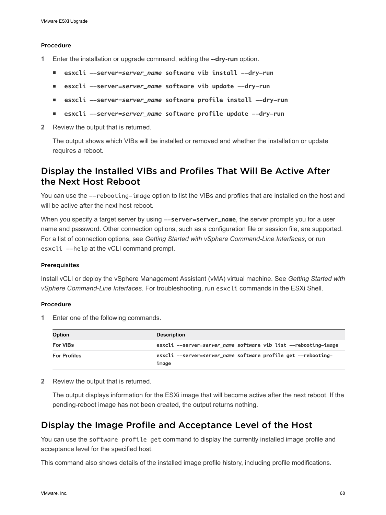#### Procedure

- **1** Enter the installation or upgrade command, adding the **--dry-run** option.
	- <sup>n</sup> **esxcli --server=***server\_name* **software vib install --dry-run**
	- <sup>n</sup> **esxcli --server=***server\_name* **software vib update --dry-run**
	- <sup>n</sup> **esxcli --server=***server\_name* **software profile install --dry-run**
	- <sup>n</sup> **esxcli --server=***server\_name* **software profile update --dry-run**
- **2** Review the output that is returned.

The output shows which VIBs will be installed or removed and whether the installation or update requires a reboot.

### Display the Installed VIBs and Profiles That Will Be Active After the Next Host Reboot

You can use the --rebooting-image option to list the VIBs and profiles that are installed on the host and will be active after the next host reboot.

When you specify a target server by using  $--server = server \n<sub>name</sub>$ , the server prompts you for a user name and password. Other connection options, such as a configuration file or session file, are supported. For a list of connection options, see *Getting Started with vSphere Command-Line Interfaces*, or run esxcli --help at the vCLI command prompt.

#### Prerequisites

Install vCLI or deploy the vSphere Management Assistant (vMA) virtual machine. See *Getting Started with vSphere Command-Line Interfaces*. For troubleshooting, run esxcli commands in the ESXi Shell.

#### Procedure

**1** Enter one of the following commands.

| <b>Option</b>       | <b>Description</b>                                                     |
|---------------------|------------------------------------------------------------------------|
| <b>For VIBs</b>     | esxcli --server=server_name software vib list --rebooting-image        |
| <b>For Profiles</b> | esxcli --server=server_name software profile get --rebooting-<br>imaae |

**2** Review the output that is returned.

The output displays information for the ESXi image that will become active after the next reboot. If the pending-reboot image has not been created, the output returns nothing.

### Display the Image Profile and Acceptance Level of the Host

You can use the software profile get command to display the currently installed image profile and acceptance level for the specified host.

This command also shows details of the installed image profile history, including profile modifications.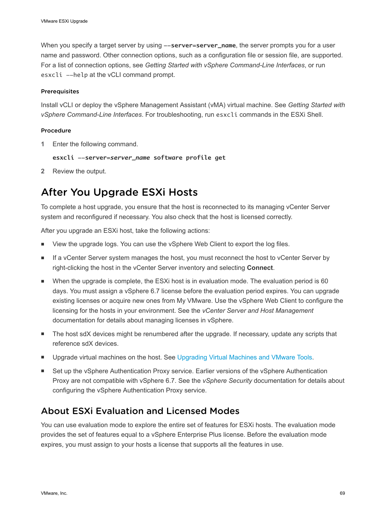<span id="page-68-0"></span>When you specify a target server by using  $--server = server_name$ , the server prompts you for a user name and password. Other connection options, such as a configuration file or session file, are supported. For a list of connection options, see *Getting Started with vSphere Command-Line Interfaces*, or run esxcli --help at the vCLI command prompt.

#### **Prerequisites**

Install vCLI or deploy the vSphere Management Assistant (vMA) virtual machine. See *Getting Started with vSphere Command-Line Interfaces*. For troubleshooting, run esxcli commands in the ESXi Shell.

#### Procedure

**1** Enter the following command.

**esxcli --server=***server\_name* **software profile get**

**2** Review the output.

# After You Upgrade ESXi Hosts

To complete a host upgrade, you ensure that the host is reconnected to its managing vCenter Server system and reconfigured if necessary. You also check that the host is licensed correctly.

After you upgrade an ESXi host, take the following actions:

- <sup>n</sup> View the upgrade logs. You can use the vSphere Web Client to export the log files.
- If a vCenter Server system manages the host, you must reconnect the host to vCenter Server by right-clicking the host in the vCenter Server inventory and selecting **Connect**.
- When the upgrade is complete, the ESXi host is in evaluation mode. The evaluation period is 60 days. You must assign a vSphere 6.7 license before the evaluation period expires. You can upgrade existing licenses or acquire new ones from My VMware. Use the vSphere Web Client to configure the licensing for the hosts in your environment. See the *vCenter Server and Host Management* documentation for details about managing licenses in vSphere.
- The host sdX devices might be renumbered after the upgrade. If necessary, update any scripts that reference sdX devices.
- **Upgrade virtual machines on the host. See [Upgrading Virtual Machines and VMware Tools](#page-8-0).**
- Set up the vSphere Authentication Proxy service. Earlier versions of the vSphere Authentication Proxy are not compatible with vSphere 6.7. See the *vSphere Security* documentation for details about configuring the vSphere Authentication Proxy service.

## About ESXi Evaluation and Licensed Modes

You can use evaluation mode to explore the entire set of features for ESXi hosts. The evaluation mode provides the set of features equal to a vSphere Enterprise Plus license. Before the evaluation mode expires, you must assign to your hosts a license that supports all the features in use.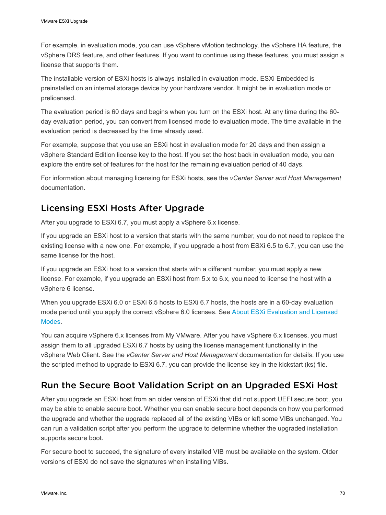For example, in evaluation mode, you can use vSphere vMotion technology, the vSphere HA feature, the vSphere DRS feature, and other features. If you want to continue using these features, you must assign a license that supports them.

The installable version of ESXi hosts is always installed in evaluation mode. ESXi Embedded is preinstalled on an internal storage device by your hardware vendor. It might be in evaluation mode or prelicensed.

The evaluation period is 60 days and begins when you turn on the ESXi host. At any time during the 60 day evaluation period, you can convert from licensed mode to evaluation mode. The time available in the evaluation period is decreased by the time already used.

For example, suppose that you use an ESXi host in evaluation mode for 20 days and then assign a vSphere Standard Edition license key to the host. If you set the host back in evaluation mode, you can explore the entire set of features for the host for the remaining evaluation period of 40 days.

For information about managing licensing for ESXi hosts, see the *vCenter Server and Host Management* documentation.

## Licensing ESXi Hosts After Upgrade

After you upgrade to ESXi 6.7, you must apply a vSphere 6.x license.

If you upgrade an ESXi host to a version that starts with the same number, you do not need to replace the existing license with a new one. For example, if you upgrade a host from ESXi 6.5 to 6.7, you can use the same license for the host.

If you upgrade an ESXi host to a version that starts with a different number, you must apply a new license. For example, if you upgrade an ESXi host from 5.x to 6.x, you need to license the host with a vSphere 6 license.

When you upgrade ESXi 6.0 or ESXi 6.5 hosts to ESXi 6.7 hosts, the hosts are in a 60-day evaluation mode period until you apply the correct vSphere 6.0 licenses. See [About ESXi Evaluation and Licensed](#page-68-0) [Modes](#page-68-0).

You can acquire vSphere 6.x licenses from My VMware. After you have vSphere 6.x licenses, you must assign them to all upgraded ESXi 6.7 hosts by using the license management functionality in the vSphere Web Client. See the *vCenter Server and Host Management* documentation for details. If you use the scripted method to upgrade to ESXi 6.7, you can provide the license key in the kickstart (ks) file.

# Run the Secure Boot Validation Script on an Upgraded ESXi Host

After you upgrade an ESXi host from an older version of ESXi that did not support UEFI secure boot, you may be able to enable secure boot. Whether you can enable secure boot depends on how you performed the upgrade and whether the upgrade replaced all of the existing VIBs or left some VIBs unchanged. You can run a validation script after you perform the upgrade to determine whether the upgraded installation supports secure boot.

For secure boot to succeed, the signature of every installed VIB must be available on the system. Older versions of ESXi do not save the signatures when installing VIBs.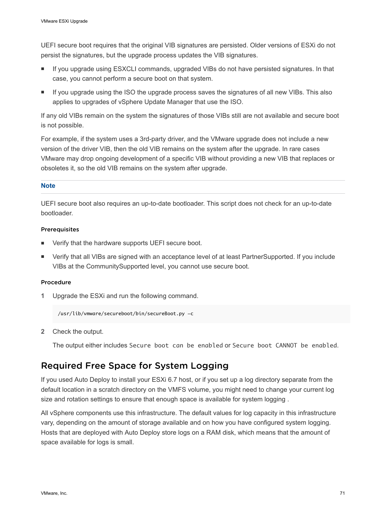UEFI secure boot requires that the original VIB signatures are persisted. Older versions of ESXi do not persist the signatures, but the upgrade process updates the VIB signatures.

- **n** If you upgrade using ESXCLI commands, upgraded VIBs do not have persisted signatures. In that case, you cannot perform a secure boot on that system.
- <sup>n</sup> If you upgrade using the ISO the upgrade process saves the signatures of all new VIBs. This also applies to upgrades of vSphere Update Manager that use the ISO.

If any old VIBs remain on the system the signatures of those VIBs still are not available and secure boot is not possible.

For example, if the system uses a 3rd-party driver, and the VMware upgrade does not include a new version of the driver VIB, then the old VIB remains on the system after the upgrade. In rare cases VMware may drop ongoing development of a specific VIB without providing a new VIB that replaces or obsoletes it, so the old VIB remains on the system after upgrade.

#### **Note**

UEFI secure boot also requires an up-to-date bootloader. This script does not check for an up-to-date bootloader.

#### Prerequisites

- Verify that the hardware supports UEFI secure boot.
- Verify that all VIBs are signed with an acceptance level of at least PartnerSupported. If you include VIBs at the CommunitySupported level, you cannot use secure boot.

#### Procedure

**1** Upgrade the ESXi and run the following command.

/usr/lib/vmware/secureboot/bin/secureBoot.py -c

**2** Check the output.

The output either includes Secure boot can be enabled or Secure boot CANNOT be enabled.

## Required Free Space for System Logging

If you used Auto Deploy to install your ESXi 6.7 host, or if you set up a log directory separate from the default location in a scratch directory on the VMFS volume, you might need to change your current log size and rotation settings to ensure that enough space is available for system logging .

All vSphere components use this infrastructure. The default values for log capacity in this infrastructure vary, depending on the amount of storage available and on how you have configured system logging. Hosts that are deployed with Auto Deploy store logs on a RAM disk, which means that the amount of space available for logs is small.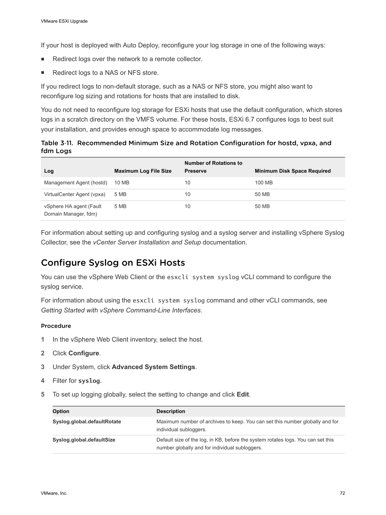If your host is deployed with Auto Deploy, reconfigure your log storage in one of the following ways:

- Redirect logs over the network to a remote collector.
- Redirect logs to a NAS or NFS store.

If you redirect logs to non-default storage, such as a NAS or NFS store, you might also want to reconfigure log sizing and rotations for hosts that are installed to disk.

You do not need to reconfigure log storage for ESXi hosts that use the default configuration, which stores logs in a scratch directory on the VMFS volume. For these hosts, ESXi 6.7 configures logs to best suit your installation, and provides enough space to accommodate log messages.

Table 3‑11. Recommended Minimum Size and Rotation Configuration for hostd, vpxa, and fdm Logs

| Log                                             | <b>Maximum Log File Size</b> | <b>Number of Rotations to</b><br><b>Preserve</b> | <b>Minimum Disk Space Required</b> |
|-------------------------------------------------|------------------------------|--------------------------------------------------|------------------------------------|
| Management Agent (hostd)                        | 10 MB                        | 10                                               | 100 MB                             |
| VirtualCenter Agent (vpxa)                      | 5 MB                         | 10                                               | 50 MB                              |
| vSphere HA agent (Fault<br>Domain Manager, fdm) | 5 MB                         | 10                                               | 50 MB                              |

For information about setting up and configuring syslog and a syslog server and installing vSphere Syslog Collector, see the *vCenter Server Installation and Setup* documentation.

## Configure Syslog on ESXi Hosts

You can use the vSphere Web Client or the esxcli system syslog vCLI command to configure the syslog service.

For information about using the esxcli system syslog command and other vCLI commands, see *Getting Started with vSphere Command-Line Interfaces*.

#### Procedure

- **1** In the vSphere Web Client inventory, select the host.
- **2** Click **Configure**.
- **3** Under System, click **Advanced System Settings**.
- **4** Filter for **syslog**.
- **5** To set up logging globally, select the setting to change and click **Edit**.

| <b>Option</b>               | <b>Description</b>                                                                                                                 |
|-----------------------------|------------------------------------------------------------------------------------------------------------------------------------|
| Syslog.global.defaultRotate | Maximum number of archives to keep. You can set this number globally and for<br>individual subloggers.                             |
| Syslog.global.defaultSize   | Default size of the log, in KB, before the system rotates logs. You can set this<br>number globally and for individual subloggers. |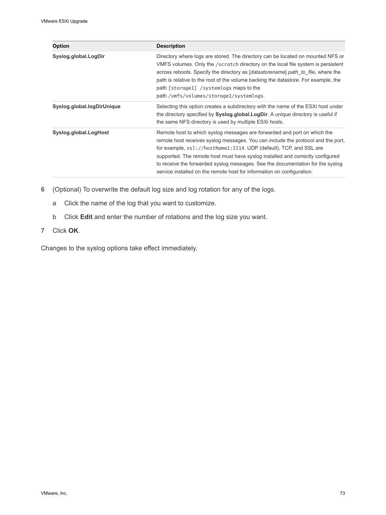| <b>Option</b>              | <b>Description</b>                                                                                                                                                                                                                                                                                                                                                                                                                                                               |
|----------------------------|----------------------------------------------------------------------------------------------------------------------------------------------------------------------------------------------------------------------------------------------------------------------------------------------------------------------------------------------------------------------------------------------------------------------------------------------------------------------------------|
| Syslog.global.LogDir       | Directory where logs are stored. The directory can be located on mounted NFS or<br>VMFS volumes. Only the /scratch directory on the local file system is persistent<br>across reboots. Specify the directory as <i>[datastorename]</i> path to file, where the<br>path is relative to the root of the volume backing the datastore. For example, the<br>path [storage1] /systemlogs maps to the<br>path/vmfs/volumes/storage1/systemlogs.                                        |
| Syslog.global.logDirUnique | Selecting this option creates a subdirectory with the name of the ESXi host under<br>the directory specified by Syslog.global.LogDir. A unique directory is useful if<br>the same NFS directory is used by multiple ESXi hosts.                                                                                                                                                                                                                                                  |
| Syslog.global.LogHost      | Remote host to which syslog messages are forwarded and port on which the<br>remote host receives syslog messages. You can include the protocol and the port,<br>for example, ssl://hostName1:1514. UDP (default), TCP, and SSL are<br>supported. The remote host must have syslog installed and correctly configured<br>to receive the forwarded syslog messages. See the documentation for the syslog<br>service installed on the remote host for information on configuration. |

- **6** (Optional) To overwrite the default log size and log rotation for any of the logs.
	- a Click the name of the log that you want to customize.
	- b Click **Edit** and enter the number of rotations and the log size you want.
- **7** Click **OK**.

Changes to the syslog options take effect immediately.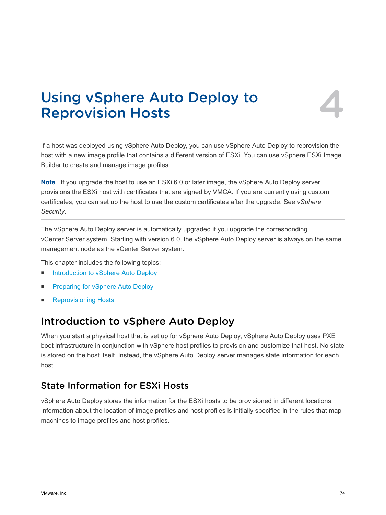# Using vSphere Auto Deploy to<br>Reprovision Hosts



If a host was deployed using vSphere Auto Deploy, you can use vSphere Auto Deploy to reprovision the host with a new image profile that contains a different version of ESXi. You can use vSphere ESXi Image Builder to create and manage image profiles.

**Note** If you upgrade the host to use an ESXi 6.0 or later image, the vSphere Auto Deploy server provisions the ESXi host with certificates that are signed by VMCA. If you are currently using custom certificates, you can set up the host to use the custom certificates after the upgrade. See *vSphere Security*.

The vSphere Auto Deploy server is automatically upgraded if you upgrade the corresponding vCenter Server system. Starting with version 6.0, the vSphere Auto Deploy server is always on the same management node as the vCenter Server system.

This chapter includes the following topics:

- n Introduction to vSphere Auto Deploy
- [Preparing for vSphere Auto Deploy](#page-76-0)
- **[Reprovisioning Hosts](#page-82-0)**

## Introduction to vSphere Auto Deploy

When you start a physical host that is set up for vSphere Auto Deploy, vSphere Auto Deploy uses PXE boot infrastructure in conjunction with vSphere host profiles to provision and customize that host. No state is stored on the host itself. Instead, the vSphere Auto Deploy server manages state information for each host.

## State Information for ESXi Hosts

vSphere Auto Deploy stores the information for the ESXi hosts to be provisioned in different locations. Information about the location of image profiles and host profiles is initially specified in the rules that map machines to image profiles and host profiles.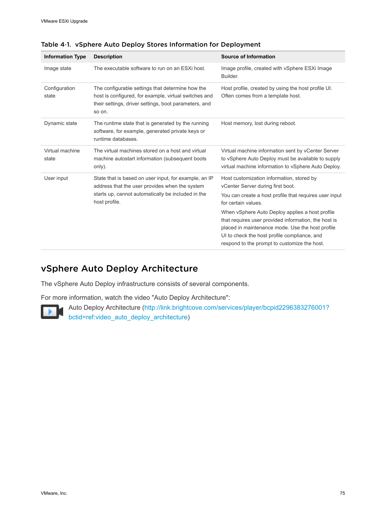| <b>Information Type</b>  | <b>Description</b>                                                                                                                                                             | <b>Source of Information</b>                                                                                                                                                                                                                                                                                                                                                                                                   |
|--------------------------|--------------------------------------------------------------------------------------------------------------------------------------------------------------------------------|--------------------------------------------------------------------------------------------------------------------------------------------------------------------------------------------------------------------------------------------------------------------------------------------------------------------------------------------------------------------------------------------------------------------------------|
| Image state              | The executable software to run on an ESXi host.                                                                                                                                | Image profile, created with vSphere ESXi Image<br>Builder.                                                                                                                                                                                                                                                                                                                                                                     |
| Configuration<br>state   | The configurable settings that determine how the<br>host is configured, for example, virtual switches and<br>their settings, driver settings, boot parameters, and<br>so on.   | Host profile, created by using the host profile UI.<br>Often comes from a template host.                                                                                                                                                                                                                                                                                                                                       |
| Dynamic state            | The runtime state that is generated by the running<br>software, for example, generated private keys or<br>runtime databases.                                                   | Host memory, lost during reboot.                                                                                                                                                                                                                                                                                                                                                                                               |
| Virtual machine<br>state | The virtual machines stored on a host and virtual<br>machine autostart information (subsequent boots<br>only).                                                                 | Virtual machine information sent by vCenter Server<br>to vSphere Auto Deploy must be available to supply<br>virtual machine information to vSphere Auto Deploy.                                                                                                                                                                                                                                                                |
| User input               | State that is based on user input, for example, an IP<br>address that the user provides when the system<br>starts up, cannot automatically be included in the<br>host profile. | Host customization information, stored by<br>vCenter Server during first boot.<br>You can create a host profile that requires user input<br>for certain values.<br>When vSphere Auto Deploy applies a host profile<br>that requires user provided information, the host is<br>placed in maintenance mode. Use the host profile<br>UI to check the host profile compliance, and<br>respond to the prompt to customize the host. |

Table 4‑1. vSphere Auto Deploy Stores Information for Deployment

## vSphere Auto Deploy Architecture

The vSphere Auto Deploy infrastructure consists of several components.

For more information, watch the video "Auto Deploy Architecture":



Auto Deploy Architecture [\(http://link.brightcove.com/services/player/bcpid2296383276001?](http://link.brightcove.com/services/player/bcpid2296383276001?bctid=ref:video_auto_deploy_architecture) [bctid=ref:video\\_auto\\_deploy\\_architecture\)](http://link.brightcove.com/services/player/bcpid2296383276001?bctid=ref:video_auto_deploy_architecture)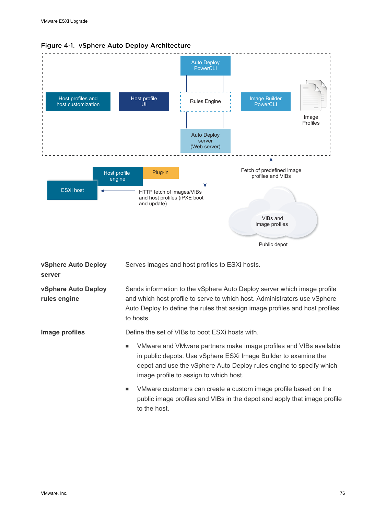



**vSphere Auto Deploy server** Serves images and host profiles to ESXi hosts. **vSphere Auto Deploy rules engine** Sends information to the vSphere Auto Deploy server which image profile and which host profile to serve to which host. Administrators use vSphere Auto Deploy to define the rules that assign image profiles and host profiles to hosts. **Image profiles** Define the set of VIBs to boot ESXi hosts with. VMware and VMware partners make image profiles and VIBs available in public depots. Use vSphere ESXi Image Builder to examine the depot and use the vSphere Auto Deploy rules engine to specify which image profile to assign to which host. VMware customers can create a custom image profile based on the public image profiles and VIBs in the depot and apply that image profile to the host.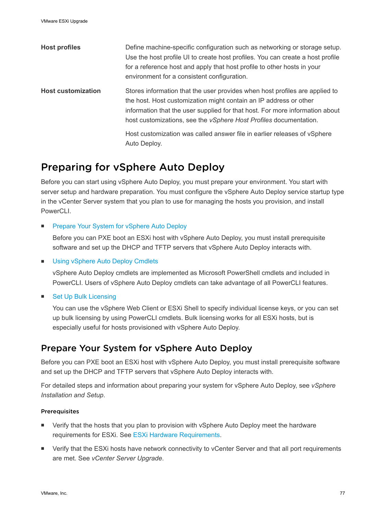<span id="page-76-0"></span>

| <b>Host profiles</b>      | Define machine-specific configuration such as networking or storage setup.<br>Use the host profile UI to create host profiles. You can create a host profile<br>for a reference host and apply that host profile to other hosts in your<br>environment for a consistent configuration.                       |
|---------------------------|--------------------------------------------------------------------------------------------------------------------------------------------------------------------------------------------------------------------------------------------------------------------------------------------------------------|
| <b>Host customization</b> | Stores information that the user provides when host profiles are applied to<br>the host. Host customization might contain an IP address or other<br>information that the user supplied for that host. For more information about<br>host customizations, see the <i>vSphere Host Profiles</i> documentation. |
|                           | Host customization was called answer file in earlier releases of vSphere<br>Auto Deploy.                                                                                                                                                                                                                     |

# Preparing for vSphere Auto Deploy

Before you can start using vSphere Auto Deploy, you must prepare your environment. You start with server setup and hardware preparation. You must configure the vSphere Auto Deploy service startup type in the vCenter Server system that you plan to use for managing the hosts you provision, and install PowerCLI.

**Prepare Your System for vSphere Auto Deploy** 

Before you can PXE boot an ESXi host with vSphere Auto Deploy, you must install prerequisite software and set up the DHCP and TFTP servers that vSphere Auto Deploy interacts with.

**n** [Using vSphere Auto Deploy Cmdlets](#page-79-0)

vSphere Auto Deploy cmdlets are implemented as Microsoft PowerShell cmdlets and included in PowerCLI. Users of vSphere Auto Deploy cmdlets can take advantage of all PowerCLI features.

■ [Set Up Bulk Licensing](#page-80-0)

You can use the vSphere Web Client or ESXi Shell to specify individual license keys, or you can set up bulk licensing by using PowerCLI cmdlets. Bulk licensing works for all ESXi hosts, but is especially useful for hosts provisioned with vSphere Auto Deploy.

## Prepare Your System for vSphere Auto Deploy

Before you can PXE boot an ESXi host with vSphere Auto Deploy, you must install prerequisite software and set up the DHCP and TFTP servers that vSphere Auto Deploy interacts with.

For detailed steps and information about preparing your system for vSphere Auto Deploy, see *vSphere Installation and Setup*.

### Prerequisites

- Verify that the hosts that you plan to provision with vSphere Auto Deploy meet the hardware requirements for ESXi. See [ESXi Hardware Requirements](#page-9-0).
- **•** Verify that the ESXi hosts have network connectivity to vCenter Server and that all port requirements are met. See *vCenter Server Upgrade*.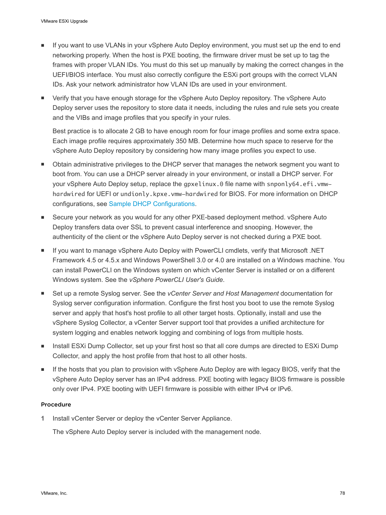- If you want to use VLANs in your vSphere Auto Deploy environment, you must set up the end to end networking properly. When the host is PXE booting, the firmware driver must be set up to tag the frames with proper VLAN IDs. You must do this set up manually by making the correct changes in the UEFI/BIOS interface. You must also correctly configure the ESXi port groups with the correct VLAN IDs. Ask your network administrator how VLAN IDs are used in your environment.
- **•** Verify that you have enough storage for the vSphere Auto Deploy repository. The vSphere Auto Deploy server uses the repository to store data it needs, including the rules and rule sets you create and the VIBs and image profiles that you specify in your rules.

Best practice is to allocate 2 GB to have enough room for four image profiles and some extra space. Each image profile requires approximately 350 MB. Determine how much space to reserve for the vSphere Auto Deploy repository by considering how many image profiles you expect to use.

- Obtain administrative privileges to the DHCP server that manages the network segment you want to boot from. You can use a DHCP server already in your environment, or install a DHCP server. For your vSphere Auto Deploy setup, replace the gpxelinux.0 file name with snponly64.efi.vmwhardwired for UEFI or undionly.kpxe.vmw-hardwired for BIOS. For more information on DHCP configurations, see [Sample DHCP Configurations.](#page-26-0)
- **EXECUTE SECUTE YOUR DETER IS VIOLATED SECUTE:** Secure your nethod. vSphere Auto Deploy transfers data over SSL to prevent casual interference and snooping. However, the authenticity of the client or the vSphere Auto Deploy server is not checked during a PXE boot.
- If you want to manage vSphere Auto Deploy with PowerCLI cmdlets, verify that Microsoft .NET Framework 4.5 or 4.5.x and Windows PowerShell 3.0 or 4.0 are installed on a Windows machine. You can install PowerCLI on the Windows system on which vCenter Server is installed or on a different Windows system. See the *vSphere PowerCLI User's Guide*.
- Set up a remote Syslog server. See the *vCenter Server and Host Management* documentation for Syslog server configuration information. Configure the first host you boot to use the remote Syslog server and apply that host's host profile to all other target hosts. Optionally, install and use the vSphere Syslog Collector, a vCenter Server support tool that provides a unified architecture for system logging and enables network logging and combining of logs from multiple hosts.
- n Install ESXi Dump Collector, set up your first host so that all core dumps are directed to ESXi Dump Collector, and apply the host profile from that host to all other hosts.
- If the hosts that you plan to provision with vSphere Auto Deploy are with legacy BIOS, verify that the vSphere Auto Deploy server has an IPv4 address. PXE booting with legacy BIOS firmware is possible only over IPv4. PXE booting with UEFI firmware is possible with either IPv4 or IPv6.

#### Procedure

**1** Install vCenter Server or deploy the vCenter Server Appliance.

The vSphere Auto Deploy server is included with the management node.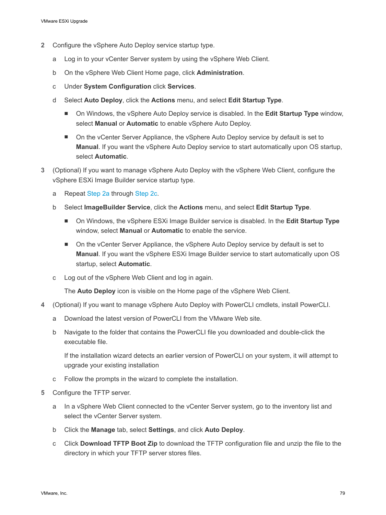- **2** Configure the vSphere Auto Deploy service startup type.
	- a Log in to your vCenter Server system by using the vSphere Web Client.
	- b On the vSphere Web Client Home page, click **Administration**.
	- c Under **System Configuration** click **Services**.
	- d Select **Auto Deploy**, click the **Actions** menu, and select **Edit Startup Type**.
		- **n** On Windows, the vSphere Auto Deploy service is disabled. In the **Edit Startup Type** window, select **Manual** or **Automatic** to enable vSphere Auto Deploy.
		- n On the vCenter Server Appliance, the vSphere Auto Deploy service by default is set to **Manual**. If you want the vSphere Auto Deploy service to start automatically upon OS startup, select **Automatic**.
- **3** (Optional) If you want to manage vSphere Auto Deploy with the vSphere Web Client, configure the vSphere ESXi Image Builder service startup type.
	- a Repeat Step 2a through Step 2c.
	- b Select **ImageBuilder Service**, click the **Actions** menu, and select **Edit Startup Type**.
		- On Windows, the vSphere ESXi Image Builder service is disabled. In the **Edit Startup Type** window, select **Manual** or **Automatic** to enable the service.
		- n On the vCenter Server Appliance, the vSphere Auto Deploy service by default is set to **Manual**. If you want the vSphere ESXi Image Builder service to start automatically upon OS startup, select **Automatic**.
	- c Log out of the vSphere Web Client and log in again.

The **Auto Deploy** icon is visible on the Home page of the vSphere Web Client.

- **4** (Optional) If you want to manage vSphere Auto Deploy with PowerCLI cmdlets, install PowerCLI.
	- a Download the latest version of PowerCLI from the VMware Web site.
	- b Navigate to the folder that contains the PowerCLI file you downloaded and double-click the executable file.

If the installation wizard detects an earlier version of PowerCLI on your system, it will attempt to upgrade your existing installation

- c Follow the prompts in the wizard to complete the installation.
- **5** Configure the TFTP server.
	- a In a vSphere Web Client connected to the vCenter Server system, go to the inventory list and select the vCenter Server system.
	- b Click the **Manage** tab, select **Settings**, and click **Auto Deploy**.
	- c Click **Download TFTP Boot Zip** to download the TFTP configuration file and unzip the file to the directory in which your TFTP server stores files.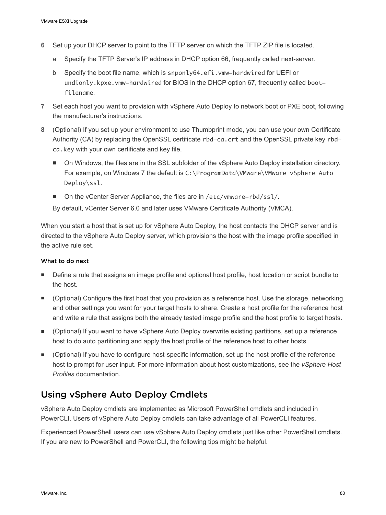- <span id="page-79-0"></span>**6** Set up your DHCP server to point to the TFTP server on which the TFTP ZIP file is located.
	- a Specify the TFTP Server's IP address in DHCP option 66, frequently called next-server.
	- b Specify the boot file name, which is snponly64.efi.vmw-hardwired for UEFI or undionly.kpxe.vmw-hardwired for BIOS in the DHCP option 67, frequently called bootfilename.
- **7** Set each host you want to provision with vSphere Auto Deploy to network boot or PXE boot, following the manufacturer's instructions.
- **8** (Optional) If you set up your environment to use Thumbprint mode, you can use your own Certificate Authority (CA) by replacing the OpenSSL certificate rbd-ca.crt and the OpenSSL private key rbdca.key with your own certificate and key file.
	- On Windows, the files are in the SSL subfolder of the vSphere Auto Deploy installation directory. For example, on Windows 7 the default is C:\ProgramData\VMware\VMware vSphere Auto Deploy\ssl.
	- On the vCenter Server Appliance, the files are in /etc/vmware-rbd/ssl/.

By default, vCenter Server 6.0 and later uses VMware Certificate Authority (VMCA).

When you start a host that is set up for vSphere Auto Deploy, the host contacts the DHCP server and is directed to the vSphere Auto Deploy server, which provisions the host with the image profile specified in the active rule set.

#### What to do next

- Define a rule that assigns an image profile and optional host profile, host location or script bundle to the host.
- <sup>n</sup> (Optional) Configure the first host that you provision as a reference host. Use the storage, networking, and other settings you want for your target hosts to share. Create a host profile for the reference host and write a rule that assigns both the already tested image profile and the host profile to target hosts.
- (Optional) If you want to have vSphere Auto Deploy overwrite existing partitions, set up a reference host to do auto partitioning and apply the host profile of the reference host to other hosts.
- <sup>n</sup> (Optional) If you have to configure host-specific information, set up the host profile of the reference host to prompt for user input. For more information about host customizations, see the *vSphere Host Profiles* documentation.

## Using vSphere Auto Deploy Cmdlets

vSphere Auto Deploy cmdlets are implemented as Microsoft PowerShell cmdlets and included in PowerCLI. Users of vSphere Auto Deploy cmdlets can take advantage of all PowerCLI features.

Experienced PowerShell users can use vSphere Auto Deploy cmdlets just like other PowerShell cmdlets. If you are new to PowerShell and PowerCLI, the following tips might be helpful.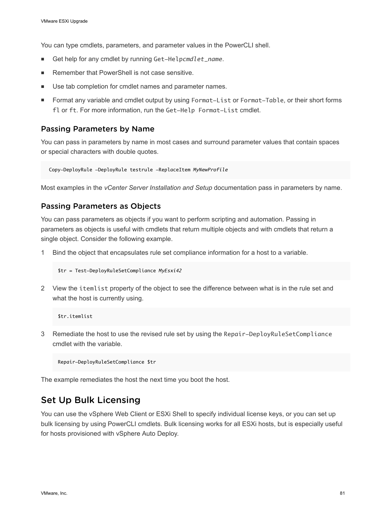<span id="page-80-0"></span>You can type cmdlets, parameters, and parameter values in the PowerCLI shell.

- Get help for any cmdlet by running Get-Helpcmdlet\_name.
- Remember that PowerShell is not case sensitive.
- Use tab completion for cmdlet names and parameter names.
- **Format any variable and cmdlet output by using Format-List or Format-Table, or their short forms** fl or ft. For more information, run the Get-Help Format-List cmdlet.

#### Passing Parameters by Name

You can pass in parameters by name in most cases and surround parameter values that contain spaces or special characters with double quotes.

```
 Copy-DeployRule -DeployRule testrule -ReplaceItem MyNewProfile
```
Most examples in the *vCenter Server Installation and Setup* documentation pass in parameters by name.

#### Passing Parameters as Objects

You can pass parameters as objects if you want to perform scripting and automation. Passing in parameters as objects is useful with cmdlets that return multiple objects and with cmdlets that return a single object. Consider the following example.

1 Bind the object that encapsulates rule set compliance information for a host to a variable.

```
$tr = Test-DeployRuleSetCompliance MyEsxi42
```
2 View the itemlist property of the object to see the difference between what is in the rule set and what the host is currently using.

\$tr.itemlist

3 Remediate the host to use the revised rule set by using the Repair-DeployRuleSetCompliance cmdlet with the variable.

Repair-DeployRuleSetCompliance \$tr

The example remediates the host the next time you boot the host.

## Set Up Bulk Licensing

You can use the vSphere Web Client or ESXi Shell to specify individual license keys, or you can set up bulk licensing by using PowerCLI cmdlets. Bulk licensing works for all ESXi hosts, but is especially useful for hosts provisioned with vSphere Auto Deploy.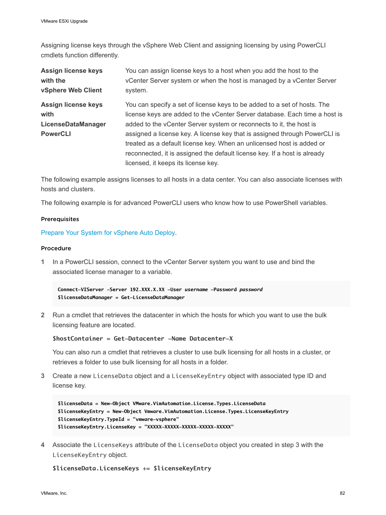Assigning license keys through the vSphere Web Client and assigning licensing by using PowerCLI cmdlets function differently.

| <b>Assign license keys</b><br>with the<br>vSphere Web Client | You can assign license keys to a host when you add the host to the<br>vCenter Server system or when the host is managed by a vCenter Server<br>system. |
|--------------------------------------------------------------|--------------------------------------------------------------------------------------------------------------------------------------------------------|
| <b>Assign license keys</b>                                   | You can specify a set of license keys to be added to a set of hosts. The                                                                               |
| with                                                         | license keys are added to the vCenter Server database. Each time a host is                                                                             |
| LicenseDataManager                                           | added to the vCenter Server system or reconnects to it, the host is                                                                                    |
| <b>PowerCLI</b>                                              | assigned a license key. A license key that is assigned through PowerCLI is                                                                             |
|                                                              | treated as a default license key. When an unlicensed host is added or                                                                                  |
|                                                              | reconnected, it is assigned the default license key. If a host is already                                                                              |
|                                                              | licensed, it keeps its license key.                                                                                                                    |

The following example assigns licenses to all hosts in a data center. You can also associate licenses with hosts and clusters.

The following example is for advanced PowerCLI users who know how to use PowerShell variables.

#### **Prerequisites**

[Prepare Your System for vSphere Auto Deploy](#page-76-0).

#### Procedure

**1** In a PowerCLI session, connect to the vCenter Server system you want to use and bind the associated license manager to a variable.

**Connect-VIServer -Server 192.XXX.X.XX -User** *username* **-Password** *password* **\$licenseDataManager = Get-LicenseDataManager**

**2** Run a cmdlet that retrieves the datacenter in which the hosts for which you want to use the bulk licensing feature are located.

#### **\$hostContainer = Get-Datacenter -Name Datacenter-X**

You can also run a cmdlet that retrieves a cluster to use bulk licensing for all hosts in a cluster, or retrieves a folder to use bulk licensing for all hosts in a folder.

**3** Create a new LicenseData object and a LicenseKeyEntry object with associated type ID and license key.

```
$licenseData = New-Object VMware.VimAutomation.License.Types.LicenseData
$licenseKeyEntry = New-Object Vmware.VimAutomation.License.Types.LicenseKeyEntry
$licenseKeyEntry.TypeId = "vmware-vsphere"
$licenseKeyEntry.LicenseKey = "XXXXX-XXXXX-XXXXX-XXXXX-XXXXX"
```
**4** Associate the LicenseKeys attribute of the LicenseData object you created in step 3 with the LicenseKeyEntry object.

**\$licenseData.LicenseKeys += \$licenseKeyEntry**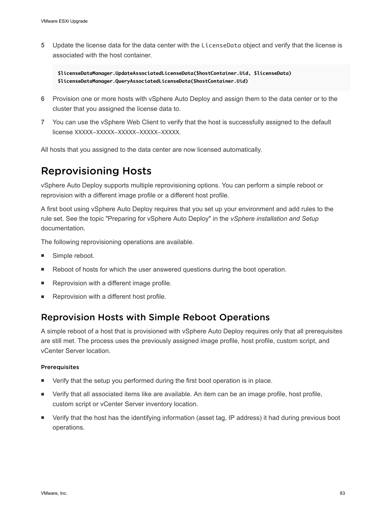<span id="page-82-0"></span>**5** Update the license data for the data center with the LicenseData object and verify that the license is associated with the host container.

**\$licenseDataManager.UpdateAssociatedLicenseData(\$hostContainer.Uid, \$licenseData) \$licenseDataManager.QueryAssociatedLicenseData(\$hostContainer.Uid)**

- **6** Provision one or more hosts with vSphere Auto Deploy and assign them to the data center or to the cluster that you assigned the license data to.
- **7** You can use the vSphere Web Client to verify that the host is successfully assigned to the default license XXXXX-XXXXX-XXXXX-XXXXX-XXXXX.

All hosts that you assigned to the data center are now licensed automatically.

# Reprovisioning Hosts

vSphere Auto Deploy supports multiple reprovisioning options. You can perform a simple reboot or reprovision with a different image profile or a different host profile.

A first boot using vSphere Auto Deploy requires that you set up your environment and add rules to the rule set. See the topic "Preparing for vSphere Auto Deploy" in the *vSphere installation and Setup* documentation.

The following reprovisioning operations are available.

- Simple reboot.
- Reboot of hosts for which the user answered questions during the boot operation.
- Reprovision with a different image profile.
- Reprovision with a different host profile.

## Reprovision Hosts with Simple Reboot Operations

A simple reboot of a host that is provisioned with vSphere Auto Deploy requires only that all prerequisites are still met. The process uses the previously assigned image profile, host profile, custom script, and vCenter Server location.

#### **Prerequisites**

- Verify that the setup you performed during the first boot operation is in place.
- **•** Verify that all associated items like are available. An item can be an image profile, host profile, custom script or vCenter Server inventory location.
- Verify that the host has the identifying information (asset tag, IP address) it had during previous boot operations.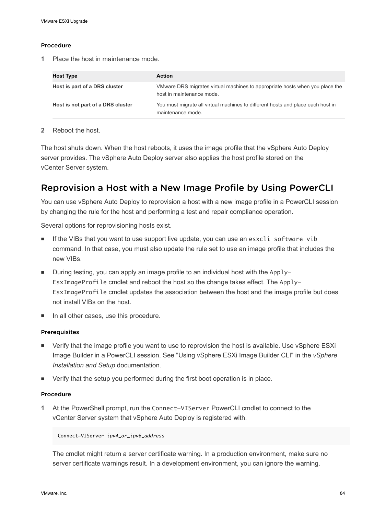#### Procedure

**1** Place the host in maintenance mode.

| <b>Host Type</b>                  | <b>Action</b>                                                                                             |
|-----------------------------------|-----------------------------------------------------------------------------------------------------------|
| Host is part of a DRS cluster     | VMware DRS migrates virtual machines to appropriate hosts when you place the<br>host in maintenance mode. |
| Host is not part of a DRS cluster | You must migrate all virtual machines to different hosts and place each host in<br>maintenance mode.      |

#### **2** Reboot the host.

The host shuts down. When the host reboots, it uses the image profile that the vSphere Auto Deploy server provides. The vSphere Auto Deploy server also applies the host profile stored on the vCenter Server system.

## Reprovision a Host with a New Image Profile by Using PowerCLI

You can use vSphere Auto Deploy to reprovision a host with a new image profile in a PowerCLI session by changing the rule for the host and performing a test and repair compliance operation.

Several options for reprovisioning hosts exist.

- **n** If the VIBs that you want to use support live update, you can use an esxcli software vib command. In that case, you must also update the rule set to use an image profile that includes the new VIBs.
- $\blacksquare$  During testing, you can apply an image profile to an individual host with the Apply-EsxImageProfile cmdlet and reboot the host so the change takes effect. The Apply-EsxImageProfile cmdlet updates the association between the host and the image profile but does not install VIBs on the host.
- In all other cases, use this procedure.

#### Prerequisites

- Verify that the image profile you want to use to reprovision the host is available. Use vSphere ESXi Image Builder in a PowerCLI session. See "Using vSphere ESXi Image Builder CLI" in the *vSphere Installation and Setup* documentation.
- Verify that the setup you performed during the first boot operation is in place.

#### Procedure

**1** At the PowerShell prompt, run the Connect-VIServer PowerCLI cmdlet to connect to the vCenter Server system that vSphere Auto Deploy is registered with.

#### Connect-VIServer *ipv4\_or\_ipv6\_address*

The cmdlet might return a server certificate warning. In a production environment, make sure no server certificate warnings result. In a development environment, you can ignore the warning.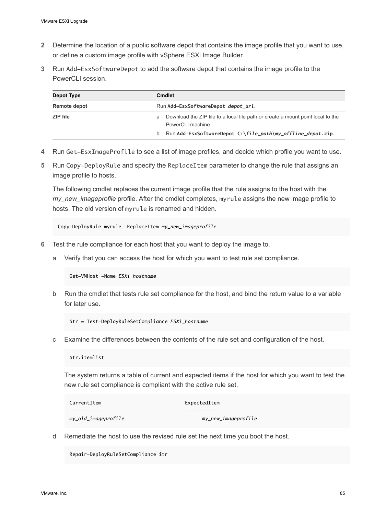- **2** Determine the location of a public software depot that contains the image profile that you want to use, or define a custom image profile with vSphere ESXi Image Builder.
- **3** Run Add-EsxSoftwareDepot to add the software depot that contains the image profile to the PowerCLI session.

| Depot Type   | Cmdlet                                                                                                    |  |
|--------------|-----------------------------------------------------------------------------------------------------------|--|
| Remote depot | Run Add-EsxSoftwareDepot depot_url.                                                                       |  |
| ZIP file     | Download the ZIP file to a local file path or create a mount point local to the<br>a<br>PowerCLI machine. |  |
|              | b Run Add-EsxSoftwareDepot $C:\file_path\my_offline_de$ pot.zip.                                          |  |

- **4** Run Get-EsxImageProfile to see a list of image profiles, and decide which profile you want to use.
- **5** Run Copy-DeployRule and specify the ReplaceItem parameter to change the rule that assigns an image profile to hosts.

The following cmdlet replaces the current image profile that the rule assigns to the host with the *my\_new\_imageprofile* profile. After the cmdlet completes, myrule assigns the new image profile to hosts. The old version of myrule is renamed and hidden.

Copy-DeployRule myrule -ReplaceItem *my\_new\_imageprofile*

- **6** Test the rule compliance for each host that you want to deploy the image to.
	- a Verify that you can access the host for which you want to test rule set compliance.

Get-VMHost -Name *ESXi\_hostname*

b Run the cmdlet that tests rule set compliance for the host, and bind the return value to a variable for later use.

\$tr = Test-DeployRuleSetCompliance *ESXi\_hostname*

c Examine the differences between the contents of the rule set and configuration of the host.

\$tr.itemlist

The system returns a table of current and expected items if the host for which you want to test the new rule set compliance is compliant with the active rule set.

| CurrentItem         | ExpectedItem        |
|---------------------|---------------------|
|                     |                     |
| my_old_imageprofile | my_new_imageprofile |

d Remediate the host to use the revised rule set the next time you boot the host.

Repair-DeployRuleSetCompliance \$tr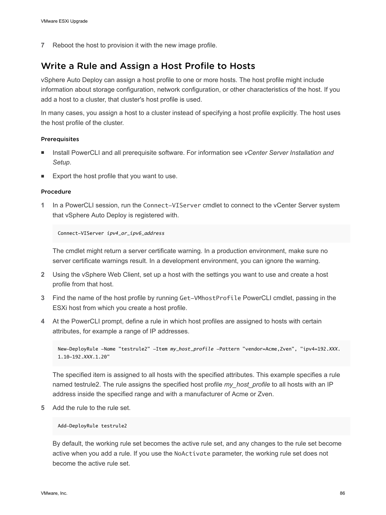**7** Reboot the host to provision it with the new image profile.

## Write a Rule and Assign a Host Profile to Hosts

vSphere Auto Deploy can assign a host profile to one or more hosts. The host profile might include information about storage configuration, network configuration, or other characteristics of the host. If you add a host to a cluster, that cluster's host profile is used.

In many cases, you assign a host to a cluster instead of specifying a host profile explicitly. The host uses the host profile of the cluster.

#### Prerequisites

- <sup>n</sup> Install PowerCLI and all prerequisite software. For information see *vCenter Server Installation and Setup*.
- Export the host profile that you want to use.

#### Procedure

**1** In a PowerCLI session, run the Connect-VIServer cmdlet to connect to the vCenter Server system that vSphere Auto Deploy is registered with.

Connect-VIServer *ipv4\_or\_ipv6\_address*

The cmdlet might return a server certificate warning. In a production environment, make sure no server certificate warnings result. In a development environment, you can ignore the warning.

- **2** Using the vSphere Web Client, set up a host with the settings you want to use and create a host profile from that host.
- **3** Find the name of the host profile by running Get-VMhostProfile PowerCLI cmdlet, passing in the ESXi host from which you create a host profile.
- **4** At the PowerCLI prompt, define a rule in which host profiles are assigned to hosts with certain attributes, for example a range of IP addresses.

```
New-DeployRule -Name "testrule2" -Item my_host_profile -Pattern "vendor=Acme,Zven", "ipv4=192.XXX.
1.10-192.XXX.1.20"
```
The specified item is assigned to all hosts with the specified attributes. This example specifies a rule named testrule2. The rule assigns the specified host profile *my\_host\_profile* to all hosts with an IP address inside the specified range and with a manufacturer of Acme or Zven.

**5** Add the rule to the rule set.

Add-DeployRule testrule2

By default, the working rule set becomes the active rule set, and any changes to the rule set become active when you add a rule. If you use the NoActivate parameter, the working rule set does not become the active rule set.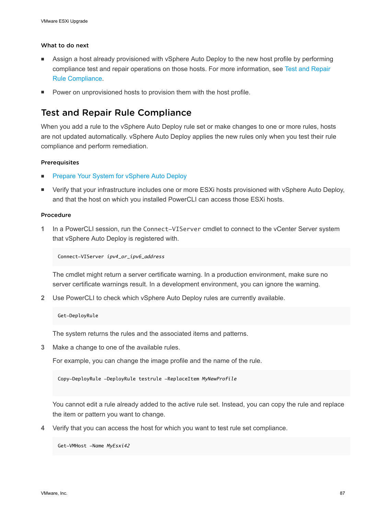#### What to do next

- <sup>n</sup> Assign a host already provisioned with vSphere Auto Deploy to the new host profile by performing compliance test and repair operations on those hosts. For more information, see Test and Repair Rule Compliance.
- Power on unprovisioned hosts to provision them with the host profile.

## Test and Repair Rule Compliance

When you add a rule to the vSphere Auto Deploy rule set or make changes to one or more rules, hosts are not updated automatically. vSphere Auto Deploy applies the new rules only when you test their rule compliance and perform remediation.

#### Prerequisites

- [Prepare Your System for vSphere Auto Deploy](#page-76-0)
- <sup>n</sup> Verify that your infrastructure includes one or more ESXi hosts provisioned with vSphere Auto Deploy, and that the host on which you installed PowerCLI can access those ESXi hosts.

#### Procedure

**1** In a PowerCLI session, run the Connect-VIServer cmdlet to connect to the vCenter Server system that vSphere Auto Deploy is registered with.

Connect-VIServer *ipv4\_or\_ipv6\_address*

The cmdlet might return a server certificate warning. In a production environment, make sure no server certificate warnings result. In a development environment, you can ignore the warning.

**2** Use PowerCLI to check which vSphere Auto Deploy rules are currently available.

#### Get-DeployRule

The system returns the rules and the associated items and patterns.

**3** Make a change to one of the available rules.

For example, you can change the image profile and the name of the rule.

Copy-DeployRule -DeployRule testrule -ReplaceItem *MyNewProfile*

You cannot edit a rule already added to the active rule set. Instead, you can copy the rule and replace the item or pattern you want to change.

**4** Verify that you can access the host for which you want to test rule set compliance.

Get-VMHost -Name *MyEsxi42*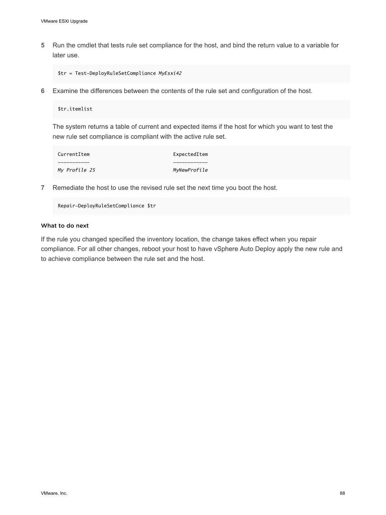**5** Run the cmdlet that tests rule set compliance for the host, and bind the return value to a variable for later use.

\$tr = Test-DeployRuleSetCompliance *MyEsxi42*

**6** Examine the differences between the contents of the rule set and configuration of the host.

\$tr.itemlist

The system returns a table of current and expected items if the host for which you want to test the new rule set compliance is compliant with the active rule set.

| CurrentItem   | ExpectedItem |
|---------------|--------------|
|               |              |
| My Profile 25 | MyNewProfile |

**7** Remediate the host to use the revised rule set the next time you boot the host.

Repair-DeployRuleSetCompliance \$tr

#### What to do next

If the rule you changed specified the inventory location, the change takes effect when you repair compliance. For all other changes, reboot your host to have vSphere Auto Deploy apply the new rule and to achieve compliance between the rule set and the host.